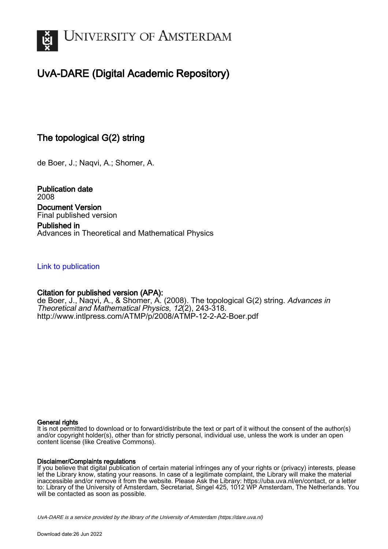

# UvA-DARE (Digital Academic Repository)

## The topological G(2) string

de Boer, J.; Naqvi, A.; Shomer, A.

Publication date 2008 Document Version Final published version

Published in Advances in Theoretical and Mathematical Physics

### [Link to publication](https://dare.uva.nl/personal/pure/en/publications/the-topological-g2-string(da0df905-a7fe-411e-bc5d-0e03a8e46826).html)

## Citation for published version (APA):

de Boer, J., Naqvi, A., & Shomer, A. (2008). The topological G(2) string. *Advances in* Theoretical and Mathematical Physics, 12(2), 243-318. <http://www.intlpress.com/ATMP/p/2008/ATMP-12-2-A2-Boer.pdf>

#### General rights

It is not permitted to download or to forward/distribute the text or part of it without the consent of the author(s) and/or copyright holder(s), other than for strictly personal, individual use, unless the work is under an open content license (like Creative Commons).

#### Disclaimer/Complaints regulations

If you believe that digital publication of certain material infringes any of your rights or (privacy) interests, please let the Library know, stating your reasons. In case of a legitimate complaint, the Library will make the material inaccessible and/or remove it from the website. Please Ask the Library: https://uba.uva.nl/en/contact, or a letter to: Library of the University of Amsterdam, Secretariat, Singel 425, 1012 WP Amsterdam, The Netherlands. You will be contacted as soon as possible.

UvA-DARE is a service provided by the library of the University of Amsterdam (http*s*://dare.uva.nl)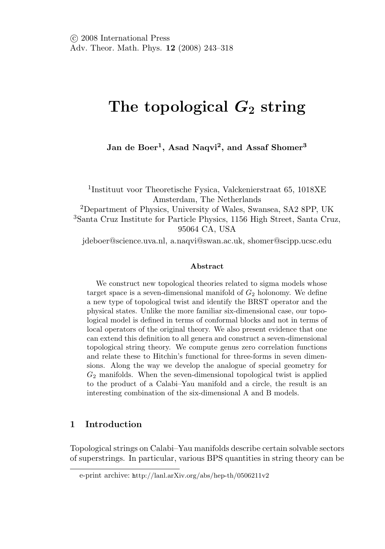# **The topological** *G***<sup>2</sup> string**

**Jan de Boer1, Asad Naqvi2, and Assaf Shomer<sup>3</sup>**

<sup>1</sup>Instituut voor Theoretische Fysica, Valckenierstraat 65, 1018XE Amsterdam, The Netherlands <sup>2</sup>Department of Physics, University of Wales, Swansea, SA2 8PP, UK <sup>3</sup>Santa Cruz Institute for Particle Physics, 1156 High Street, Santa Cruz, 95064 CA, USA

jdeboer@science.uva.nl, a.naqvi@swan.ac.uk, shomer@scipp.ucsc.edu

#### **Abstract**

We construct new topological theories related to sigma models whose target space is a seven-dimensional manifold of  $G_2$  holonomy. We define a new type of topological twist and identify the BRST operator and the physical states. Unlike the more familiar six-dimensional case, our topological model is defined in terms of conformal blocks and not in terms of local operators of the original theory. We also present evidence that one can extend this definition to all genera and construct a seven-dimensional topological string theory. We compute genus zero correlation functions and relate these to Hitchin's functional for three-forms in seven dimensions. Along the way we develop the analogue of special geometry for  $G_2$  manifolds. When the seven-dimensional topological twist is applied to the product of a Calabi–Yau manifold and a circle, the result is an interesting combination of the six-dimensional A and B models.

#### **1 Introduction**

Topological strings on Calabi–Yau manifolds describe certain solvable sectors of superstrings. In particular, various BPS quantities in string theory can be

e-print archive: http://lanl.arXiv.org/abs/hep-th/0506211v2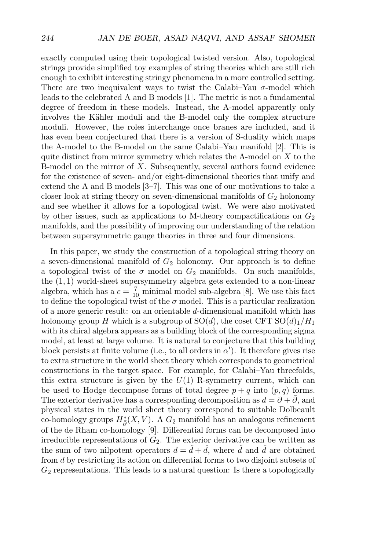exactly computed using their topological twisted version. Also, topological strings provide simplified toy examples of string theories which are still rich enough to exhibit interesting stringy phenomena in a more controlled setting. There are two inequivalent ways to twist the Calabi–Yau  $\sigma$ -model which leads to the celebrated A and B models [1]. The metric is not a fundamental degree of freedom in these models. Instead, the A-model apparently only involves the Kähler moduli and the B-model only the complex structure moduli. However, the roles interchange once branes are included, and it has even been conjectured that there is a version of S-duality which maps the A-model to the B-model on the same Calabi–Yau manifold [2]. This is quite distinct from mirror symmetry which relates the A-model on  $X$  to the B-model on the mirror of  $X$ . Subsequently, several authors found evidence for the existence of seven- and/or eight-dimensional theories that unify and extend the A and B models [3–7]. This was one of our motivations to take a closer look at string theory on seven-dimensional manifolds of  $G_2$  holonomy and see whether it allows for a topological twist. We were also motivated by other issues, such as applications to M-theory compactifications on  $G_2$ manifolds, and the possibility of improving our understanding of the relation between supersymmetric gauge theories in three and four dimensions.

In this paper, we study the construction of a topological string theory on a seven-dimensional manifold of  $G_2$  holonomy. Our approach is to define a topological twist of the  $\sigma$  model on  $G_2$  manifolds. On such manifolds, the (1, 1) world-sheet supersymmetry algebra gets extended to a non-linear algebra, which has a  $c = \frac{7}{10}$  minimal model sub-algebra [8]. We use this fact to define the topological twist of the  $\sigma$  model. This is a particular realization of a more generic result: on an orientable d-dimensional manifold which has holonomy group H which is a subgroup of  $SO(d)$ , the coset CFT  $SO(d)_1/H_1$ with its chiral algebra appears as a building block of the corresponding sigma model, at least at large volume. It is natural to conjecture that this building block persists at finite volume (i.e., to all orders in  $\alpha'$ ). It therefore gives rise to extra structure in the world sheet theory which corresponds to geometrical constructions in the target space. For example, for Calabi–Yau threefolds, this extra structure is given by the  $U(1)$  R-symmetry current, which can be used to Hodge decompose forms of total degree  $p + q$  into  $(p, q)$  forms. The exterior derivative has a corresponding decomposition as  $d = \partial + \partial$ , and physical states in the world sheet theory correspond to suitable Dolbeault co-homology groups  $H^*_{\bar{\partial}}(X,V)$ . A  $G_2$  manifold has an analogous refinement of the de Rham co-homology [9]. Differential forms can be decomposed into irreducible representations of  $G_2$ . The exterior derivative can be written as the sum of two nilpotent operators  $d = \check{d} + \hat{d}$ , where  $\check{d}$  and  $\hat{d}$  are obtained from d by restricting its action on differential forms to two disjoint subsets of  $G_2$  representations. This leads to a natural question: Is there a topologically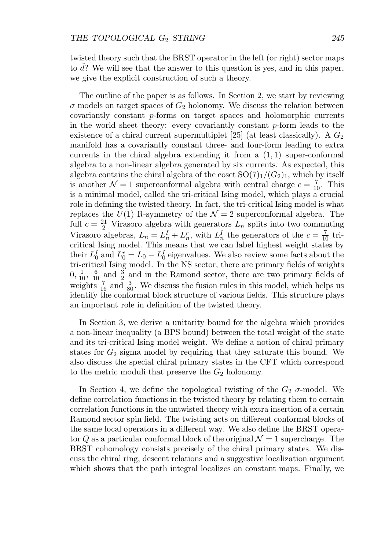twisted theory such that the BRST operator in the left (or right) sector maps to  $\check{d}$ ? We will see that the answer to this question is yes, and in this paper, we give the explicit construction of such a theory.

The outline of the paper is as follows. In Section 2, we start by reviewing  $\sigma$  models on target spaces of  $G_2$  holonomy. We discuss the relation between covariantly constant p-forms on target spaces and holomorphic currents in the world sheet theory: every covariantly constant  $p$ -form leads to the existence of a chiral current supermultiplet [25] (at least classically). A  $G_2$ manifold has a covariantly constant three- and four-form leading to extra currents in the chiral algebra extending it from a  $(1, 1)$  super-conformal algebra to a non-linear algebra generated by six currents. As expected, this algebra contains the chiral algebra of the coset  $SO(7)_1/(G_2)_1$ , which by itself is another  $\mathcal{N}=1$  superconformal algebra with central charge  $c=\frac{7}{10}$ . This is a minimal model, called the tri-critical Ising model, which plays a crucial role in defining the twisted theory. In fact, the tri-critical Ising model is what replaces the  $U(1)$  R-symmetry of the  $\mathcal{N}=2$  superconformal algebra. The full  $c = \frac{21}{2}$  Virasoro algebra with generators  $L_n$  splits into two commuting Virasoro algebras,  $L_n = L_n^I + L_n^r$ , with  $L_n^I$  the generators of the  $c = \frac{7}{10}$  tricritical Ising model. This means that we can label highest weight states by their  $L_0^I$  and  $L_0^r = L_0 - L_0^I$  eigenvalues. We also review some facts about the tri-critical Ising model. In the NS sector, there are primary fields of weights  $0, \frac{1}{10}, \frac{6}{10}$  and  $\frac{3}{2}$  and in the Ramond sector, there are two primary fields of weights  $\frac{7}{16}$  and  $\frac{3}{80}$ . We discuss the fusion rules in this model, which helps us identify the conformal block structure of various fields. This structure plays an important role in definition of the twisted theory.

In Section 3, we derive a unitarity bound for the algebra which provides a non-linear inequality (a BPS bound) between the total weight of the state and its tri-critical Ising model weight. We define a notion of chiral primary states for  $G_2$  sigma model by requiring that they saturate this bound. We also discuss the special chiral primary states in the CFT which correspond to the metric moduli that preserve the  $G_2$  holonomy.

In Section 4, we define the topological twisting of the  $G_2$   $\sigma$ -model. We define correlation functions in the twisted theory by relating them to certain correlation functions in the untwisted theory with extra insertion of a certain Ramond sector spin field. The twisting acts on different conformal blocks of the same local operators in a different way. We also define the BRST operator Q as a particular conformal block of the original  $\mathcal{N}=1$  supercharge. The BRST cohomology consists precisely of the chiral primary states. We discuss the chiral ring, descent relations and a suggestive localization argument which shows that the path integral localizes on constant maps. Finally, we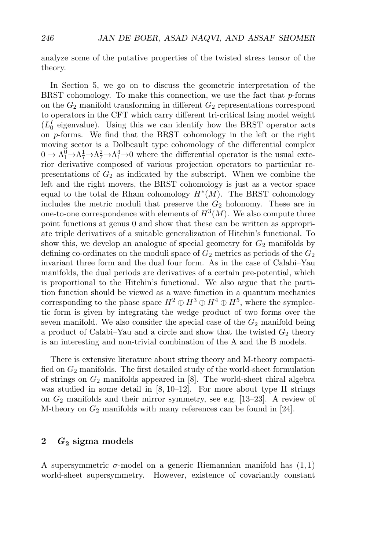analyze some of the putative properties of the twisted stress tensor of the theory.

In Section 5, we go on to discuss the geometric interpretation of the BRST cohomology. To make this connection, we use the fact that  $p$ -forms on the  $G_2$  manifold transforming in different  $G_2$  representations correspond to operators in the CFT which carry different tri-critical Ising model weight  $(L_0^I)$  eigenvalue). Using this we can identify how the BRST operator acts on p-forms. We find that the BRST cohomology in the left or the right moving sector is a Dolbeault type cohomology of the differential complex  $0 \to \Lambda_1^0 \to \Lambda_7^1 \to \Lambda_7^2 \to \Lambda_1^3 \to 0$  where the differential operator is the usual exterior derivative composed of various projection operators to particular representations of  $G_2$  as indicated by the subscript. When we combine the left and the right movers, the BRST cohomology is just as a vector space equal to the total de Rham cohomology  $H^*(M)$ . The BRST cohomology includes the metric moduli that preserve the  $G_2$  holonomy. These are in one-to-one correspondence with elements of  $H^3(M)$ . We also compute three point functions at genus 0 and show that these can be written as appropriate triple derivatives of a suitable generalization of Hitchin's functional. To show this, we develop an analogue of special geometry for  $G_2$  manifolds by defining co-ordinates on the moduli space of  $G_2$  metrics as periods of the  $G_2$ invariant three form and the dual four form. As in the case of Calabi–Yau manifolds, the dual periods are derivatives of a certain pre-potential, which is proportional to the Hitchin's functional. We also argue that the partition function should be viewed as a wave function in a quantum mechanics corresponding to the phase space  $H^2 \oplus H^3 \oplus H^4 \oplus H^5$ , where the symplectic form is given by integrating the wedge product of two forms over the seven manifold. We also consider the special case of the  $G_2$  manifold being a product of Calabi–Yau and a circle and show that the twisted  $G_2$  theory is an interesting and non-trivial combination of the A and the B models.

There is extensive literature about string theory and M-theory compactified on  $G_2$  manifolds. The first detailed study of the world-sheet formulation of strings on  $G_2$  manifolds appeared in [8]. The world-sheet chiral algebra was studied in some detail in  $[8, 10-12]$ . For more about type II strings on  $G_2$  manifolds and their mirror symmetry, see e.g. [13–23]. A review of M-theory on  $G_2$  manifolds with many references can be found in [24].

#### **2** *G***<sup>2</sup> sigma models**

A supersymmetric  $\sigma$ -model on a generic Riemannian manifold has  $(1, 1)$ world-sheet supersymmetry. However, existence of covariantly constant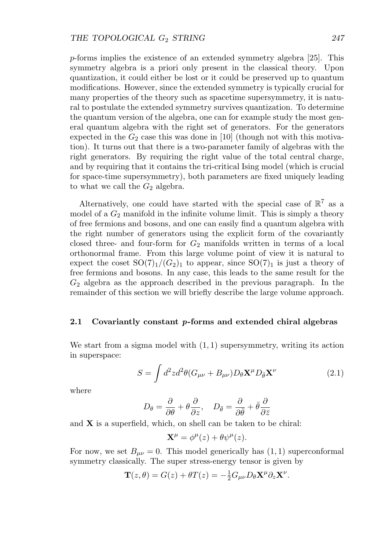p-forms implies the existence of an extended symmetry algebra [25]. This symmetry algebra is a priori only present in the classical theory. Upon quantization, it could either be lost or it could be preserved up to quantum modifications. However, since the extended symmetry is typically crucial for many properties of the theory such as spacetime supersymmetry, it is natural to postulate the extended symmetry survives quantization. To determine the quantum version of the algebra, one can for example study the most general quantum algebra with the right set of generators. For the generators expected in the  $G_2$  case this was done in [10] (though not with this motivation). It turns out that there is a two-parameter family of algebras with the right generators. By requiring the right value of the total central charge, and by requiring that it contains the tri-critical Ising model (which is crucial for space-time supersymmetry), both parameters are fixed uniquely leading to what we call the  $G_2$  algebra.

Alternatively, one could have started with the special case of  $\mathbb{R}^7$  as a model of a  $G_2$  manifold in the infinite volume limit. This is simply a theory of free fermions and bosons, and one can easily find a quantum algebra with the right number of generators using the explicit form of the covariantly closed three- and four-form for  $G_2$  manifolds written in terms of a local orthonormal frame. From this large volume point of view it is natural to expect the coset  $SO(7)_1/(G_2)_1$  to appear, since  $SO(7)_1$  is just a theory of free fermions and bosons. In any case, this leads to the same result for the  $G_2$  algebra as the approach described in the previous paragraph. In the remainder of this section we will briefly describe the large volume approach.

#### **2.1 Covariantly constant** *p***-forms and extended chiral algebras**

We start from a sigma model with  $(1, 1)$  supersymmetry, writing its action in superspace:

$$
S = \int d^2z d^2\theta (G_{\mu\nu} + B_{\mu\nu}) D_\theta \mathbf{X}^\mu D_{\bar{\theta}} \mathbf{X}^\nu
$$
 (2.1)

where

$$
D_{\theta} = \frac{\partial}{\partial \theta} + \theta \frac{\partial}{\partial z}, \quad D_{\bar{\theta}} = \frac{\partial}{\partial \bar{\theta}} + \bar{\theta} \frac{\partial}{\partial \bar{z}}
$$

and **X** is a superfield, which, on shell can be taken to be chiral:

$$
\mathbf{X}^{\mu} = \phi^{\mu}(z) + \theta \psi^{\mu}(z).
$$

For now, we set  $B_{\mu\nu} = 0$ . This model generically has  $(1, 1)$  superconformal symmetry classically. The super stress-energy tensor is given by

$$
\mathbf{T}(z,\theta) = G(z) + \theta T(z) = -\frac{1}{2}G_{\mu\nu}D_{\theta}\mathbf{X}^{\mu}\partial_{z}\mathbf{X}^{\nu}.
$$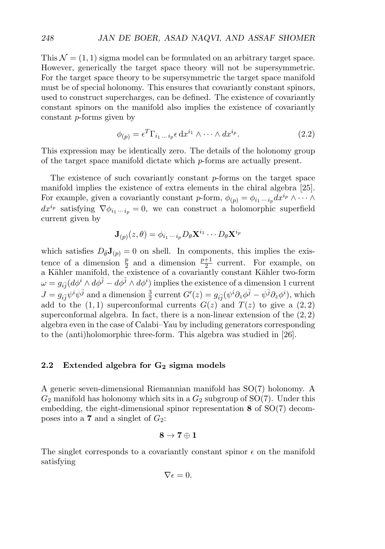This  $\mathcal{N} = (1, 1)$  sigma model can be formulated on an arbitrary target space. However, generically the target space theory will not be supersymmetric. For the target space theory to be supersymmetric the target space manifold must be of special holonomy. This ensures that covariantly constant spinors, used to construct supercharges, can be defined. The existence of covariantly constant spinors on the manifold also implies the existence of covariantly constant p-forms given by

$$
\phi_{(p)} = \epsilon^T \Gamma_{i_1 \dots i_p} \epsilon \, dx^{i_1} \wedge \dots \wedge dx^{i_p}.
$$
\n(2.2)

This expression may be identically zero. The details of the holonomy group of the target space manifold dictate which p-forms are actually present.

The existence of such covariantly constant  $p$ -forms on the target space manifold implies the existence of extra elements in the chiral algebra [25]. For example, given a covariantly constant p-form,  $\phi_{(p)} = \phi_{i_1 \cdots i_p} dx^{i_p} \wedge \cdots \wedge$  $dx^{i_p}$  satisfying  $\nabla \phi_{i_1 \cdots i_p} = 0$ , we can construct a holomorphic superfield current given by

$$
\mathbf{J}_{(p)}(z,\theta) = \phi_{i_1\cdots i_p} D_{\theta} \mathbf{X}^{i_1} \cdots D_{\theta} \mathbf{X}^{i_p}
$$

which satisfies  $D_{\bar{\theta}}J_{(p)} = 0$  on shell. In components, this implies the existence of a dimension  $\frac{p}{2}$  and a dimension  $\frac{p+1}{2}$  current. For example, on a Kähler manifold, the existence of a covariantly constant Kähler two-form  $\omega=g_{i\bar{j}}(d\phi^i\wedge d\phi^{\bar{j}}-d\phi^{\bar{j}}\wedge d\phi^i) \text{ implies the existence of a dimension 1 current}$  $J = g_{i\bar{j}}\psi^i\psi^{\bar{j}}$  and a dimension  $\frac{3}{2}$  current  $G'(z) = g_{i\bar{j}}(\psi^i\partial_z\phi^{\bar{j}} - \psi^{\bar{j}}\partial_z\phi^i)$ , which add to the  $(1, 1)$  superconformal currents  $G(z)$  and  $T(z)$  to give a  $(2, 2)$ superconformal algebra. In fact, there is a non-linear extension of the  $(2, 2)$ algebra even in the case of Calabi–Yau by including generators corresponding to the (anti)holomorphic three-form. This algebra was studied in [26].

#### **2.2 Extended algebra for G<sup>2</sup> sigma models**

A generic seven-dimensional Riemannian manifold has SO(7) holonomy. A  $G_2$  manifold has holonomy which sits in a  $G_2$  subgroup of SO(7). Under this embedding, the eight-dimensional spinor representation **8** of SO(7) decomposes into a **7** and a singlet of  $G_2$ :

$$
8\rightarrow 7\oplus 1
$$

The singlet corresponds to a covariantly constant spinor  $\epsilon$  on the manifold satisfying

$$
\nabla \epsilon = 0.
$$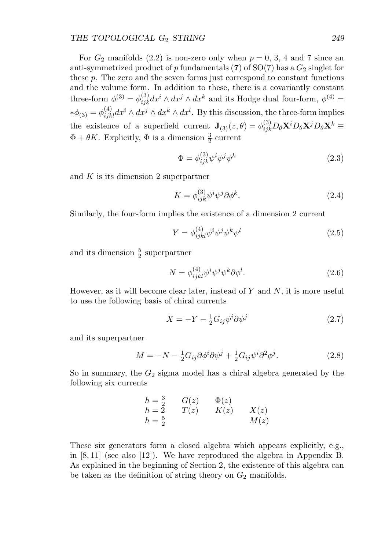For  $G_2$  manifolds (2.2) is non-zero only when  $p = 0, 3, 4$  and 7 since an anti-symmetrized product of p fundamentals  $(7)$  of  $SO(7)$  has a  $G_2$  singlet for these p. The zero and the seven forms just correspond to constant functions and the volume form. In addition to these, there is a covariantly constant three-form  $\phi^{(3)} = \phi_{ijk}^{(3)} dx^i \wedge dx^j \wedge dx^k$  and its Hodge dual four-form,  $\phi^{(4)} =$  $*\phi_{(3)} = \phi_{ijkl}^{(4)} dx^i \wedge dx^j \wedge dx^k \wedge dx^l$ . By this discussion, the three-form implies the existence of a superfield current  $\mathbf{J}_{(3)}(z,\theta) = \phi_{ijk}^{(3)} D_{\theta} \mathbf{X}^{i} D_{\theta} \mathbf{X}^{j} D_{\theta} \mathbf{X}^{k} \equiv$  $\Phi + \theta K$ . Explicitly,  $\Phi$  is a dimension  $\frac{3}{2}$  current

$$
\Phi = \phi_{ijk}^{(3)} \psi^i \psi^j \psi^k \tag{2.3}
$$

and  $K$  is its dimension 2 superpartner

$$
K = \phi_{ijk}^{(3)} \psi^i \psi^j \partial \phi^k.
$$
 (2.4)

Similarly, the four-form implies the existence of a dimension 2 current

$$
Y = \phi_{ijkl}^{(4)} \psi^i \psi^j \psi^k \psi^l \tag{2.5}
$$

and its dimension  $\frac{5}{2}$  superpartner

$$
N = \phi_{ijkl}^{(4)} \psi^i \psi^j \psi^k \partial \phi^l. \tag{2.6}
$$

However, as it will become clear later, instead of  $Y$  and  $N$ , it is more useful to use the following basis of chiral currents

$$
X = -Y - \frac{1}{2}G_{ij}\psi^i\partial\psi^j\tag{2.7}
$$

and its superpartner

$$
M = -N - \frac{1}{2}G_{ij}\partial\phi^i\partial\psi^j + \frac{1}{2}G_{ij}\psi^i\partial^2\phi^j.
$$
 (2.8)

So in summary, the  $G_2$  sigma model has a chiral algebra generated by the following six currents

$$
h = \frac{3}{2} \qquad G(z) \qquad \Phi(z)
$$
  
\n
$$
h = 2 \qquad T(z) \qquad K(z) \qquad X(z)
$$
  
\n
$$
h = \frac{5}{2} \qquad \qquad M(z)
$$

These six generators form a closed algebra which appears explicitly, e.g., in  $[8, 11]$  (see also  $[12]$ ). We have reproduced the algebra in Appendix B. As explained in the beginning of Section 2, the existence of this algebra can be taken as the definition of string theory on  $G_2$  manifolds.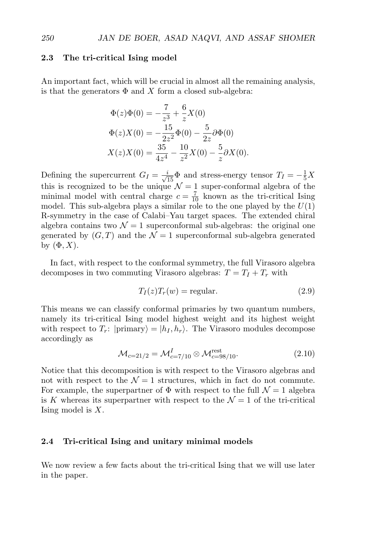#### **2.3 The tri-critical Ising model**

An important fact, which will be crucial in almost all the remaining analysis, is that the generators  $\Phi$  and X form a closed sub-algebra:

$$
\Phi(z)\Phi(0) = -\frac{7}{z^3} + \frac{6}{z}X(0)
$$

$$
\Phi(z)X(0) = -\frac{15}{2z^2}\Phi(0) - \frac{5}{2z}\partial\Phi(0)
$$

$$
X(z)X(0) = \frac{35}{4z^4} - \frac{10}{z^2}X(0) - \frac{5}{z}\partial X(0).
$$

Defining the supercurrent  $G_I = \frac{i}{\sqrt{15}} \Phi$  and stress-energy tensor  $T_I = -\frac{1}{5}X$ this is recognized to be the unique  $\mathcal{N}=1$  super-conformal algebra of the minimal model with central charge  $c = \frac{7}{10}$  known as the tri-critical Ising model. This sub-algebra plays a similar role to the one played by the  $U(1)$ R-symmetry in the case of Calabi–Yau target spaces. The extended chiral algebra contains two  $\mathcal{N}=1$  superconformal sub-algebras: the original one generated by  $(G, T)$  and the  $\mathcal{N} = 1$  superconformal sub-algebra generated by  $(\Phi, X)$ .

In fact, with respect to the conformal symmetry, the full Virasoro algebra decomposes in two commuting Virasoro algebras:  $T = T_I + T_r$  with

$$
T_I(z)T_r(w) = \text{regular.} \tag{2.9}
$$

This means we can classify conformal primaries by two quantum numbers, namely its tri-critical Ising model highest weight and its highest weight with respect to  $T_r$ :  $| \text{primary} \rangle = | h_I, h_r \rangle$ . The Virasoro modules decompose accordingly as

$$
\mathcal{M}_{c=21/2} = \mathcal{M}_{c=7/10}^{I} \otimes \mathcal{M}_{c=98/10}^{\text{rest}}.
$$
\n(2.10)

Notice that this decomposition is with respect to the Virasoro algebras and not with respect to the  $\mathcal{N}=1$  structures, which in fact do not commute. For example, the superpartner of  $\Phi$  with respect to the full  $\mathcal{N}=1$  algebra is K whereas its superpartner with respect to the  $\mathcal{N}=1$  of the tri-critical Ising model is  $X$ .

#### **2.4 Tri-critical Ising and unitary minimal models**

We now review a few facts about the tri-critical Ising that we will use later in the paper.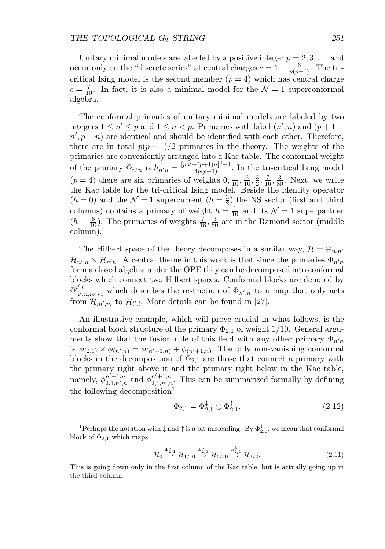Unitary minimal models are labelled by a positive integer  $p = 2, 3, \ldots$  and occur only on the "discrete series" at central charges  $c = 1 - \frac{6}{p(p+1)}$ . The tricritical Ising model is the second member  $(p = 4)$  which has central charge  $c = \frac{7}{10}$ . In fact, it is also a minimal model for the  $\mathcal{N} = 1$  superconformal algebra.

The conformal primaries of unitary minimal models are labeled by two integers  $1 \leq n' \leq p$  and  $1 \leq n < p$ . Primaries with label  $(n', n)$  and  $(p + 1 - p)$  $n', p - n$ ) are identical and should be identified with each other. Therefore, there are in total  $p(p-1)/2$  primaries in the theory. The weights of the primaries are conveniently arranged into a Kac table. The conformal weight of the primary  $\Phi_{n'n}$  is  $h_{n'n} = \frac{[pn' - (p+1)n]^2 - 1}{4p(p+1)}$ . In the tri-critical Ising model  $(p = 4)$  there are six primaries of weights  $0, \frac{1}{10}, \frac{6}{10}, \frac{3}{16}, \frac{7}{16}, \frac{3}{80}$ . Next, we write the Kac table for the tri-critical Ising model. Beside the identity operator  $(h = 0)$  and the  $\mathcal{N} = 1$  supercurrent  $(h = \frac{3}{2})$  the NS sector (first and third columns) contains a primary of weight  $h = \frac{1}{10}$  and its  $\mathcal{N} = 1$  superpartner  $(h = \frac{6}{10})$ . The primaries of weights  $\frac{7}{16}$ ,  $\frac{3}{80}$  are in the Ramond sector (middle column).

The Hilbert space of the theory decomposes in a similar way,  $\mathcal{H} = \bigoplus_{n,n'}$  $\mathcal{H}_{n',n} \times \tilde{\mathcal{H}}_{n'n}$ . A central theme in this work is that since the primaries  $\Phi_{n'n}$ form a closed algebra under the OPE they can be decomposed into conformal blocks which connect two Hilbert spaces. Conformal blocks are denoted by  $\Phi_{n'}^{l',l}$  $\mathbb{R}^{n'}$ , which describes the restriction of  $\Phi_{n',n}$  to a map that only acts from  $\mathcal{H}_{m',m}$  to  $\mathcal{H}_{l',l}$ . More details can be found in [27].

An illustrative example, which will prove crucial in what follows, is the conformal block structure of the primary  $\Phi_{2,1}$  of weight 1/10. General arguments show that the fusion rule of this field with any other primary  $\Phi_{n'n}$ is  $\phi_{(2,1)} \times \phi_{(n',n)} = \phi_{(n'-1,n)} + \phi_{(n'+1,n)}$ . The only non-vanishing conformal blocks in the decomposition of  $\Phi_{2,1}$  are those that connect a primary with the primary right above it and the primary right below in the Kac table, namely,  $\phi_{2}^{n'-1,n}$  $\frac{n^{j}-1,n}{2,1,n',n}$  and  $\phi_{2,1,n',n}^{n'+1,n}$  $\sum_{i=1,n',n}^{n'+1,n}$ . This can be summarized formally by defining the following decomposition<sup>1</sup>

$$
\Phi_{2,1} = \Phi_{2,1}^{\downarrow} \oplus \Phi_{2,1}^{\uparrow}.
$$
\n(2.12)

$$
\mathcal{H}_0 \stackrel{\Phi_{2,1}^{\downarrow}}{\rightarrow} \mathcal{H}_{1/10} \stackrel{\Phi_{2,1}^{\downarrow}}{\rightarrow} \mathcal{H}_{6/10} \stackrel{\Phi_{2,1}^{\downarrow}}{\rightarrow} \mathcal{H}_{3/2}.
$$
 (2.11)

<sup>&</sup>lt;sup>1</sup>Perhaps the notation with  $\downarrow$  and  $\uparrow$  is a bit misleading. By  $\Phi_{2,1}^{\downarrow}$ , we mean that conformal block of  $\Phi_{2,1}$  which maps

This is going down only in the first column of the Kac table, but is actually going up in the third column.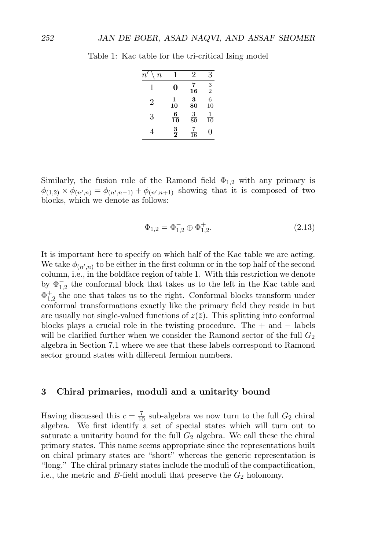| $\it n$<br>п   |                | 2              | 3              |
|----------------|----------------|----------------|----------------|
| 1              | 0              | $\frac{7}{16}$ | $\frac{3}{2}$  |
| $\overline{2}$ | $\frac{1}{10}$ | $\frac{3}{80}$ | $\frac{6}{10}$ |
| 3              | $\frac{6}{10}$ | $\frac{3}{80}$ | $\frac{1}{10}$ |
| 4              | $\frac{3}{2}$  | $\frac{7}{16}$ | ( )            |

Table 1: Kac table for the tri-critical Ising model

Similarly, the fusion rule of the Ramond field  $\Phi_{1,2}$  with any primary is  $\phi_{(1,2)} \times \phi_{(n',n)} = \phi_{(n',n-1)} + \phi_{(n',n+1)}$  showing that it is composed of two blocks, which we denote as follows:

$$
\Phi_{1,2} = \Phi_{1,2}^- \oplus \Phi_{1,2}^+.
$$
\n(2.13)

It is important here to specify on which half of the Kac table we are acting. We take  $\phi_{(n',n)}$  to be either in the first column or in the top half of the second column, i.e., in the boldface region of table 1. With this restriction we denote by  $\Phi_{1,2}^-$  the conformal block that takes us to the left in the Kac table and  $\Phi_{1,2}^{+}$  the one that takes us to the right. Conformal blocks transform under conformal transformations exactly like the primary field they reside in but are usually not single-valued functions of  $z(\bar{z})$ . This splitting into conformal blocks plays a crucial role in the twisting procedure. The  $+$  and  $-$  labels will be clarified further when we consider the Ramond sector of the full  $G_2$ algebra in Section 7.1 where we see that these labels correspond to Ramond sector ground states with different fermion numbers.

#### **3 Chiral primaries, moduli and a unitarity bound**

Having discussed this  $c = \frac{7}{10}$  sub-algebra we now turn to the full  $G_2$  chiral algebra. We first identify a set of special states which will turn out to saturate a unitarity bound for the full  $G_2$  algebra. We call these the chiral primary states. This name seems appropriate since the representations built on chiral primary states are "short" whereas the generic representation is "long." The chiral primary states include the moduli of the compactification, i.e., the metric and B-field moduli that preserve the  $G_2$  holonomy.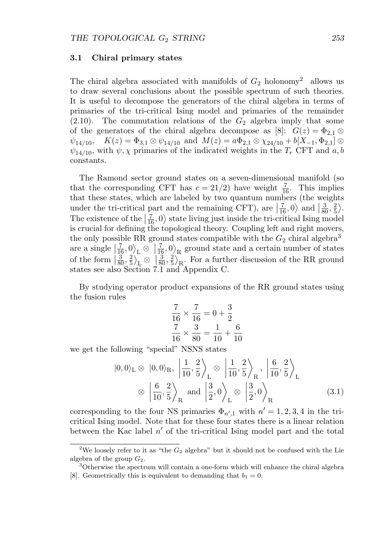#### **3.1 Chiral primary states**

The chiral algebra associated with manifolds of  $G_2$  holonomy<sup>2</sup> allows us to draw several conclusions about the possible spectrum of such theories. It is useful to decompose the generators of the chiral algebra in terms of primaries of the tri-critical Ising model and primaries of the remainder  $(2.10)$ . The commutation relations of the  $G_2$  algebra imply that some of the generators of the chiral algebra decompose as [8]:  $G(z) = \Phi_{2,1} \otimes$  $\psi_{14/10}$ ,  $K(z)=\Phi_{3,1}\otimes \psi_{14/10}$  and  $M(z)=a\Phi_{2,1}\otimes \chi_{24/10}+b[X_{-1},\Phi_{2,1}]\otimes$  $\psi_{14/10}$ , with  $\psi$ ,  $\chi$  primaries of the indicated weights in the  $T_r$  CFT and  $a, b$ constants.

The Ramond sector ground states on a seven-dimensional manifold (so that the corresponding CFT has  $c = 21/2$ ) have weight  $\frac{7}{16}$ . This implies that these states, which are labeled by two quantum numbers (the weights under the tri-critical part and the remaining CFT), are  $\left|\frac{7}{16},0\right\rangle$  and  $\left|\frac{3}{80},\frac{2}{5}\right\rangle$ . The existence of the  $\left|\frac{7}{16},0\right\rangle$  state living just inside the tri-critical Ising model<br>is enucled for defining the tenelected theory. Counting left and right message is crucial for defining the topological theory. Coupling left and right movers, the only possible RR ground states compatible with the  $G_2$  chiral algebra<sup>3</sup> are a single  $\left|\frac{7}{16},0\right\rangle_L \otimes \left|\frac{7}{16},0\right\rangle_R$  ground state and a certain number of states of the form  $\left|\frac{3}{80},\frac{2}{5}\right\rangle_{\mathbf{R}} \otimes \left|\frac{3}{80},\frac{2}{5}\right\rangle_{\mathbf{R}}$ . For a further discussion of the RR ground states see also Section 7.1 and Appendix C.

By studying operator product expansions of the RR ground states using the fusion rules

$$
\frac{7}{16} \times \frac{7}{16} = 0 + \frac{3}{2}
$$

$$
\frac{7}{16} \times \frac{3}{80} = \frac{1}{10} + \frac{6}{10}
$$

we get the following "special" NSNS states

$$
|0,0\rangle_{\text{L}} \otimes |0,0\rangle_{\text{R}}, \left|\frac{1}{10},\frac{2}{5}\right\rangle_{\text{L}} \otimes \left|\frac{1}{10},\frac{2}{5}\right\rangle_{\text{R}}, \left|\frac{6}{10},\frac{2}{5}\right\rangle_{\text{L}}
$$
  
 $\otimes \left|\frac{6}{10},\frac{2}{5}\right\rangle_{\text{R}}$  and  $\left|\frac{3}{2},0\right\rangle_{\text{L}} \otimes \left|\frac{3}{2},0\right\rangle_{\text{R}}$  (3.1)

corresponding to the four NS primaries  $\Phi_{n',1}$  with  $n'=1,2,3,4$  in the tricritical Ising model. Note that for these four states there is a linear relation between the Kac label  $n'$  of the tri-critical Ising model part and the total

<sup>&</sup>lt;sup>2</sup>We loosely refer to it as "the  $G_2$  algebra" but it should not be confused with the Lie algebra of the group  $G_2$ .

<sup>&</sup>lt;sup>3</sup>Otherwise the spectrum will contain a one-form which will enhance the chiral algebra [8]. Geometrically this is equivalent to demanding that  $b_1 = 0$ .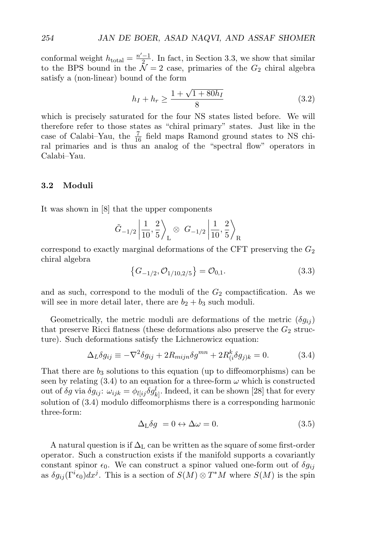conformal weight  $h_{\text{total}} = \frac{n'-1}{2}$ . In fact, in Section 3.3, we show that similar to the BPS bound in the  $\mathcal{N} = 2$  case, primaries of the  $G_2$  chiral algebra satisfy a (non-linear) bound of the form

$$
h_I + h_r \ge \frac{1 + \sqrt{1 + 80h_I}}{8} \tag{3.2}
$$

which is precisely saturated for the four NS states listed before. We will therefore refer to those states as "chiral primary" states. Just like in the case of Calabi–Yau, the  $\frac{7}{16}$  field maps Ramond ground states to NS chiral primaries and is thus an analog of the "spectral flow" operators in Calabi–Yau.

#### **3.2 Moduli**

It was shown in [8] that the upper components

$$
\tilde{G}_{-1/2} \left| \frac{1}{10}, \frac{2}{5} \right\rangle_{\rm L} \otimes G_{-1/2} \left| \frac{1}{10}, \frac{2}{5} \right\rangle_{\rm R}
$$

correspond to exactly marginal deformations of the CFT preserving the  $G_2$ chiral algebra

$$
\left\{G_{-1/2}, \mathcal{O}_{1/10, 2/5}\right\} = \mathcal{O}_{0,1}.\tag{3.3}
$$

and as such, correspond to the moduli of the  $G_2$  compactification. As we will see in more detail later, there are  $b_2 + b_3$  such moduli.

Geometrically, the metric moduli are deformations of the metric  $(\delta g_{ij})$ that preserve Ricci flatness (these deformations also preserve the  $G_2$  structure). Such deformations satisfy the Lichnerowicz equation:

$$
\Delta_L \delta g_{ij} \equiv -\nabla^2 \delta g_{ij} + 2R_{mijn} \delta g^{mn} + 2R_{(i}^k \delta g_{j)k} = 0.
$$
 (3.4)

That there are  $b_3$  solutions to this equation (up to diffeomorphisms) can be seen by relating (3.4) to an equation for a three-form  $\omega$  which is constructed out of  $\delta g$  via  $\delta g_{ij}$ :  $\omega_{ijk} = \phi_{l[ij} \delta g_{k]}^l$ . Indeed, it can be shown [28] that for every solution of (3.4) modulo diffeomorphisms there is a corresponding harmonic three-form:

$$
\Delta_{\mathcal{L}} \delta g = 0 \leftrightarrow \Delta \omega = 0. \tag{3.5}
$$

A natural question is if  $\Delta_{\rm L}$  can be written as the square of some first-order operator. Such a construction exists if the manifold supports a covariantly constant spinor  $\epsilon_0$ . We can construct a spinor valued one-form out of  $\delta g_{ij}$ as  $\delta g_{ij}(\Gamma^i \epsilon_0) dx^j$ . This is a section of  $S(M) \otimes T^*M$  where  $S(M)$  is the spin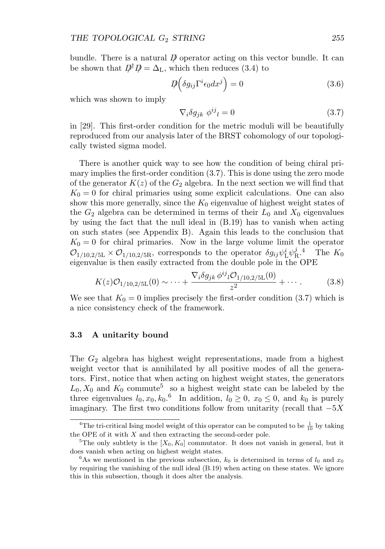bundle. There is a natural  $\vec{p}$  operator acting on this vector bundle. It can be shown that  $D^{\dagger} D = \Delta_{\rm L}$ , which then reduces (3.4) to

$$
D\!\!\!\!\!/\left(\delta g_{ij}\Gamma^i\epsilon_0 dx^j\right) = 0\tag{3.6}
$$

which was shown to imply

$$
\nabla_i \delta g_{jk} \phi^{ij}{}_l = 0 \tag{3.7}
$$

in [29]. This first-order condition for the metric moduli will be beautifully reproduced from our analysis later of the BRST cohomology of our topologically twisted sigma model.

There is another quick way to see how the condition of being chiral primary implies the first-order condition (3.7). This is done using the zero mode of the generator  $K(z)$  of the  $G_2$  algebra. In the next section we will find that  $K_0 = 0$  for chiral primaries using some explicit calculations. One can also show this more generally, since the  $K_0$  eigenvalue of highest weight states of the  $G_2$  algebra can be determined in terms of their  $L_0$  and  $X_0$  eigenvalues by using the fact that the null ideal in (B.19) has to vanish when acting on such states (see Appendix B). Again this leads to the conclusion that  $K_0 = 0$  for chiral primaries. Now in the large volume limit the operator  $\mathcal{O}_{1/10,2/5L} \times \mathcal{O}_{1/10,2/5R}$ , corresponds to the operator  $\delta g_{ij} \psi_L^i \psi_R^j$ .<sup>4</sup> The  $K_0$ eigenvalue is then easily extracted from the double pole in the OPE

$$
K(z)\mathcal{O}_{1/10,2/5\mathcal{L}}(0) \sim \dots + \frac{\nabla_i \delta g_{jk} \phi^{ij} \iota \mathcal{O}_{1/10,2/5\mathcal{L}}(0)}{z^2} + \dots \tag{3.8}
$$

We see that  $K_0 = 0$  implies precisely the first-order condition (3.7) which is a nice consistency check of the framework.

#### **3.3 A unitarity bound**

The  $G_2$  algebra has highest weight representations, made from a highest weight vector that is annihilated by all positive modes of all the generators. First, notice that when acting on highest weight states, the generators  $L_0, X_0$  and  $K_0$  commute<sup>5</sup> so a highest weight state can be labeled by the three eigenvalues  $l_0, x_0, k_0$ <sup>6</sup> In addition,  $l_0 \geq 0$ ,  $x_0 \leq 0$ , and  $k_0$  is purely imaginary. The first two conditions follow from unitarity (recall that  $-5X$ 

<sup>&</sup>lt;sup>4</sup>The tri-critical Ising model weight of this operator can be computed to be  $\frac{1}{10}$  by taking the OPE of it with  $X$  and then extracting the second-order pole.

<sup>&</sup>lt;sup>5</sup>The only subtlety is the  $[X_0, K_0]$  commutator. It does not vanish in general, but it does vanish when acting on highest weight states.

<sup>&</sup>lt;sup>6</sup>As we mentioned in the previous subsection,  $k_0$  is determined in terms of  $l_0$  and  $x_0$ by requiring the vanishing of the null ideal (B.19) when acting on these states. We ignore this in this subsection, though it does alter the analysis.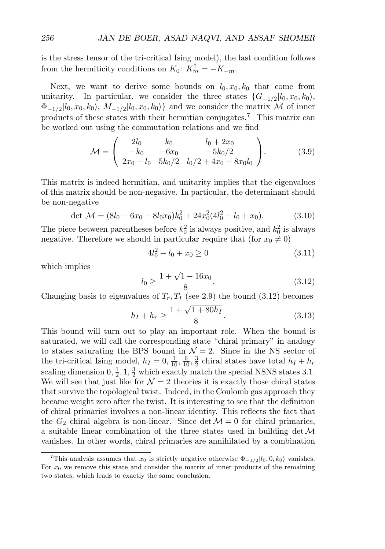is the stress tensor of the tri-critical Ising model), the last condition follows from the hermiticity conditions on  $K_0$ :  $K_m^{\dagger} = -K_{-m}$ .

Next, we want to derive some bounds on  $l_0, x_0, k_0$  that come from unitarity. In particular, we consider the three states  $\{G_{-1/2}|l_0, x_0, k_0\rangle$ ,  $\Phi_{-1/2}|l_0, x_0, k_0\rangle$ ,  $M_{-1/2}|l_0, x_0, k_0\rangle$  and we consider the matrix M of inner products of these states with their hermitian conjugates.<sup>7</sup> This matrix can be worked out using the commutation relations and we find

$$
\mathcal{M} = \begin{pmatrix} 2l_0 & k_0 & l_0 + 2x_0 \\ -k_0 & -6x_0 & -5k_0/2 \\ 2x_0 + l_0 & 5k_0/2 & l_0/2 + 4x_0 - 8x_0l_0 \end{pmatrix}.
$$
 (3.9)

This matrix is indeed hermitian, and unitarity implies that the eigenvalues of this matrix should be non-negative. In particular, the determinant should be non-negative

$$
\det \mathcal{M} = (8l_0 - 6x_0 - 8l_0x_0)k_0^2 + 24x_0^2(4l_0^2 - l_0 + x_0). \tag{3.10}
$$

The piece between parentheses before  $k_0^2$  is always positive, and  $k_0^2$  is always negative. Therefore we should in particular require that (for  $x_0 \neq 0$ )

$$
4l_0^2 - l_0 + x_0 \ge 0 \tag{3.11}
$$

which implies

$$
l_0 \ge \frac{1 + \sqrt{1 - 16x_0}}{8}.\tag{3.12}
$$

Changing basis to eigenvalues of  $T_r$ ,  $T_I$  (see 2.9) the bound (3.12) becomes

$$
h_I + h_r \ge \frac{1 + \sqrt{1 + 80h_I}}{8}.
$$
\n(3.13)

This bound will turn out to play an important role. When the bound is saturated, we will call the corresponding state "chiral primary" in analogy to states saturating the BPS bound in  $\mathcal{N}=2$ . Since in the NS sector of the tri-critical Ising model,  $h_I = 0, \frac{1}{10}, \frac{6}{10}, \frac{3}{2}$  chiral states have total  $h_I + h_r$ scaling dimension  $0, \frac{1}{2}, 1, \frac{3}{2}$  which exactly match the special NSNS states 3.1. We will see that just like for  $\mathcal{N} = 2$  theories it is exactly those chiral states that survive the topological twist. Indeed, in the Coulomb gas approach they became weight zero after the twist. It is interesting to see that the definition of chiral primaries involves a non-linear identity. This reflects the fact that the  $G_2$  chiral algebra is non-linear. Since det  $\mathcal{M}=0$  for chiral primaries, a suitable linear combination of the three states used in building  $\det \mathcal{M}$ vanishes. In other words, chiral primaries are annihilated by a combination

<sup>&</sup>lt;sup>7</sup>This analysis assumes that  $x_0$  is strictly negative otherwise  $\Phi_{-1/2}|l_0, 0, k_0\rangle$  vanishes. For  $x_0$  we remove this state and consider the matrix of inner products of the remaining two states, which leads to exactly the same conclusion.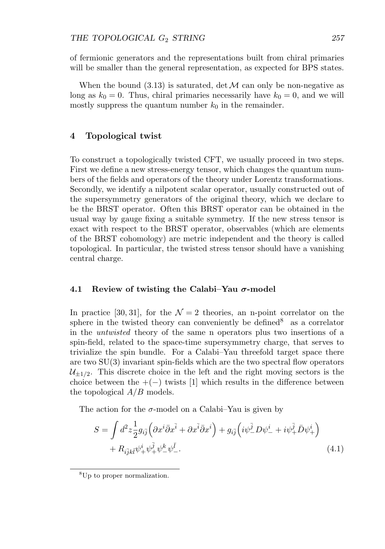of fermionic generators and the representations built from chiral primaries will be smaller than the general representation, as expected for BPS states.

When the bound  $(3.13)$  is saturated, det M can only be non-negative as long as  $k_0 = 0$ . Thus, chiral primaries necessarily have  $k_0 = 0$ , and we will mostly suppress the quantum number  $k_0$  in the remainder.

#### **4 Topological twist**

To construct a topologically twisted CFT, we usually proceed in two steps. First we define a new stress-energy tensor, which changes the quantum numbers of the fields and operators of the theory under Lorentz transformations. Secondly, we identify a nilpotent scalar operator, usually constructed out of the supersymmetry generators of the original theory, which we declare to be the BRST operator. Often this BRST operator can be obtained in the usual way by gauge fixing a suitable symmetry. If the new stress tensor is exact with respect to the BRST operator, observables (which are elements of the BRST cohomology) are metric independent and the theory is called topological. In particular, the twisted stress tensor should have a vanishing central charge.

#### **4.1 Review of twisting the Calabi–Yau** *σ***-model**

In practice [30, 31], for the  $\mathcal{N}=2$  theories, an n-point correlator on the sphere in the twisted theory can conveniently be defined  $\delta$  as a correlator in the untwisted theory of the same n operators plus two insertions of a spin-field, related to the space-time supersymmetry charge, that serves to trivialize the spin bundle. For a Calabi–Yau threefold target space there are two  $SU(3)$  invariant spin-fields which are the two spectral flow operators  $\mathcal{U}_{\pm 1/2}$ . This discrete choice in the left and the right moving sectors is the choice between the  $+(-)$  twists [1] which results in the difference between the topological  $A/B$  models.

The action for the  $\sigma$ -model on a Calabi–Yau is given by

$$
S = \int d^2 z \frac{1}{2} g_{i\bar{j}} \left( \partial x^i \bar{\partial} x^{\bar{i}} + \partial x^{\bar{i}} \bar{\partial} x^i \right) + g_{i\bar{j}} \left( i \psi_-^{\bar{j}} D \psi_-^i + i \psi_+^{\bar{j}} \bar{D} \psi_+^i \right) + R_{i\bar{j}k\bar{l}} \psi_+^i \psi_+^{\bar{j}} \psi_-^k \psi_-^{\bar{l}}.
$$
\n
$$
(4.1)
$$

<sup>8</sup>Up to proper normalization.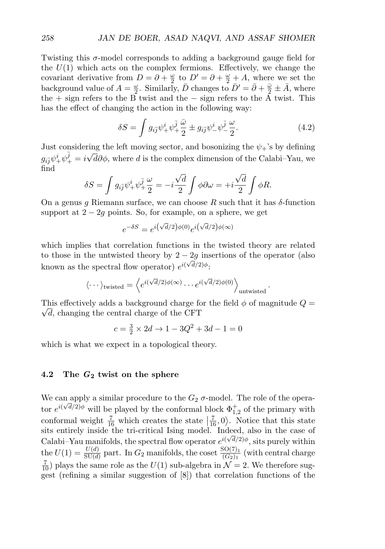Twisting this  $\sigma$ -model corresponds to adding a background gauge field for the  $U(1)$  which acts on the complex fermions. Effectively, we change the covariant derivative from  $D = \partial + \frac{\omega}{2}$  to  $D' = \partial + \frac{\omega}{2} + A$ , where we set the background value of  $A = \frac{\omega}{2}$ . Similarly,  $\bar{D}$  changes to  $\bar{D}' = \bar{\partial} + \frac{\bar{\omega}}{2} \pm \bar{A}$ , where the + sign refers to the B twist and the − sign refers to the A twist. This has the effect of changing the action in the following way:

$$
\delta S = \int g_{i\bar{j}} \psi_+^i \psi_+^{\bar{j}} \frac{\bar{\omega}}{2} \pm g_{i\bar{j}} \psi_-^i \psi_-^{\bar{j}} \frac{\omega}{2}.
$$
 (4.2)

Just considering the left moving sector, and bosonizing the  $\psi_+$ 's by defining  $g_{i\bar{j}}\psi^i_+\psi^{\bar{j}}_+=i\sqrt{d}\partial\phi$ , where d is the complex dimension of the Calabi–Yau, we find √ √

$$
\delta S = \int g_{i\bar{j}} \psi_+^i \psi_+^{\bar{j}} \frac{\omega}{2} = -i \frac{\sqrt{d}}{2} \int \phi \partial \omega = +i \frac{\sqrt{d}}{2} \int \phi R.
$$

On a genus g Riemann surface, we can choose R such that it has  $\delta$ -function support at  $2 - 2g$  points. So, for example, on a sphere, we get

$$
e^{-\delta S} = e^{i(\sqrt{d}/2)\phi(0)}e^{i(\sqrt{d}/2)\phi(\infty)}
$$

which implies that correlation functions in the twisted theory are related to those in the untwisted theory by  $2 - 2g$  insertions of the operator (also known as the spectral flow operator)  $e^{i(\sqrt{d}/2)}$ .

$$
\langle \cdots \rangle_{\text{twisted}} = \left\langle e^{i(\sqrt{d}/2)\phi(\infty)} \cdots e^{i(\sqrt{d}/2)\phi(0)} \right\rangle_{\text{untwisted}}.
$$

This effectively adds a background charge for the field  $\phi$  of magnitude  $Q = \overline{Q}$  $\sqrt{d}$ , changing the central charge of the CFT

$$
c = \frac{3}{2} \times 2d \to 1 - 3Q^2 + 3d - 1 = 0
$$

which is what we expect in a topological theory.

#### **4.2 The** *G***<sup>2</sup> twist on the sphere**

We can apply a similar procedure to the  $G_2$   $\sigma$ -model. The role of the operator  $e^{i(\sqrt{d}/2)\phi}$  will be played by the conformal block  $\Phi_{1,2}^+$  of the primary with conformal weight  $\frac{7}{16}$  which creates the state  $\frac{7}{16}$ , 0). Notice that this state sits entirely inside the tri-critical Ising model. Indeed, also in the case of Calabi–Yau manifolds, the spectral flow operator  $e^{i(\sqrt{d}/2)}\phi$ , sits purely within the  $U(1) = \frac{U(d)}{SU(d)}$  part. In  $G_2$  manifolds, the coset  $\frac{SO(7)_1}{(G_2)_1}$  (with central charge  $\frac{7}{10}$ ) plays the same role as the  $U(1)$  sub-algebra in  $\mathcal{N}=2$ . We therefore suggest (refining a similar suggestion of [8]) that correlation functions of the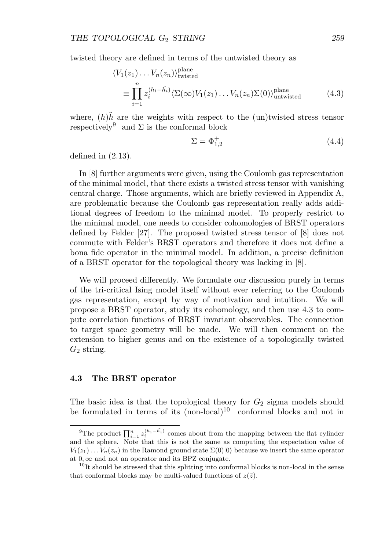twisted theory are defined in terms of the untwisted theory as

$$
\langle V_1(z_1) \dots V_n(z_n) \rangle_{\text{twisted}}^{\text{plane}}
$$
  

$$
\equiv \prod_{i=1}^n z_i^{(h_i - \tilde{h}_i)} \langle \Sigma(\infty) V_1(z_1) \dots V_n(z_n) \Sigma(0) \rangle_{\text{untwisted}}^{\text{plane}}
$$
(4.3)

where,  $(h)h$ <sup>n</sup> are the weights with respect to the (un)twisted stress tensor respectively<sup>9</sup> and  $\Sigma$  is the conformal block

$$
\Sigma = \Phi_{1,2}^+ \tag{4.4}
$$

defined in  $(2.13)$ .

In [8] further arguments were given, using the Coulomb gas representation of the minimal model, that there exists a twisted stress tensor with vanishing central charge. Those arguments, which are briefly reviewed in Appendix A, are problematic because the Coulomb gas representation really adds additional degrees of freedom to the minimal model. To properly restrict to the minimal model, one needs to consider cohomologies of BRST operators defined by Felder [27]. The proposed twisted stress tensor of [8] does not commute with Felder's BRST operators and therefore it does not define a bona fide operator in the minimal model. In addition, a precise definition of a BRST operator for the topological theory was lacking in [8].

We will proceed differently. We formulate our discussion purely in terms of the tri-critical Ising model itself without ever referring to the Coulomb gas representation, except by way of motivation and intuition. We will propose a BRST operator, study its cohomology, and then use 4.3 to compute correlation functions of BRST invariant observables. The connection to target space geometry will be made. We will then comment on the extension to higher genus and on the existence of a topologically twisted  $G_2$  string.

#### **4.3 The BRST operator**

The basic idea is that the topological theory for  $G_2$  sigma models should be formulated in terms of its  $(non-local)^{10}$  conformal blocks and not in

<sup>&</sup>lt;sup>9</sup>The product  $\prod_{i=1}^n z_i^{(h_i - \tilde{h_i})}$  comes about from the mapping between the flat cylinder and the sphere. Note that this is not the same as computing the expectation value of  $V_1(z_1) \ldots V_n(z_n)$  in the Ramond ground state  $\Sigma(0)|0\rangle$  because we insert the same operator at  $0, \infty$  and not an operator and its BPZ conjugate.

 $10$ It should be stressed that this splitting into conformal blocks is non-local in the sense that conformal blocks may be multi-valued functions of  $z(\bar{z})$ .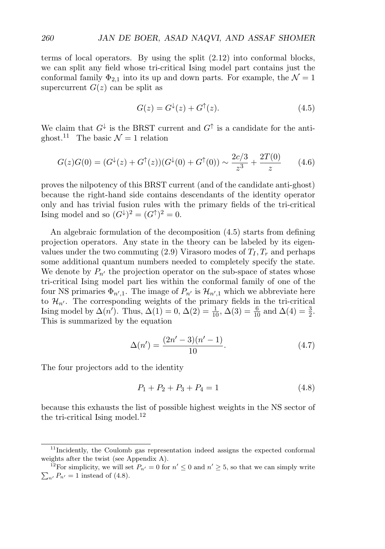terms of local operators. By using the split (2.12) into conformal blocks, we can split any field whose tri-critical Ising model part contains just the conformal family  $\Phi_{2,1}$  into its up and down parts. For example, the  $\mathcal{N}=1$ supercurrent  $G(z)$  can be split as

$$
G(z) = G^{\downarrow}(z) + G^{\uparrow}(z). \tag{4.5}
$$

We claim that  $G^{\downarrow}$  is the BRST current and  $G^{\uparrow}$  is a candidate for the antighost.<sup>11</sup> The basic  $\mathcal{N} = 1$  relation

$$
G(z)G(0) = (G^{\downarrow}(z) + G^{\uparrow}(z))(G^{\downarrow}(0) + G^{\uparrow}(0)) \sim \frac{2c/3}{z^3} + \frac{2T(0)}{z}
$$
 (4.6)

proves the nilpotency of this BRST current (and of the candidate anti-ghost) because the right-hand side contains descendants of the identity operator only and has trivial fusion rules with the primary fields of the tri-critical Ising model and so  $(G^{\downarrow})^2 = (G^{\uparrow})^2 = 0$ .

An algebraic formulation of the decomposition (4.5) starts from defining projection operators. Any state in the theory can be labeled by its eigenvalues under the two commuting  $(2.9)$  Virasoro modes of  $T_I, T_r$  and perhaps some additional quantum numbers needed to completely specify the state. We denote by  $P_{n'}$  the projection operator on the sub-space of states whose tri-critical Ising model part lies within the conformal family of one of the four NS primaries  $\Phi_{n',1}$ . The image of  $P_{n'}$  is  $\mathcal{H}_{n',1}$  which we abbreviate here to  $\mathcal{H}_{n'}$ . The corresponding weights of the primary fields in the tri-critical Ising model by  $\Delta(n')$ . Thus,  $\Delta(1) = 0$ ,  $\Delta(2) = \frac{1}{10}$ ,  $\Delta(3) = \frac{6}{10}$  and  $\Delta(4) = \frac{3}{2}$ . This is summarized by the equation

$$
\Delta(n') = \frac{(2n'-3)(n'-1)}{10}.\tag{4.7}
$$

The four projectors add to the identity

$$
P_1 + P_2 + P_3 + P_4 = 1 \tag{4.8}
$$

because this exhausts the list of possible highest weights in the NS sector of the tri-critical Ising model.<sup>12</sup>

<sup>&</sup>lt;sup>11</sup>Incidently, the Coulomb gas representation indeed assigns the expected conformal weights after the twist (see Appendix A).

<sup>&</sup>lt;sup>12</sup>For simplicity, we will set  $P_{n'} = 0$  for  $n' \le 0$  and  $n' \ge 5$ , so that we can simply write  $\sum_{n'} P_{n'} = 1$  instead of (4.8).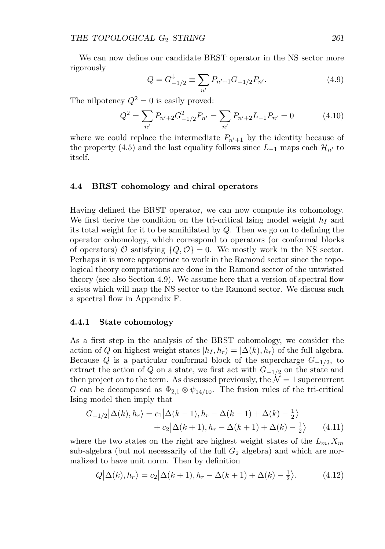We can now define our candidate BRST operator in the NS sector more rigorously

$$
Q = G_{-1/2}^{\downarrow} \equiv \sum_{n'} P_{n'+1} G_{-1/2} P_{n'}.
$$
 (4.9)

The nilpotency  $Q^2 = 0$  is easily proved:

$$
Q^2 = \sum_{n'} P_{n'+2} G^2_{-1/2} P_{n'} = \sum_{n'} P_{n'+2} L_{-1} P_{n'} = 0 \tag{4.10}
$$

where we could replace the intermediate  $P_{n'+1}$  by the identity because of the property (4.5) and the last equality follows since  $L_{-1}$  maps each  $\mathcal{H}_{n'}$  to itself.

#### **4.4 BRST cohomology and chiral operators**

Having defined the BRST operator, we can now compute its cohomology. We first derive the condition on the tri-critical Ising model weight  $h_I$  and its total weight for it to be annihilated by Q. Then we go on to defining the operator cohomology, which correspond to operators (or conformal blocks of operators)  $\mathcal O$  satisfying  $\{Q, \mathcal O\} = 0$ . We mostly work in the NS sector. Perhaps it is more appropriate to work in the Ramond sector since the topological theory computations are done in the Ramond sector of the untwisted theory (see also Section 4.9). We assume here that a version of spectral flow exists which will map the NS sector to the Ramond sector. We discuss such a spectral flow in Appendix F.

#### **4.4.1 State cohomology**

As a first step in the analysis of the BRST cohomology, we consider the action of Q on highest weight states  $|h_I, h_r\rangle = |\Delta(k), h_r\rangle$  of the full algebra. Because Q is a particular conformal block of the supercharge  $G_{-1/2}$ , to extract the action of Q on a state, we first act with  $G_{-1/2}$  on the state and then project on to the term. As discussed previously, the  $\mathcal{N}=1$  supercurrent G can be decomposed as  $\Phi_{2,1} \otimes \psi_{14/10}$ . The fusion rules of the tri-critical Ising model then imply that

$$
G_{-1/2}|\Delta(k),h_r\rangle = c_1|\Delta(k-1),h_r - \Delta(k-1) + \Delta(k) - \frac{1}{2}\rangle
$$
  
+ 
$$
c_2|\Delta(k+1),h_r - \Delta(k+1) + \Delta(k) - \frac{1}{2}\rangle
$$
 (4.11)

where the two states on the right are highest weight states of the  $L_m, X_m$ sub-algebra (but not necessarily of the full  $G_2$  algebra) and which are normalized to have unit norm. Then by definition

$$
Q|\Delta(k), h_r\rangle = c_2|\Delta(k+1), h_r - \Delta(k+1) + \Delta(k) - \frac{1}{2}\rangle.
$$
 (4.12)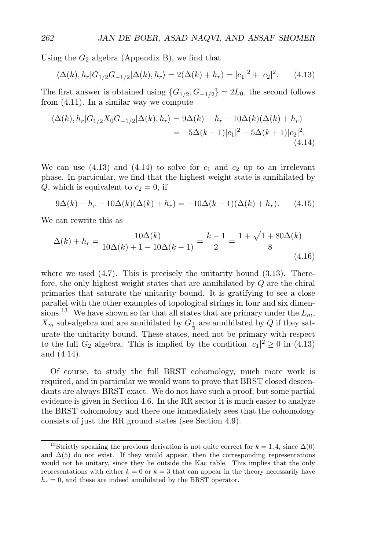Using the  $G_2$  algebra (Appendix B), we find that

$$
\langle \Delta(k), h_r | G_{1/2} G_{-1/2} | \Delta(k), h_r \rangle = 2(\Delta(k) + h_r) = |c_1|^2 + |c_2|^2. \tag{4.13}
$$

The first answer is obtained using  $\{G_{1/2}, G_{-1/2}\} = 2L_0$ , the second follows from (4.11). In a similar way we compute

$$
\langle \Delta(k), h_r | G_{1/2} X_0 G_{-1/2} | \Delta(k), h_r \rangle = 9 \Delta(k) - h_r - 10 \Delta(k) (\Delta(k) + h_r)
$$
  
= 
$$
-5 \Delta(k-1) |c_1|^2 - 5 \Delta(k+1) |c_2|^2.
$$
(4.14)

We can use  $(4.13)$  and  $(4.14)$  to solve for  $c_1$  and  $c_2$  up to an irrelevant phase. In particular, we find that the highest weight state is annihilated by  $Q$ , which is equivalent to  $c_2 = 0$ , if

$$
9\Delta(k) - h_r - 10\Delta(k)(\Delta(k) + h_r) = -10\Delta(k - 1)(\Delta(k) + h_r). \tag{4.15}
$$

We can rewrite this as

$$
\Delta(k) + h_r = \frac{10\Delta(k)}{10\Delta(k) + 1 - 10\Delta(k - 1)} = \frac{k - 1}{2} = \frac{1 + \sqrt{1 + 80\Delta(k)}}{8}
$$
\n(4.16)

where we used  $(4.7)$ . This is precisely the unitarity bound  $(3.13)$ . Therefore, the only highest weight states that are annihilated by Q are the chiral primaries that saturate the unitarity bound. It is gratifying to see a close parallel with the other examples of topological strings in four and six dimensions.<sup>13</sup> We have shown so far that all states that are primary under the  $L_m$ ,  $X_m$  sub-algebra and are annihilated by  $G_{\frac{1}{2}}$  are annihilated by Q if they sat-2 urate the unitarity bound. These states, need not be primary with respect to the full  $G_2$  algebra. This is implied by the condition  $|c_1|^2 \ge 0$  in (4.13) and (4.14).

Of course, to study the full BRST cohomology, much more work is required, and in particular we would want to prove that BRST closed descendants are always BRST exact. We do not have such a proof, but some partial evidence is given in Section 4.6. In the RR sector it is much easier to analyze the BRST cohomology and there one immediately sees that the cohomology consists of just the RR ground states (see Section 4.9).

<sup>&</sup>lt;sup>13</sup>Strictly speaking the previous derivation is not quite correct for  $k = 1, 4$ , since  $\Delta(0)$ and  $\Delta(5)$  do not exist. If they would appear, then the corresponding representations would not be unitary, since they lie outside the Kac table. This implies that the only representations with either  $k = 0$  or  $k = 3$  that can appear in the theory necessarily have  $h_r = 0$ , and these are indeed annihilated by the BRST operator.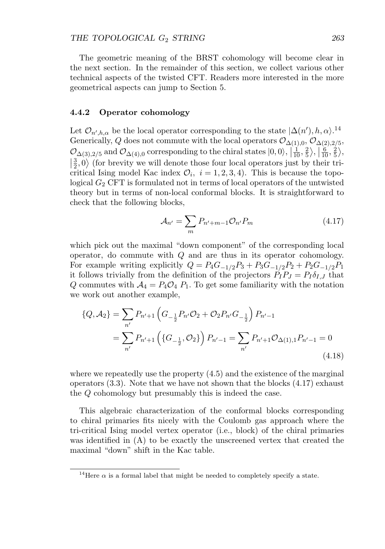The geometric meaning of the BRST cohomology will become clear in the next section. In the remainder of this section, we collect various other technical aspects of the twisted CFT. Readers more interested in the more geometrical aspects can jump to Section 5.

#### **4.4.2 Operator cohomology**

Let  $\mathcal{O}_{n',h,\alpha}$  be the local operator corresponding to the state  $|\Delta(n'),h,\alpha\rangle^{14}$ Generically, Q does not commute with the local operators  $\mathcal{O}_{\Delta(1),0}$ ,  $\mathcal{O}_{\Delta(2),2/5}$ ,  $\mathcal{O}_{\Delta(3),2/5}$  and  $\mathcal{O}_{\Delta(4),0}$  corresponding to the chiral states  $|0,0\rangle$ ,  $|\frac{1}{10},\frac{2}{5}\rangle$ ,  $|\frac{6}{10},\frac{2}{5}\rangle$ ,  $\left|\frac{3}{2},0\right\rangle$  (for brevity we will denote those four local operators just by their tri-<br>critical leign maghal Kas index  $(2, 3, 1, 2, 3, 4)$ . This is because the tope critical Ising model Kac index  $\mathcal{O}_i$ ,  $i = 1, 2, 3, 4$ ). This is because the topological  $G_2$  CFT is formulated not in terms of local operators of the untwisted theory but in terms of non-local conformal blocks. It is straightforward to check that the following blocks,

$$
\mathcal{A}_{n'} = \sum_{m} P_{n'+m-1} \mathcal{O}_{n'} P_m \tag{4.17}
$$

which pick out the maximal "down component" of the corresponding local operator, do commute with  $Q$  and are thus in its operator cohomology. For example writing explicitly  $Q = P_4G_{-1/2}P_3 + P_3G_{-1/2}P_2 + P_2G_{-1/2}P_1$ it follows trivially from the definition of the projectors  $P_I P_J = P_I \delta_{I,J}$  that Q commutes with  $A_4 = P_4 \mathcal{O}_4$   $P_1$ . To get some familiarity with the notation we work out another example,

$$
\{Q, A_{2}\} = \sum_{n'} P_{n'+1} \left( G_{-\frac{1}{2}} P_{n'} \mathcal{O}_{2} + \mathcal{O}_{2} P_{n'} G_{-\frac{1}{2}} \right) P_{n'-1}
$$
  
= 
$$
\sum_{n'} P_{n'+1} \left( \{ G_{-\frac{1}{2}}, \mathcal{O}_{2} \} \right) P_{n'-1} = \sum_{n'} P_{n'+1} \mathcal{O}_{\Delta(1),1} P_{n'-1} = 0
$$
(4.18)

where we repeatedly use the property (4.5) and the existence of the marginal operators  $(3.3)$ . Note that we have not shown that the blocks  $(4.17)$  exhaust the Q cohomology but presumably this is indeed the case.

This algebraic characterization of the conformal blocks corresponding to chiral primaries fits nicely with the Coulomb gas approach where the tri-critical Ising model vertex operator (i.e., block) of the chiral primaries was identified in (A) to be exactly the unscreened vertex that created the maximal "down" shift in the Kac table.

<sup>&</sup>lt;sup>14</sup>Here  $\alpha$  is a formal label that might be needed to completely specify a state.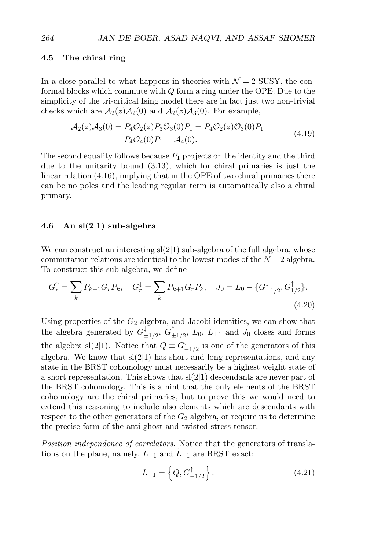#### **4.5 The chiral ring**

In a close parallel to what happens in theories with  $\mathcal{N}=2$  SUSY, the conformal blocks which commute with Q form a ring under the OPE. Due to the simplicity of the tri-critical Ising model there are in fact just two non-trivial checks which are  $\mathcal{A}_2(z)\mathcal{A}_2(0)$  and  $\mathcal{A}_2(z)\mathcal{A}_3(0)$ . For example,

$$
\mathcal{A}_2(z)\mathcal{A}_3(0) = P_4\mathcal{O}_2(z)P_3\mathcal{O}_3(0)P_1 = P_4\mathcal{O}_2(z)\mathcal{O}_3(0)P_1 \n= P_4\mathcal{O}_4(0)P_1 = \mathcal{A}_4(0).
$$
\n(4.19)

The second equality follows because  $P_1$  projects on the identity and the third due to the unitarity bound (3.13), which for chiral primaries is just the linear relation (4.16), implying that in the OPE of two chiral primaries there can be no poles and the leading regular term is automatically also a chiral primary.

#### **4.6 An sl(2***|***1) sub-algebra**

We can construct an interesting  $sl(2|1)$  sub-algebra of the full algebra, whose commutation relations are identical to the lowest modes of the  $N = 2$  algebra. To construct this sub-algebra, we define

$$
G_r^{\uparrow} = \sum_k P_{k-1} G_r P_k, \quad G_r^{\downarrow} = \sum_k P_{k+1} G_r P_k, \quad J_0 = L_0 - \{ G_{-1/2}^{\downarrow}, G_{1/2}^{\uparrow} \}.
$$
\n(4.20)

Using properties of the  $G_2$  algebra, and Jacobi identities, we can show that the algebra generated by  $G_{\pm 1/2}^{\downarrow}$ ,  $G_{\pm 1/2}^{\uparrow}$ ,  $L_0$ ,  $L_{\pm 1}$  and  $J_0$  closes and forms the algebra sl(2|1). Notice that  $Q \equiv G_{-1/2}^{\downarrow}$  is one of the generators of this algebra. We know that  $sl(2|1)$  has short and long representations, and any state in the BRST cohomology must necessarily be a highest weight state of a short representation. This shows that  $sl(2|1)$  descendants are never part of the BRST cohomology. This is a hint that the only elements of the BRST cohomology are the chiral primaries, but to prove this we would need to extend this reasoning to include also elements which are descendants with respect to the other generators of the  $G_2$  algebra, or require us to determine the precise form of the anti-ghost and twisted stress tensor.

Position independence of correlators. Notice that the generators of translations on the plane, namely,  $L_{-1}$  and  $\bar{L}_{-1}$  are BRST exact:

$$
L_{-1} = \left\{ Q, G_{-1/2}^{\uparrow} \right\}.
$$
 (4.21)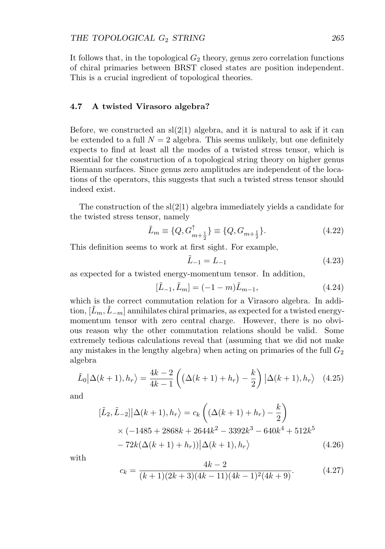It follows that, in the topological  $G_2$  theory, genus zero correlation functions of chiral primaries between BRST closed states are position independent. This is a crucial ingredient of topological theories.

#### **4.7 A twisted Virasoro algebra?**

Before, we constructed an  $sl(2|1)$  algebra, and it is natural to ask if it can be extended to a full  $N = 2$  algebra. This seems unlikely, but one definitely expects to find at least all the modes of a twisted stress tensor, which is essential for the construction of a topological string theory on higher genus Riemann surfaces. Since genus zero amplitudes are independent of the locations of the operators, this suggests that such a twisted stress tensor should indeed exist.

The construction of the  $sl(2|1)$  algebra immediately yields a candidate for the twisted stress tensor, namely

$$
\tilde{L}_m \equiv \{Q, G_{m+\frac{1}{2}}^{\uparrow}\} \equiv \{Q, G_{m+\frac{1}{2}}\}.
$$
\n(4.22)

This definition seems to work at first sight. For example,

$$
\tilde{L}_{-1} = L_{-1} \tag{4.23}
$$

as expected for a twisted energy-momentum tensor. In addition,

$$
[\tilde{L}_{-1}, \tilde{L}_m] = (-1 - m)\tilde{L}_{m-1},
$$
\n(4.24)

which is the correct commutation relation for a Virasoro algebra. In addition,  $[L_m, L_{-m}]$  annihilates chiral primaries, as expected for a twisted energymomentum tensor with zero central charge. However, there is no obvious reason why the other commutation relations should be valid. Some extremely tedious calculations reveal that (assuming that we did not make any mistakes in the lengthy algebra) when acting on primaries of the full  $G_2$ algebra

$$
\tilde{L}_0|\Delta(k+1),h_r\rangle = \frac{4k-2}{4k-1}\left(\left(\Delta(k+1)+h_r\right)-\frac{k}{2}\right)|\Delta(k+1),h_r\rangle \quad (4.25)
$$

and

$$
[\tilde{L}_2, \tilde{L}_{-2}] |\Delta(k+1), h_r\rangle = c_k \left( (\Delta(k+1) + h_r) - \frac{k}{2} \right)
$$
  
×  $(-1485 + 2868k + 2644k^2 - 3392k^3 - 640k^4 + 512k^5 - 72k(\Delta(k+1) + h_r)) |\Delta(k+1), h_r\rangle$  (4.26)

with

$$
c_k = \frac{4k - 2}{(k+1)(2k+3)(4k-11)(4k-1)^2(4k+9)}.\t(4.27)
$$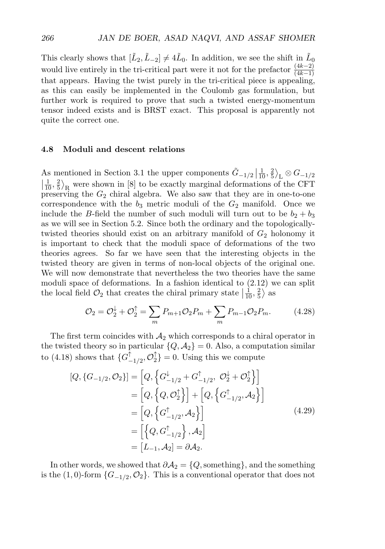This clearly shows that  $[\tilde{L}_2, \tilde{L}_{-2}] \neq 4\tilde{L}_0$ . In addition, we see the shift in  $\tilde{L}_0$ would live entirely in the tri-critical part were it not for the prefactor  $\frac{(4k-2)}{(4k-1)}$ that appears. Having the twist purely in the tri-critical piece is appealing, as this can easily be implemented in the Coulomb gas formulation, but further work is required to prove that such a twisted energy-momentum tensor indeed exists and is BRST exact. This proposal is apparently not quite the correct one.

#### **4.8 Moduli and descent relations**

As mentioned in Section 3.1 the upper components  $\tilde{G}_{-1/2} | \frac{1}{10}, \frac{2}{5} \rangle_L \otimes G_{-1/2}$ ľ  $\left|\frac{1}{10}, \frac{2}{5}\right\rangle_R$  were shown in [8] to be exactly marginal deformations of the CFT preserving the  $G_2$  chiral algebra. We also saw that they are in one-to-one correspondence with the  $b_3$  metric moduli of the  $G_2$  manifold. Once we include the B-field the number of such moduli will turn out to be  $b_2 + b_3$ as we will see in Section 5.2. Since both the ordinary and the topologicallytwisted theories should exist on an arbitrary manifold of  $G_2$  holonomy it is important to check that the moduli space of deformations of the two theories agrees. So far we have seen that the interesting objects in the twisted theory are given in terms of non-local objects of the original one. We will now demonstrate that nevertheless the two theories have the same moduli space of deformations. In a fashion identical to (2.12) we can split the local field  $\mathcal{O}_2$  that creates the chiral primary state  $\left| \frac{1}{10}, \frac{2}{5} \right\rangle$  as

$$
\mathcal{O}_2 = \mathcal{O}_2^{\downarrow} + \mathcal{O}_2^{\uparrow} = \sum_m P_{m+1} \mathcal{O}_2 P_m + \sum_m P_{m-1} \mathcal{O}_2 P_m. \tag{4.28}
$$

The first term coincides with  $A_2$  which corresponds to a chiral operator in the twisted theory so in particular  $\{Q, A_2\} = 0$ . Also, a computation similar to (4.18) shows that  $\{G_{-1/2}^{\uparrow}, \mathcal{O}_{2}^{\uparrow}\}=0$ . Using this we compute

$$
[Q, \{G_{-1/2}, \mathcal{O}_2\}] = [Q, \left\{G_{-1/2}^{\downarrow} + G_{-1/2}^{\uparrow}, \mathcal{O}_2^{\downarrow} + \mathcal{O}_2^{\uparrow}\right\}]
$$
  
\n
$$
= [Q, \left\{Q, \mathcal{O}_2^{\uparrow}\right\}] + [Q, \left\{G_{-1/2}^{\uparrow}, \mathcal{A}_2\right\}]
$$
  
\n
$$
= [Q, \left\{G_{-1/2}^{\uparrow}, \mathcal{A}_2\right\}]
$$
  
\n
$$
= \left[\left\{Q, G_{-1/2}^{\uparrow}\right\}, \mathcal{A}_2\right]
$$
  
\n
$$
= [L_{-1}, \mathcal{A}_2] = \partial \mathcal{A}_2.
$$
  
\n(4.29)

In other words, we showed that  $\partial A_2 = \{Q$ , something}, and the something is the (1,0)-form  $\{G_{-1/2}, \mathcal{O}_2\}$ . This is a conventional operator that does not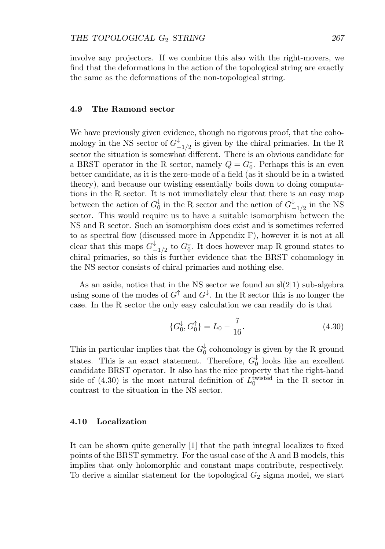involve any projectors. If we combine this also with the right-movers, we find that the deformations in the action of the topological string are exactly the same as the deformations of the non-topological string.

#### **4.9 The Ramond sector**

We have previously given evidence, though no rigorous proof, that the cohomology in the NS sector of  $G^{\downarrow}_{-1/2}$  is given by the chiral primaries. In the R sector the situation is somewhat different. There is an obvious candidate for a BRST operator in the R sector, namely  $Q = G_0^{\downarrow}$ . Perhaps this is an even better candidate, as it is the zero-mode of a field (as it should be in a twisted theory), and because our twisting essentially boils down to doing computations in the R sector. It is not immediately clear that there is an easy map between the action of  $G_0^{\downarrow}$  in the R sector and the action of  $G_{-1/2}^{\downarrow}$  in the NS sector. This would require us to have a suitable isomorphism between the NS and R sector. Such an isomorphism does exist and is sometimes referred to as spectral flow (discussed more in Appendix F), however it is not at all clear that this maps  $G_{-1/2}^{\downarrow}$  to  $G_0^{\downarrow}$ . It does however map R ground states to chiral primaries, so this is further evidence that the BRST cohomology in the NS sector consists of chiral primaries and nothing else.

As an aside, notice that in the NS sector we found an  $sl(2|1)$  sub-algebra using some of the modes of  $G^{\uparrow}$  and  $G^{\downarrow}$ . In the R sector this is no longer the case. In the R sector the only easy calculation we can readily do is that

$$
\{G_0^{\downarrow}, G_0^{\uparrow}\} = L_0 - \frac{7}{16}.\tag{4.30}
$$

This in particular implies that the  $G_0^{\downarrow}$  cohomology is given by the R ground states. This is an exact statement. Therefore,  $G_0^{\downarrow}$  looks like an excellent candidate BRST operator. It also has the nice property that the right-hand side of  $(4.30)$  is the most natural definition of  $L_0^{\text{twisted}}$  in the R sector in contrast to the situation in the NS sector.

#### **4.10 Localization**

It can be shown quite generally [1] that the path integral localizes to fixed points of the BRST symmetry. For the usual case of the A and B models, this implies that only holomorphic and constant maps contribute, respectively. To derive a similar statement for the topological  $G_2$  sigma model, we start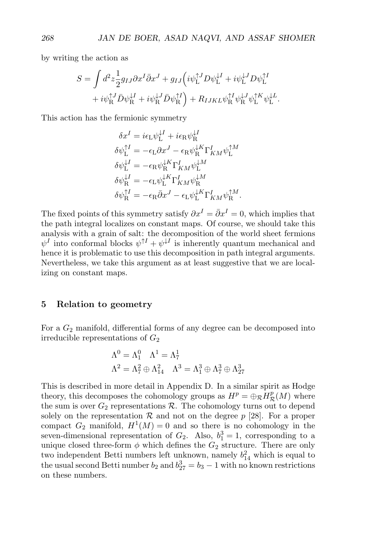by writing the action as

$$
S = \int d^2 z \frac{1}{2} g_{IJ} \partial x^I \bar{\partial} x^J + g_{IJ} \Big( i \psi_L^{\dagger J} D \psi_L^{\dagger I} + i \psi_L^{\dagger J} D \psi_L^{\dagger I} + i \psi_R^{\dagger J} \bar{D} \psi_R^{\dagger I} + i \psi_R^{\dagger J} \bar{D} \psi_R^{\dagger I} + i \psi_R^{\dagger J} \bar{D} \psi_R^{\dagger I} \Big) + R_{IJKL} \psi_R^{\dagger I} \psi_R^{\dagger J} \psi_L^{\dagger K} \psi_L^{\dagger L}.
$$

This action has the fermionic symmetry

$$
\delta x^I = i\epsilon_L \psi_L^{\downarrow I} + i\epsilon_R \psi_R^{\downarrow I}
$$
  
\n
$$
\delta \psi_L^{\uparrow I} = -\epsilon_L \partial x^J - \epsilon_R \psi_R^{\downarrow K} \Gamma^I_{KM} \psi_L^{\uparrow M}
$$
  
\n
$$
\delta \psi_L^{\downarrow I} = -\epsilon_R \psi_R^{\downarrow K} \Gamma^I_{KM} \psi_L^{\downarrow M}
$$
  
\n
$$
\delta \psi_R^{\downarrow I} = -\epsilon_L \psi_L^{\downarrow K} \Gamma^I_{KM} \psi_R^{\downarrow M}
$$
  
\n
$$
\delta \psi_R^{\uparrow I} = -\epsilon_R \bar{\partial} x^J - \epsilon_L \psi_L^{\downarrow K} \Gamma^I_{KM} \psi_R^{\uparrow M}.
$$

The fixed points of this symmetry satisfy  $\partial x^I = \overline{\partial} x^I = 0$ , which implies that the path integral localizes on constant maps. Of course, we should take this analysis with a grain of salt: the decomposition of the world sheet fermions  $\psi^I$  into conformal blocks  $\psi^{\uparrow I} + \psi^{\downarrow I}$  is inherently quantum mechanical and hence it is problematic to use this decomposition in path integral arguments. Nevertheless, we take this argument as at least suggestive that we are localizing on constant maps.

#### **5 Relation to geometry**

For a  $G_2$  manifold, differential forms of any degree can be decomposed into irreducible representations of  $G_2$ 

$$
\Lambda^0 = \Lambda_1^0 \quad \Lambda^1 = \Lambda_7^1
$$

$$
\Lambda^2 = \Lambda_7^2 \oplus \Lambda_{14}^2 \quad \Lambda^3 = \Lambda_1^3 \oplus \Lambda_7^3 \oplus \Lambda_{27}^3
$$

This is described in more detail in Appendix D. In a similar spirit as Hodge theory, this decomposes the cohomology groups as  $H^p = \bigoplus_{\mathcal{R}} H^p_{\mathcal{R}}(M)$  where the sum is over  $G_2$  representations  $R$ . The cohomology turns out to depend solely on the representation  $R$  and not on the degree  $p$  [28]. For a proper compact  $G_2$  manifold,  $H^1(M) = 0$  and so there is no cohomology in the seven-dimensional representation of  $G_2$ . Also,  $b_1^3 = 1$ , corresponding to a unique closed three-form  $\phi$  which defines the  $G_2$  structure. There are only two independent Betti numbers left unknown, namely  $b_{14}^2$  which is equal to the usual second Betti number  $b_2$  and  $b_{27}^3 = b_3 - 1$  with no known restrictions on these numbers.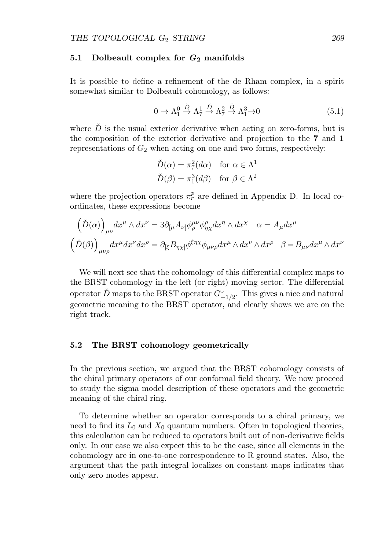#### **5.1 Dolbeault complex for** *G***<sup>2</sup> manifolds**

It is possible to define a refinement of the de Rham complex, in a spirit somewhat similar to Dolbeault cohomology, as follows:

$$
0 \to \Lambda_1^0 \xrightarrow{\check{D}} \Lambda_7^1 \xrightarrow{\check{D}} \Lambda_7^2 \xrightarrow{\check{D}} \Lambda_1^3 \to 0 \tag{5.1}
$$

where  $\check{D}$  is the usual exterior derivative when acting on zero-forms, but is the composition of the exterior derivative and projection to the **7** and **1** representations of  $G_2$  when acting on one and two forms, respectively:

$$
\tilde{D}(\alpha) = \pi_7^2(d\alpha) \quad \text{for } \alpha \in \Lambda^1
$$
  

$$
\tilde{D}(\beta) = \pi_1^3(d\beta) \quad \text{for } \beta \in \Lambda^2
$$

where the projection operators  $\pi_r^p$  are defined in Appendix D. In local coordinates, these expressions become

$$
(\check{D}(\alpha))_{\mu\nu} dx^{\mu} \wedge dx^{\nu} = 3\partial_{[\mu}A_{\nu]}\phi_{\rho}^{\mu\nu}\phi_{\eta\chi}^{\rho}dx^{\eta} \wedge dx^{\chi} \quad \alpha = A_{\mu}dx^{\mu}
$$

$$
(\check{D}(\beta))_{\mu\nu\rho} dx^{\mu} dx^{\nu} dx^{\rho} = \partial_{[\xi}B_{\eta\chi]}\phi^{\xi\eta\chi}\phi_{\mu\nu\rho}dx^{\mu} \wedge dx^{\nu} \wedge dx^{\rho} \quad \beta = B_{\mu\nu}dx^{\mu} \wedge dx^{\nu}
$$

We will next see that the cohomology of this differential complex maps to the BRST cohomology in the left (or right) moving sector. The differential operator  $\check{D}$  maps to the BRST operator  $G_{-1/2}^{\downarrow}$ . This gives a nice and natural geometric meaning to the BRST operator, and clearly shows we are on the right track.

#### **5.2 The BRST cohomology geometrically**

In the previous section, we argued that the BRST cohomology consists of the chiral primary operators of our conformal field theory. We now proceed to study the sigma model description of these operators and the geometric meaning of the chiral ring.

To determine whether an operator corresponds to a chiral primary, we need to find its  $L_0$  and  $X_0$  quantum numbers. Often in topological theories, this calculation can be reduced to operators built out of non-derivative fields only. In our case we also expect this to be the case, since all elements in the cohomology are in one-to-one correspondence to R ground states. Also, the argument that the path integral localizes on constant maps indicates that only zero modes appear.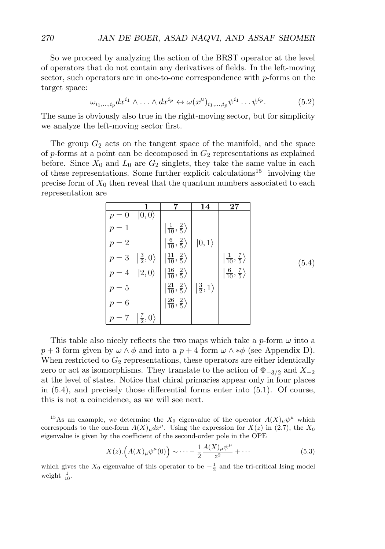So we proceed by analyzing the action of the BRST operator at the level of operators that do not contain any derivatives of fields. In the left-moving sector, such operators are in one-to-one correspondence with  $p$ -forms on the target space:

$$
\omega_{i_1,\dots,i_p} dx^{i_1} \wedge \dots \wedge dx^{i_p} \leftrightarrow \omega(x^{\mu})_{i_1,\dots,i_p} \psi^{i_1} \dots \psi^{i_p}.
$$
 (5.2)

The same is obviously also true in the right-moving sector, but for simplicity we analyze the left-moving sector first.

The group  $G_2$  acts on the tangent space of the manifold, and the space of p-forms at a point can be decomposed in  $G_2$  representations as explained before. Since  $X_0$  and  $L_0$  are  $G_2$  singlets, they take the same value in each of these representations. Some further explicit calculations<sup>15</sup> involving the precise form of  $X_0$  then reveal that the quantum numbers associated to each representation are

|       | 1                                  |                                                   | 14                                 | $\bf 27$                                      |
|-------|------------------------------------|---------------------------------------------------|------------------------------------|-----------------------------------------------|
| $p=0$ | $ 0,0\rangle$                      |                                                   |                                    |                                               |
| $p=1$ |                                    | $\ket{\frac{1}{10}, \frac{2}{5}}$                 |                                    |                                               |
| $p=2$ |                                    | $\left \frac{6}{10},\frac{2}{5}\right\rangle$     | $ 0,1\rangle$                      |                                               |
| $p=3$ | $ \frac{3}{2},0\rangle$            | $\left \frac{11}{10},\frac{2}{5}\right\rangle$    |                                    | $\left \frac{1}{10},\frac{7}{5}\right\rangle$ |
| $p=4$ | $ 2,0\rangle$                      | $\left \frac{16}{10},\frac{2}{5}\right\rangle$    |                                    | $\left \frac{6}{10},\frac{7}{5}\right\rangle$ |
| $p=5$ |                                    | $\left  \frac{21}{10}, \frac{2}{5} \right\rangle$ | $\left \frac{3}{2},1\right\rangle$ |                                               |
| $p=6$ |                                    | $\left \frac{26}{10},\frac{2}{5}\right\rangle$    |                                    |                                               |
| $p=7$ | $\left \frac{7}{2},0\right\rangle$ |                                                   |                                    |                                               |

(5.4)

This table also nicely reflects the two maps which take a  $p$ -form  $\omega$  into a  $p+3$  form given by  $\omega \wedge \phi$  and into a  $p+4$  form  $\omega \wedge * \phi$  (see Appendix D). When restricted to  $G_2$  representations, these operators are either identically zero or act as isomorphisms. They translate to the action of  $\Phi_{-3/2}$  and  $X_{-2}$ at the level of states. Notice that chiral primaries appear only in four places in (5.4), and precisely those differential forms enter into (5.1). Of course, this is not a coincidence, as we will see next.

$$
X(z) \cdot \left( A(X)_{\mu} \psi^{\mu}(0) \right) \sim \dots - \frac{1}{2} \frac{A(X)_{\mu} \psi^{\mu}}{z^2} + \dots \tag{5.3}
$$

<sup>&</sup>lt;sup>15</sup>As an example, we determine the  $X_0$  eigenvalue of the operator  $A(X)_{\mu}\psi^{\mu}$  which corresponds to the one-form  $A(X)_{\mu}dx^{\mu}$ . Using the expression for  $X(z)$  in (2.7), the  $X_0$ eigenvalue is given by the coefficient of the second-order pole in the OPE

which gives the  $X_0$  eigenvalue of this operator to be  $-\frac{1}{2}$  and the tri-critical Ising model weight  $\frac{1}{10}$ .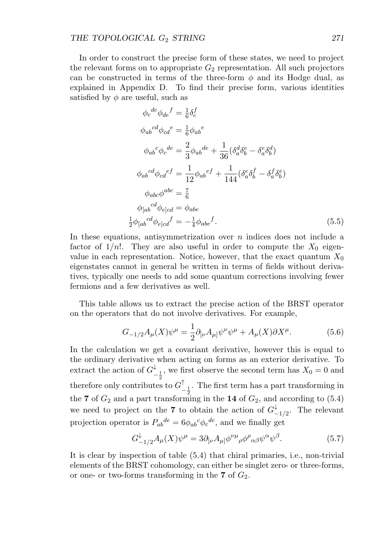In order to construct the precise form of these states, we need to project the relevant forms on to appropriate  $G_2$  representation. All such projectors can be constructed in terms of the three-form  $\phi$  and its Hodge dual, as explained in Appendix D. To find their precise form, various identities satisfied by  $\phi$  are useful, such as

$$
\phi_c^{de}\phi_{de}^f = \frac{1}{6}\delta_c^f
$$
  
\n
$$
\phi_{ab}^{cd}\phi_{cd}^e = \frac{1}{6}\phi_{ab}^e
$$
  
\n
$$
\phi_{ab}^c\phi_c^{de} = \frac{2}{3}\phi_{ab}^{de} + \frac{1}{36}(\delta_a^d\delta_b^e - \delta_a^e\delta_b^d)
$$
  
\n
$$
\phi_{ab}^{cd}\phi_{cd}^{ef} = \frac{1}{12}\phi_{ab}^{ef} + \frac{1}{144}(\delta_a^e\delta_b^f - \delta_a^f\delta_b^e)
$$
  
\n
$$
\phi_{abc}\phi^{abc} = \frac{7}{6}
$$
  
\n
$$
\phi_{[ab}^{cd}\phi_{e]cd} = \phi_{abe}
$$
  
\n
$$
\frac{1}{2}\phi_{[ab}^{cd}\phi_{e]cd}^f = -\frac{1}{4}\phi_{abe}^f.
$$
\n(5.5)

In these equations, antisymmetrization over  $n$  indices does not include a factor of  $1/n!$ . They are also useful in order to compute the  $X_0$  eigenvalue in each representation. Notice, however, that the exact quantum  $X_0$ eigenstates cannot in general be written in terms of fields without derivatives, typically one needs to add some quantum corrections involving fewer fermions and a few derivatives as well.

This table allows us to extract the precise action of the BRST operator on the operators that do not involve derivatives. For example,

$$
G_{-1/2}A_{\mu}(X)\psi^{\mu} = \frac{1}{2}\partial_{[\nu}A_{\mu]}\psi^{\nu}\psi^{\mu} + A_{\mu}(X)\partial X^{\mu}.
$$
 (5.6)

In the calculation we get a covariant derivative, however this is equal to the ordinary derivative when acting on forms as an exterior derivative. To extract the action of  $G^{\downarrow}_{-\frac{1}{2}}$ , we first observe the second term has  $X_0 = 0$  and therefore only contributes to  $G^{\uparrow}_{-\frac{1}{2}}$ . The first term has a part transforming in the **7** of  $G_2$  and a part transforming in the **14** of  $G_2$ , and according to (5.4) we need to project on the **7** to obtain the action of  $G_{-1/2}^{\downarrow}$ . The relevant projection operator is  $P_{ab}{}^{de} = 6 \phi_{ab}{}^c \phi_c{}^{de}$ , and we finally get

$$
G_{-1/2}^{\downarrow}A_{\mu}(X)\psi^{\mu} = 3\partial_{\left[\nu\right]}A_{\mu\right]}\phi^{\nu\mu}{}_{\rho}\phi^{\rho}{}_{\alpha\beta}\psi^{\alpha}\psi^{\beta}.
$$
 (5.7)

It is clear by inspection of table (5.4) that chiral primaries, i.e., non-trivial elements of the BRST cohomology, can either be singlet zero- or three-forms, or one- or two-forms transforming in the  $7$  of  $G_2$ .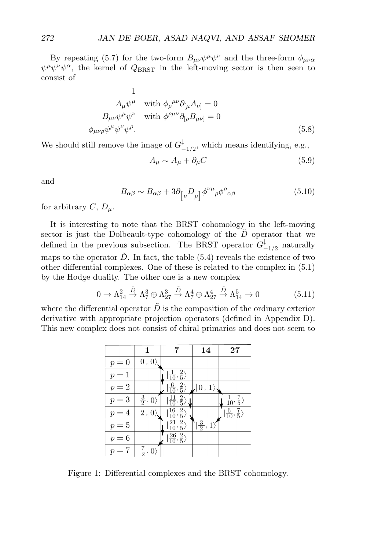By repeating (5.7) for the two-form  $B_{\mu\nu}\psi^{\mu}\psi^{\nu}$  and the three-form  $\phi_{\mu\nu\alpha}$  $\psi^{\mu}\psi^{\nu}\psi^{\alpha}$ , the kernel of  $Q_{\rm BRST}$  in the left-moving sector is then seen to consist of

1  
\n
$$
A_{\mu}\psi^{\mu} \quad \text{with } \phi_{\rho}{}^{\mu\nu}\partial_{[\mu}A_{\nu]} = 0
$$
\n
$$
B_{\mu\nu}\psi^{\mu}\psi^{\nu} \quad \text{with } \phi^{\rho\mu\nu}\partial_{[\rho}B_{\mu\nu]} = 0
$$
\n
$$
\phi_{\mu\nu\rho}\psi^{\mu}\psi^{\nu}\psi^{\rho}.
$$
\n(5.8)

We should still remove the image of  $G^{\downarrow}_{-1/2}$ , which means identifying, e.g.,

$$
A_{\mu} \sim A_{\mu} + \partial_{\mu} C \tag{5.9}
$$

and

$$
B_{\alpha\beta} \sim B_{\alpha\beta} + 3\partial_{\left[\nu\right.} D_{\mu}\right] \phi^{\nu\mu}{}_{\rho} \phi^{\rho}{}_{\alpha\beta} \tag{5.10}
$$

for arbitrary  $C, D_{\mu}$ .

It is interesting to note that the BRST cohomology in the left-moving sector is just the Dolbeault-type cohomology of the  $D$  operator that we defined in the previous subsection. The BRST operator  $G^{\downarrow}_{-1/2}$  naturally maps to the operator  $\check{D}$ . In fact, the table (5.4) reveals the existence of two other differential complexes. One of these is related to the complex in (5.1) by the Hodge duality. The other one is a new complex

$$
0 \to \Lambda_{14}^2 \xrightarrow{\tilde{D}} \Lambda_7^3 \oplus \Lambda_{27}^3 \xrightarrow{\tilde{D}} \Lambda_7^4 \oplus \Lambda_{27}^4 \xrightarrow{\tilde{D}} \Lambda_{14}^5 \to 0 \tag{5.11}
$$

where the differential operator  $D$  is the composition of the ordinary exterior derivative with appropriate projection operators (defined in Appendix D). This new complex does not consist of chiral primaries and does not seem to

|                                                                     | 1                     |                                                  | 14                                   | 27                                 |
|---------------------------------------------------------------------|-----------------------|--------------------------------------------------|--------------------------------------|------------------------------------|
| -0<br>$\mathcal{D}$<br>$=$                                          | $ 0, 0\rangle$        |                                                  |                                      |                                    |
| $p=1$                                                               |                       | $\ket{\frac{1}{10},\frac{2}{5}}$                 |                                      |                                    |
| $p=2$                                                               |                       | $\left \frac{6}{10},\frac{2}{5}\right\rangle$    | $\pmb{\downarrow}  0\,,\,1\rangle$ . |                                    |
| $p=3$                                                               | $\ket{\frac{3}{2},0}$ | $\ket{\frac{11}{10},\frac{2}{5}}$                |                                      | $ \frac{1}{10},\frac{7}{5}\rangle$ |
| 4<br>$\mathcal{D}$                                                  | 2, 0                  | $\frac{2}{5}$<br>$\left  \frac{16}{10}, \right.$ |                                      | $\frac{6}{10}, \frac{7}{5}$        |
| $=5$<br>$\overline{p}$                                              |                       | $\frac{21}{10}$ ,<br>$\frac{2}{5}$               | $ \frac{3}{2}, 1\rangle$             |                                    |
| 6<br>$p =$                                                          |                       | $\ket{\frac{26}{10},\frac{2}{5}}$                |                                      |                                    |
| $\overline{7}$<br>$\overbrace{\phantom{12333}}$<br>$\boldsymbol{v}$ | $\frac{7}{2}$         |                                                  |                                      |                                    |

Figure 1: Differential complexes and the BRST cohomology.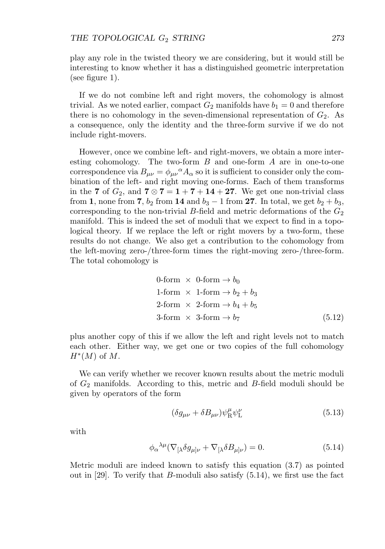play any role in the twisted theory we are considering, but it would still be interesting to know whether it has a distinguished geometric interpretation (see figure 1).

If we do not combine left and right movers, the cohomology is almost trivial. As we noted earlier, compact  $G_2$  manifolds have  $b_1 = 0$  and therefore there is no cohomology in the seven-dimensional representation of  $G_2$ . As a consequence, only the identity and the three-form survive if we do not include right-movers.

However, once we combine left- and right-movers, we obtain a more interesting cohomology. The two-form  $B$  and one-form  $A$  are in one-to-one correspondence via  $B_{\mu\nu} = \phi_{\mu\nu}{}^{\alpha} A_{\alpha}$  so it is sufficient to consider only the combination of the left- and right moving one-forms. Each of them transforms in the **7** of  $G_2$ , and **7**  $\otimes$  **7** = **1** + **7** + **14** + **27**. We get one non-trivial class from **1**, none from **7**,  $b_2$  from **14** and  $b_3 - 1$  from **27**. In total, we get  $b_2 + b_3$ , corresponding to the non-trivial B-field and metric deformations of the  $G_2$ manifold. This is indeed the set of moduli that we expect to find in a topological theory. If we replace the left or right movers by a two-form, these results do not change. We also get a contribution to the cohomology from the left-moving zero-/three-form times the right-moving zero-/three-form. The total cohomology is

$$
0\text{-form} \times 0\text{-form} \to b_0
$$
\n
$$
1\text{-form} \times 1\text{-form} \to b_2 + b_3
$$
\n
$$
2\text{-form} \times 2\text{-form} \to b_4 + b_5
$$
\n
$$
3\text{-form} \times 3\text{-form} \to b_7 \tag{5.12}
$$

plus another copy of this if we allow the left and right levels not to match each other. Either way, we get one or two copies of the full cohomology  $H^*(M)$  of M.

We can verify whether we recover known results about the metric moduli of  $G_2$  manifolds. According to this, metric and  $B$ -field moduli should be given by operators of the form

$$
(\delta g_{\mu\nu} + \delta B_{\mu\nu}) \psi_R^{\mu} \psi_L^{\nu}
$$
\n(5.13)

with

$$
\phi_{\alpha}{}^{\lambda\mu}(\nabla_{[\lambda}\delta g_{\mu]\nu} + \nabla_{[\lambda}\delta B_{\mu]\nu}) = 0.
$$
\n(5.14)

Metric moduli are indeed known to satisfy this equation (3.7) as pointed out in [29]. To verify that B-moduli also satisfy  $(5.14)$ , we first use the fact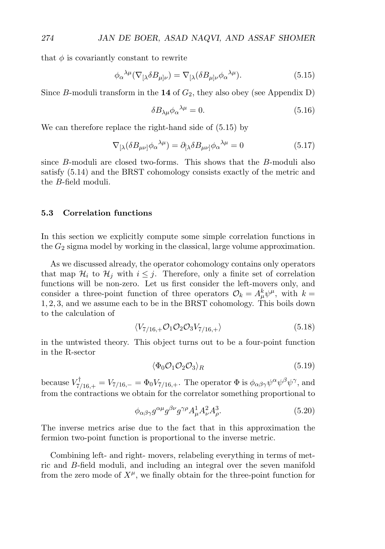that  $\phi$  is covariantly constant to rewrite

$$
\phi_{\alpha}{}^{\lambda\mu}(\nabla_{[\lambda}\delta B_{\mu]\nu}) = \nabla_{[\lambda}(\delta B_{\mu]\nu}\phi_{\alpha}{}^{\lambda\mu}).\tag{5.15}
$$

Since B-moduli transform in the **14** of  $G_2$ , they also obey (see Appendix D)

$$
\delta B_{\lambda\mu}\phi_{\alpha}{}^{\lambda\mu} = 0. \tag{5.16}
$$

We can therefore replace the right-hand side of (5.15) by

$$
\nabla_{[\lambda} (\delta B_{\mu\nu]}\phi_{\alpha}^{\ \lambda\mu}) = \partial_{[\lambda} \delta B_{\mu\nu]}\phi_{\alpha}^{\ \lambda\mu} = 0 \tag{5.17}
$$

since B-moduli are closed two-forms. This shows that the B-moduli also satisfy (5.14) and the BRST cohomology consists exactly of the metric and the B-field moduli.

#### **5.3 Correlation functions**

In this section we explicitly compute some simple correlation functions in the  $G_2$  sigma model by working in the classical, large volume approximation.

As we discussed already, the operator cohomology contains only operators that map  $\mathcal{H}_i$  to  $\mathcal{H}_j$  with  $i \leq j$ . Therefore, only a finite set of correlation functions will be non-zero. Let us first consider the left-movers only, and consider a three-point function of three operators  $\mathcal{O}_k = A^k_\mu \psi^\mu$ , with  $k =$ 1, 2, 3, and we assume each to be in the BRST cohomology. This boils down to the calculation of

$$
\langle V_{7/16,+} \mathcal{O}_1 \mathcal{O}_2 \mathcal{O}_3 V_{7/16,+} \rangle \tag{5.18}
$$

in the untwisted theory. This object turns out to be a four-point function in the R-sector

$$
\langle \Phi_0 \mathcal{O}_1 \mathcal{O}_2 \mathcal{O}_3 \rangle_R \tag{5.19}
$$

because  $V^{\dagger}_{7/16,+} = V_{7/16,-} = \Phi_0 V_{7/16,+}$ . The operator  $\Phi$  is  $\phi_{\alpha\beta\gamma}\psi^{\alpha}\psi^{\beta}\psi^{\gamma}$ , and from the contractions we obtain for the correlator something proportional to

$$
\phi_{\alpha\beta\gamma}g^{\alpha\mu}g^{\beta\nu}g^{\gamma\rho}A_{\mu}^{1}A_{\nu}^{2}A_{\rho}^{3}.
$$
\n(5.20)

The inverse metrics arise due to the fact that in this approximation the fermion two-point function is proportional to the inverse metric.

Combining left- and right- movers, relabeling everything in terms of metric and B-field moduli, and including an integral over the seven manifold from the zero mode of  $X^{\mu}$ , we finally obtain for the three-point function for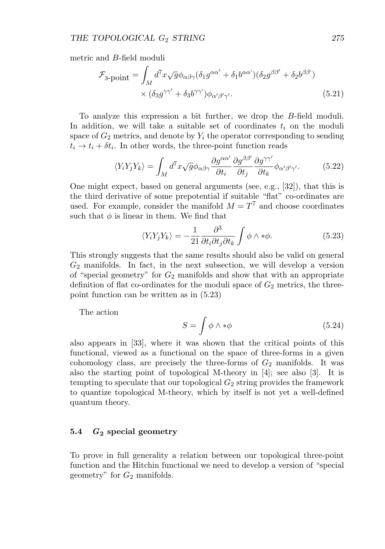metric and B-field moduli

$$
\mathcal{F}_{3\text{-point}} = \int_M d^7x \sqrt{g} \phi_{\alpha\beta\gamma} (\delta_1 g^{\alpha\alpha'} + \delta_1 b^{\alpha\alpha'}) (\delta_2 g^{\beta\beta'} + \delta_2 b^{\beta\beta'})
$$
  
 
$$
\times (\delta_3 g^{\gamma\gamma'} + \delta_3 b^{\gamma\gamma'}) \phi_{\alpha'\beta'\gamma'}.
$$
 (5.21)

To analyze this expression a bit further, we drop the B-field moduli. In addition, we will take a suitable set of coordinates  $t_i$  on the moduli space of  $G_2$  metrics, and denote by  $Y_i$  the operator corresponding to sending  $t_i \rightarrow t_i + \delta t_i$ . In other words, the three-point function reads

$$
\langle Y_i Y_j Y_k \rangle = \int_M d^7 x \sqrt{g} \phi_{\alpha\beta\gamma} \frac{\partial g^{\alpha\alpha'}}{\partial t_i} \frac{\partial g^{\beta\beta'}}{\partial t_j} \frac{\partial g^{\gamma\gamma'}}{\partial t_k} \phi_{\alpha'\beta'\gamma'}.\tag{5.22}
$$

One might expect, based on general arguments (see, e.g., [32]), that this is the third derivative of some prepotential if suitable "flat" co-ordinates are used. For example, consider the manifold  $M = T<sup>7</sup>$  and choose coordinates such that  $\phi$  is linear in them. We find that

$$
\langle Y_i Y_j Y_k \rangle = -\frac{1}{21} \frac{\partial^3}{\partial t_i \partial t_j \partial t_k} \int \phi \wedge * \phi. \tag{5.23}
$$

This strongly suggests that the same results should also be valid on general  $G_2$  manifolds. In fact, in the next subsection, we will develop a version of "special geometry" for  $G_2$  manifolds and show that with an appropriate definition of flat co-ordinates for the moduli space of  $G_2$  metrics, the threepoint function can be written as in (5.23)

The action

$$
S = \int \phi \wedge * \phi \tag{5.24}
$$

also appears in [33], where it was shown that the critical points of this functional, viewed as a functional on the space of three-forms in a given cohomology class, are precisely the three-forms of  $G_2$  manifolds. It was also the starting point of topological M-theory in [4]; see also [3]. It is tempting to speculate that our topological  $G_2$  string provides the framework to quantize topological M-theory, which by itself is not yet a well-defined quantum theory.

#### **5.4** *G***<sup>2</sup> special geometry**

To prove in full generality a relation between our topological three-point function and the Hitchin functional we need to develop a version of "special geometry" for  $G_2$  manifolds.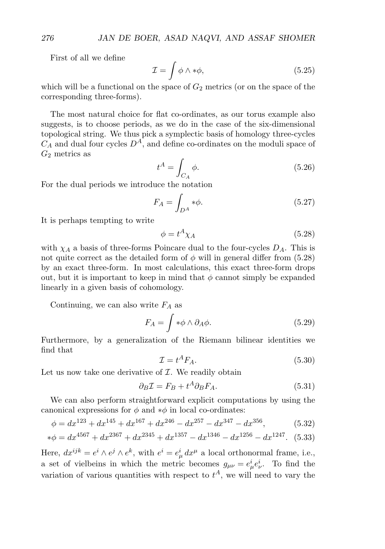First of all we define

$$
\mathcal{I} = \int \phi \wedge * \phi,\tag{5.25}
$$

which will be a functional on the space of  $G_2$  metrics (or on the space of the corresponding three-forms).

The most natural choice for flat co-ordinates, as our torus example also suggests, is to choose periods, as we do in the case of the six-dimensional topological string. We thus pick a symplectic basis of homology three-cycles  $C_A$  and dual four cycles  $D^A$ , and define co-ordinates on the moduli space of  $G_2$  metrics as

$$
t^A = \int_{C_A} \phi. \tag{5.26}
$$

For the dual periods we introduce the notation

$$
F_A = \int_{D^A} *\phi. \tag{5.27}
$$

It is perhaps tempting to write

$$
\phi = t^A \chi_A \tag{5.28}
$$

with  $\chi_A$  a basis of three-forms Poincare dual to the four-cycles  $D_A$ . This is not quite correct as the detailed form of  $\phi$  will in general differ from (5.28) by an exact three-form. In most calculations, this exact three-form drops out, but it is important to keep in mind that  $\phi$  cannot simply be expanded linearly in a given basis of cohomology.

Continuing, we can also write  $F_A$  as

$$
F_A = \int \ast \phi \wedge \partial_A \phi. \tag{5.29}
$$

Furthermore, by a generalization of the Riemann bilinear identities we find that

$$
\mathcal{I} = t^A F_A. \tag{5.30}
$$

Let us now take one derivative of  $I$ . We readily obtain

$$
\partial_B \mathcal{I} = F_B + t^A \partial_B F_A. \tag{5.31}
$$

We can also perform straightforward explicit computations by using the canonical expressions for  $\phi$  and  $*\phi$  in local co-ordinates:

$$
\phi = dx^{123} + dx^{145} + dx^{167} + dx^{246} - dx^{257} - dx^{347} - dx^{356},
$$
(5.32)

$$
*\phi = dx^{4567} + dx^{2367} + dx^{2345} + dx^{1357} - dx^{1346} - dx^{1256} - dx^{1247}.
$$
 (5.33)

Here,  $dx^{ijk} = e^i \wedge e^j \wedge e^k$ , with  $e^i = e^i_\mu dx^\mu$  a local orthonormal frame, i.e., a set of vielbeins in which the metric becomes  $g_{\mu\nu} = e^i_\mu e^i_\nu$ . To find the variation of various quantities with respect to  $t^A$ , we will need to vary the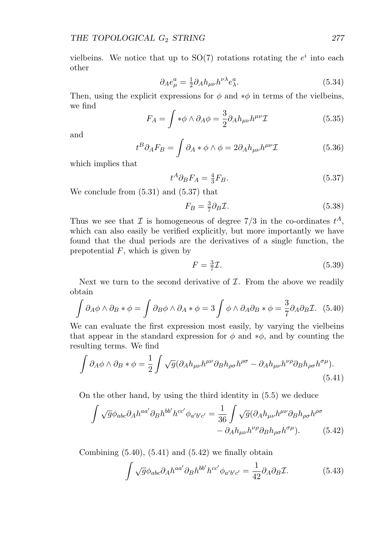vielbeins. We notice that up to  $SO(7)$  rotations rotating the  $e^i$  into each other

$$
\partial_{A}e_{\mu}^{a} = \frac{1}{2}\partial_{A}h_{\mu\nu}h^{\nu\lambda}e_{\lambda}^{a}.
$$
\n(5.34)

Then, using the explicit expressions for  $\phi$  and  $*\phi$  in terms of the vielbeins, we find

$$
F_A = \int \ast \phi \wedge \partial_A \phi = \frac{3}{2} \partial_A h_{\mu\nu} h^{\mu\nu} \mathcal{I}
$$
 (5.35)

and

$$
t^{B}\partial_{A}F_{B} = \int \partial_{A} * \phi \wedge \phi = 2\partial_{A}h_{\mu\nu}h^{\mu\nu}\mathcal{I}
$$
 (5.36)

which implies that

$$
t^A \partial_B F_A = \frac{4}{3} F_B. \tag{5.37}
$$

We conclude from (5.31) and (5.37) that

$$
F_B = \frac{3}{7} \partial_B \mathcal{I}.
$$
\n<sup>(5.38)</sup>

Thus we see that  $\mathcal I$  is homogeneous of degree  $7/3$  in the co-ordinates  $t^A$ , which can also easily be verified explicitly, but more importantly we have found that the dual periods are the derivatives of a single function, the prepotential  $F$ , which is given by

$$
F = \frac{3}{7}\mathcal{I}.\tag{5.39}
$$

Next we turn to the second derivative of  $I$ . From the above we readily obtain

$$
\int \partial_A \phi \wedge \partial_B * \phi = \int \partial_B \phi \wedge \partial_A * \phi = 3 \int \phi \wedge \partial_A \partial_B * \phi = \frac{3}{7} \partial_A \partial_B \mathcal{I}.
$$
 (5.40)

We can evaluate the first expression most easily, by varying the vielbeins that appear in the standard expression for  $\phi$  and ∗ $\phi$ , and by counting the resulting terms. We find

$$
\int \partial_A \phi \wedge \partial_B * \phi = \frac{1}{2} \int \sqrt{g} (\partial_A h_{\mu\nu} h^{\mu\nu} \partial_B h_{\rho\sigma} h^{\rho\sigma} - \partial_A h_{\mu\nu} h^{\nu\rho} \partial_B h_{\rho\sigma} h^{\sigma\mu}).
$$
\n(5.41)

On the other hand, by using the third identity in (5.5) we deduce

$$
\int \sqrt{g} \phi_{abc} \partial_A h^{aa'} \partial_B h^{bb'} h^{cc'} \phi_{a'b'c'} = \frac{1}{36} \int \sqrt{g} (\partial_A h_{\mu\nu} h^{\mu\nu} \partial_B h_{\rho\sigma} h^{\rho\sigma} - \partial_A h_{\mu\nu} h^{\nu\rho} \partial_B h_{\rho\sigma} h^{\sigma\mu}). \tag{5.42}
$$

Combining  $(5.40)$ ,  $(5.41)$  and  $(5.42)$  we finally obtain

$$
\int \sqrt{g} \phi_{abc} \partial_A h^{aa'} \partial_B h^{bb'} h^{cc'} \phi_{a'b'c'} = \frac{1}{42} \partial_A \partial_B \mathcal{I}.
$$
 (5.43)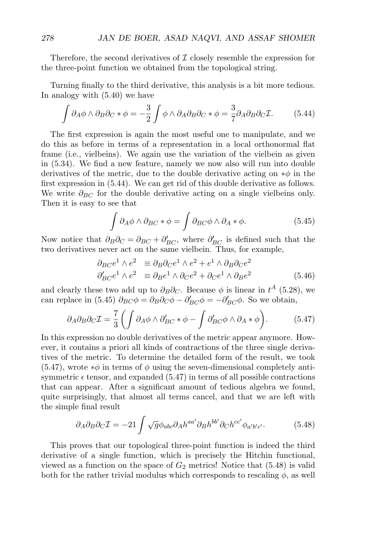Therefore, the second derivatives of  $\mathcal I$  closely resemble the expression for the three-point function we obtained from the topological string.

Turning finally to the third derivative, this analysis is a bit more tedious. In analogy with (5.40) we have

$$
\int \partial_A \phi \wedge \partial_B \partial_C * \phi = -\frac{3}{2} \int \phi \wedge \partial_A \partial_B \partial_C * \phi = \frac{3}{7} \partial_A \partial_B \partial_C \mathcal{I}.
$$
 (5.44)

The first expression is again the most useful one to manipulate, and we do this as before in terms of a representation in a local orthonormal flat frame (i.e., vielbeins). We again use the variation of the vielbein as given in (5.34). We find a new feature, namely we now also will run into double derivatives of the metric, due to the double derivative acting on  $*\phi$  in the first expression in (5.44). We can get rid of this double derivative as follows. We write  $\partial_{BC}$  for the double derivative acting on a single vielbeins only. Then it is easy to see that

$$
\int \partial_A \phi \wedge \partial_{BC} * \phi = \int \partial_{BC} \phi \wedge \partial_A * \phi. \tag{5.45}
$$

Now notice that  $\partial_B \partial_C = \partial_{BC} + \partial'_{BC}$ , where  $\partial'_{BC}$  is defined such that the two derivatives never act on the same vielbein. Thus, for example,

$$
\partial_{BC}e^{1} \wedge e^{2} \equiv \partial_{B}\partial_{C}e^{1} \wedge e^{2} + e^{1} \wedge \partial_{B}\partial_{C}e^{2}
$$
  
\n
$$
\partial'_{BC}e^{1} \wedge e^{2} \equiv \partial_{B}e^{1} \wedge \partial_{C}e^{2} + \partial_{C}e^{1} \wedge \partial_{B}e^{2}
$$
\n(5.46)

and clearly these two add up to  $\partial_B \partial_C$ . Because  $\phi$  is linear in  $t^A$  (5.28), we can replace in (5.45)  $\partial_{BC}\phi = \partial_B\partial_C\phi - \partial'_{BC}\phi = -\partial'_{BC}\phi$ . So we obtain,

$$
\partial_A \partial_B \partial_C \mathcal{I} = \frac{7}{3} \left( \int \partial_A \phi \wedge \partial'_{BC} * \phi - \int \partial'_{BC} \phi \wedge \partial_A * \phi \right). \tag{5.47}
$$

In this expression no double derivatives of the metric appear anymore. However, it contains a priori all kinds of contractions of the three single derivatives of the metric. To determine the detailed form of the result, we took  $(5.47)$ , wrote  $*\phi$  in terms of  $\phi$  using the seven-dimensional completely antisymmetric  $\epsilon$  tensor, and expanded (5.47) in terms of all possible contractions that can appear. After a significant amount of tedious algebra we found, quite surprisingly, that almost all terms cancel, and that we are left with the simple final result

$$
\partial_A \partial_B \partial_C \mathcal{I} = -21 \int \sqrt{g} \phi_{abc} \partial_A h^{aa'} \partial_B h^{bb'} \partial_C h^{cc'} \phi_{a'b'c'}.
$$
 (5.48)

This proves that our topological three-point function is indeed the third derivative of a single function, which is precisely the Hitchin functional, viewed as a function on the space of  $G_2$  metrics! Notice that (5.48) is valid both for the rather trivial modulus which corresponds to rescaling  $\phi$ , as well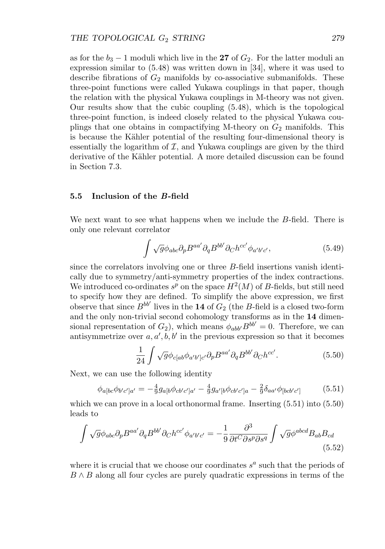as for the  $b_3 - 1$  moduli which live in the **27** of  $G_2$ . For the latter moduli an expression similar to (5.48) was written down in [34], where it was used to describe fibrations of  $G_2$  manifolds by co-associative submanifolds. These three-point functions were called Yukawa couplings in that paper, though the relation with the physical Yukawa couplings in M-theory was not given. Our results show that the cubic coupling (5.48), which is the topological three-point function, is indeed closely related to the physical Yukawa couplings that one obtains in compactifying M-theory on  $G_2$  manifolds. This is because the Kähler potential of the resulting four-dimensional theory is essentially the logarithm of  $I$ , and Yukawa couplings are given by the third derivative of the Kähler potential. A more detailed discussion can be found in Section 7.3.

## **5.5 Inclusion of the** *B***-field**

We next want to see what happens when we include the B-field. There is only one relevant correlator

$$
\int \sqrt{g} \phi_{abc} \partial_p B^{aa'} \partial_q B^{bb'} \partial_C h^{cc'} \phi_{a'b'c'}, \tag{5.49}
$$

since the correlators involving one or three B-field insertions vanish identically due to symmetry/anti-symmetry properties of the index contractions. We introduced co-ordinates  $s^p$  on the space  $H^2(M)$  of B-fields, but still need to specify how they are defined. To simplify the above expression, we first observe that since  $B^{bb'}$  lives in the **14** of  $G_2$  (the B-field is a closed two-form and the only non-trivial second cohomology transforms as in the **14** dimensional representation of  $G_2$ ), which means  $\phi_{abb'} B^{bb'} = 0$ . Therefore, we can antisymmetrize over  $a, a', b, b'$  in the previous expression so that it becomes

$$
\frac{1}{24} \int \sqrt{g} \phi_{c[ab} \phi_{a'b']c'} \partial_p B^{aa'} \partial_q B^{bb'} \partial_c h^{cc'}.
$$
 (5.50)

Next, we can use the following identity

$$
\phi_{a[bc}\phi_{b'c']a'} = -\frac{4}{9}g_{a[b}\phi_{cb'c']a'} - \frac{4}{9}g_{a'[b}\phi_{cb'c']a} - \frac{2}{9}\delta_{aa'}\phi_{[bcb'c']}\n\tag{5.51}
$$

which we can prove in a local orthonormal frame. Inserting (5.51) into (5.50) leads to

$$
\int \sqrt{g} \phi_{abc} \partial_p B^{aa'} \partial_q B^{bb'} \partial_C h^{cc'} \phi_{a'b'c'} = -\frac{1}{9} \frac{\partial^3}{\partial t^C \partial s^p \partial s^q} \int \sqrt{g} \phi^{abcd} B_{ab} B_{cd}
$$
\n(5.52)

where it is crucial that we choose our coordinates  $s^a$  such that the periods of  $B \wedge B$  along all four cycles are purely quadratic expressions in terms of the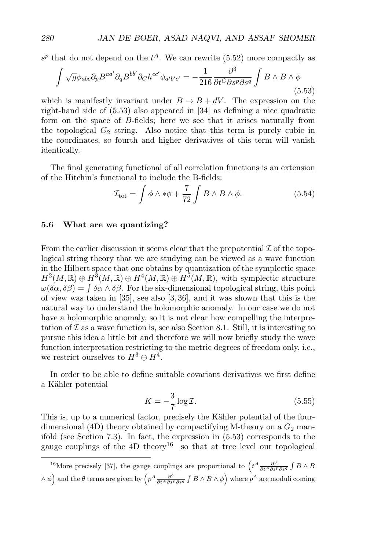$s^p$  that do not depend on the  $t^A$ . We can rewrite (5.52) more compactly as

$$
\int \sqrt{g} \phi_{abc} \partial_p B^{aa'} \partial_q B^{bb'} \partial_C h^{cc'} \phi_{a'b'c'} = -\frac{1}{216} \frac{\partial^3}{\partial t^C \partial s^p \partial s^q} \int B \wedge B \wedge \phi
$$
\n(5.53)

which is manifestly invariant under  $B \to B + dV$ . The expression on the right-hand side of (5.53) also appeared in [34] as defining a nice quadratic form on the space of B-fields; here we see that it arises naturally from the topological  $G_2$  string. Also notice that this term is purely cubic in the coordinates, so fourth and higher derivatives of this term will vanish identically.

The final generating functional of all correlation functions is an extension of the Hitchin's functional to include the B-fields:

$$
\mathcal{I}_{\text{tot}} = \int \phi \wedge * \phi + \frac{7}{72} \int B \wedge B \wedge \phi. \tag{5.54}
$$

# **5.6 What are we quantizing?**

From the earlier discussion it seems clear that the prepotential  $\mathcal I$  of the topological string theory that we are studying can be viewed as a wave function in the Hilbert space that one obtains by quantization of the symplectic space  $H^2(M,\mathbb{R})\oplus H^3(M,\mathbb{R})\oplus H^4(M,\mathbb{R})\oplus H^5(M,\mathbb{R})$ , with symplectic structure  $\omega(\delta\alpha,\delta\beta) = \int \delta\alpha \wedge \delta\beta$ . For the six-dimensional topological string, this point of view was taken in [35], see also [3,36], and it was shown that this is the natural way to understand the holomorphic anomaly. In our case we do not have a holomorphic anomaly, so it is not clear how compelling the interpretation of  $\mathcal I$  as a wave function is, see also Section 8.1. Still, it is interesting to pursue this idea a little bit and therefore we will now briefly study the wave function interpretation restricting to the metric degrees of freedom only, i.e., we restrict ourselves to  $H^3 \oplus H^4$ .

In order to be able to define suitable covariant derivatives we first define a Kähler potential

$$
K = -\frac{3}{7}\log \mathcal{I}.\tag{5.55}
$$

This is, up to a numerical factor, precisely the Kähler potential of the fourdimensional (4D) theory obtained by compactifying M-theory on a  $G_2$  manifold (see Section 7.3). In fact, the expression in (5.53) corresponds to the gauge couplings of the  $4D$  theory<sup>16</sup> so that at tree level our topological

<sup>16</sup>More precisely [37], the gauge couplings are proportional to  $\left(t^A \frac{\partial^3}{\partial t^A \partial s^P \partial s^q} \int B \wedge B\right)$  $\wedge$   $\phi$   $\Big)$  and the  $\theta$  terms are given by  $\Big(p^A\frac{\partial^3}{\partial t^A\partial s^p\partial s^q}\int B\wedge B\wedge\phi\Big)$  where  $p^A$  are moduli coming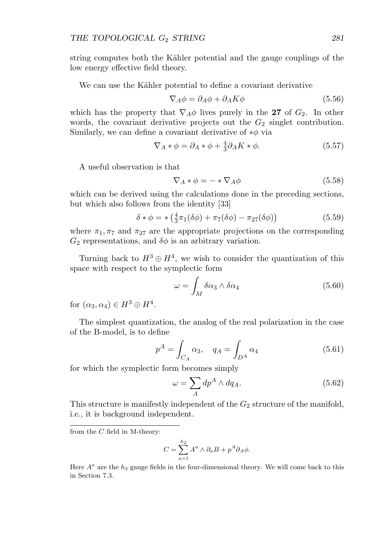string computes both the Kähler potential and the gauge couplings of the low energy effective field theory.

We can use the Kähler potential to define a covariant derivative

$$
\nabla_A \phi = \partial_A \phi + \partial_A K \phi \tag{5.56}
$$

which has the property that  $\nabla_A \phi$  lives purely in the **27** of  $G_2$ . In other words, the covariant derivative projects out the  $G_2$  singlet contribution. Similarly, we can define a covariant derivative of  $*\phi$  via

$$
\nabla_A * \phi = \partial_A * \phi + \frac{4}{3} \partial_A K * \phi.
$$
 (5.57)

A useful observation is that

$$
\nabla_A * \phi = - * \nabla_A \phi \tag{5.58}
$$

which can be derived using the calculations done in the preceding sections, but which also follows from the identity [33]

$$
\delta * \phi = * \left( \frac{4}{3} \pi_1 (\delta \phi) + \pi_7 (\delta \phi) - \pi_{27} (\delta \phi) \right) \tag{5.59}
$$

where  $\pi_1, \pi_7$  and  $\pi_{27}$  are the appropriate projections on the corresponding  $G_2$  representations, and  $\delta\phi$  is an arbitrary variation.

Turning back to  $H^3 \oplus H^4$ , we wish to consider the quantization of this space with respect to the symplectic form

$$
\omega = \int_M \delta \alpha_3 \wedge \delta \alpha_4 \tag{5.60}
$$

for  $(\alpha_3, \alpha_4) \in H^3 \oplus H^4$ .

The simplest quantization, the analog of the real polarization in the case of the B-model, is to define

$$
p^{A} = \int_{C_{A}} \alpha_{3}, \quad q_{A} = \int_{D^{A}} \alpha_{4}
$$
 (5.61)

for which the symplectic form becomes simply

$$
\omega = \sum_{A} dp^{A} \wedge dq_{A}.
$$
 (5.62)

This structure is manifestly independent of the  $G_2$  structure of the manifold, i.e., it is background independent.

from the  $C$  field in M-theory:

$$
C = \sum_{a=1}^{h_2} A^a \wedge \partial_a B + p^A \partial_A \phi.
$$

Here  $A^a$  are the  $h_2$  gauge fields in the four-dimensional theory. We will come back to this in Section 7.3.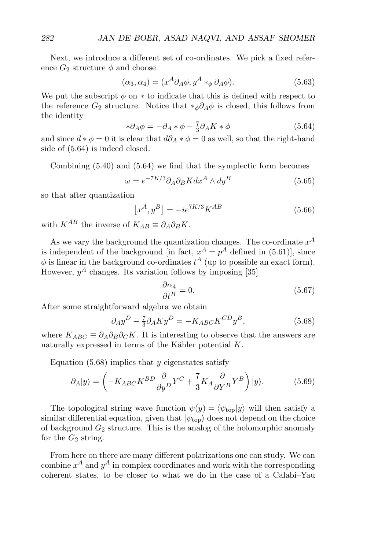Next, we introduce a different set of co-ordinates. We pick a fixed reference  $G_2$  structure  $\phi$  and choose

$$
(\alpha_3, \alpha_4) = (x^A \partial_A \phi, y^A *_{\phi} \partial_A \phi).
$$
 (5.63)

We put the subscript  $\phi$  on  $*$  to indicate that this is defined with respect to the reference  $G_2$  structure. Notice that  $*_\phi \partial_A \phi$  is closed, this follows from the identity

$$
*\partial_A \phi = -\partial_A * \phi - \frac{7}{3}\partial_A K * \phi \tag{5.64}
$$

and since  $d * \phi = 0$  it is clear that  $d\partial_A * \phi = 0$  as well, so that the right-hand side of (5.64) is indeed closed.

Combining (5.40) and (5.64) we find that the symplectic form becomes

$$
\omega = e^{-7K/3} \partial_A \partial_B K dx^A \wedge dy^B \tag{5.65}
$$

so that after quantization

$$
\left[x^A, y^B\right] = -ie^{7K/3}K^{AB} \tag{5.66}
$$

with  $K^{AB}$  the inverse of  $K_{AB} \equiv \partial_A \partial_B K$ .

As we vary the background the quantization changes. The co-ordinate  $x^A$ is independent of the background [in fact,  $x^A = p^A$  defined in (5.61)], since  $\phi$  is linear in the background co-ordinates  $t^A$  (up to possible an exact form). However,  $y^A$  changes. Its variation follows by imposing [35]

$$
\frac{\partial \alpha_4}{\partial t^B} = 0. \tag{5.67}
$$

After some straightforward algebra we obtain

$$
\partial_A y^D - \frac{7}{3} \partial_A K y^D = -K_{ABC} K^{CD} y^B, \qquad (5.68)
$$

where  $K_{ABC} \equiv \partial_A \partial_B \partial_C K$ . It is interesting to observe that the answers are naturally expressed in terms of the Kähler potential  $K$ .

Equation  $(5.68)$  implies that y eigenstates satisfy

$$
\partial_A|y\rangle = \left(-K_{ABC}K^{BD}\frac{\partial}{\partial y^D}Y^C + \frac{7}{3}K_A\frac{\partial}{\partial Y^B}Y^B\right)|y\rangle. \tag{5.69}
$$

The topological string wave function  $\psi(y) = \langle \psi_{\text{top}} | y \rangle$  will then satisfy a similar differential equation, given that  $|\psi_{\text{top}}\rangle$  does not depend on the choice of background  $G_2$  structure. This is the analog of the holomorphic anomaly for the  $G_2$  string.

From here on there are many different polarizations one can study. We can combine  $x^A$  and  $y^A$  in complex coordinates and work with the corresponding coherent states, to be closer to what we do in the case of a Calabi–Yau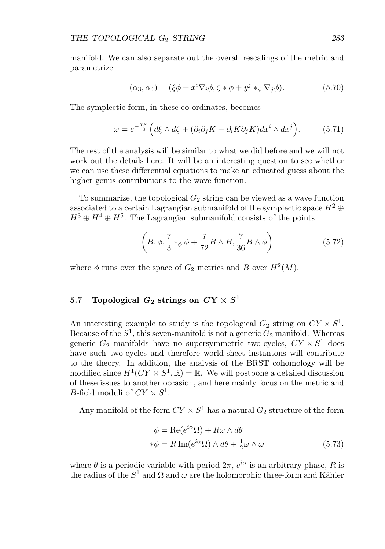manifold. We can also separate out the overall rescalings of the metric and parametrize

$$
(\alpha_3, \alpha_4) = (\xi \phi + x^i \nabla_i \phi, \zeta * \phi + y^j *_{\phi} \nabla_j \phi).
$$
 (5.70)

The symplectic form, in these co-ordinates, becomes

$$
\omega = e^{-\frac{7K}{3}} \Big( d\xi \wedge d\zeta + (\partial_i \partial_j K - \partial_i K \partial_j K) dx^i \wedge dx^j \Big). \tag{5.71}
$$

The rest of the analysis will be similar to what we did before and we will not work out the details here. It will be an interesting question to see whether we can use these differential equations to make an educated guess about the higher genus contributions to the wave function.

To summarize, the topological  $G_2$  string can be viewed as a wave function associated to a certain Lagrangian submanifold of the symplectic space  $H^2 \oplus$  $H^3 \oplus H^4 \oplus H^5$ . The Lagrangian submanifold consists of the points

$$
\left(B, \phi, \frac{7}{3} *_{\phi} \phi + \frac{7}{72} B \wedge B, \frac{7}{36} B \wedge \phi\right) \tag{5.72}
$$

where  $\phi$  runs over the space of  $G_2$  metrics and B over  $H^2(M)$ .

# 5.7 Topological  $G_2$  strings on  $CY \times S^1$

An interesting example to study is the topological  $G_2$  string on  $CY \times S^1$ . Because of the  $S^1$ , this seven-manifold is not a generic  $G_2$  manifold. Whereas generic  $G_2$  manifolds have no supersymmetric two-cycles,  $CY \times S^1$  does have such two-cycles and therefore world-sheet instantons will contribute to the theory. In addition, the analysis of the BRST cohomology will be modified since  $H^1(CY \times S^1, \mathbb{R}) = \mathbb{R}$ . We will postpone a detailed discussion of these issues to another occasion, and here mainly focus on the metric and *B*-field moduli of  $CY \times S^1$ .

Any manifold of the form  $CY \times S^1$  has a natural  $G_2$  structure of the form

$$
\phi = \text{Re}(e^{i\alpha}\Omega) + R\omega \wedge d\theta
$$
  
\n
$$
*\phi = R\,\text{Im}(e^{i\alpha}\Omega) \wedge d\theta + \frac{1}{2}\omega \wedge \omega
$$
 (5.73)

where  $\theta$  is a periodic variable with period  $2\pi$ ,  $e^{i\alpha}$  is an arbitrary phase, R is the radius of the  $S^1$  and  $\Omega$  and  $\omega$  are the holomorphic three-form and Kähler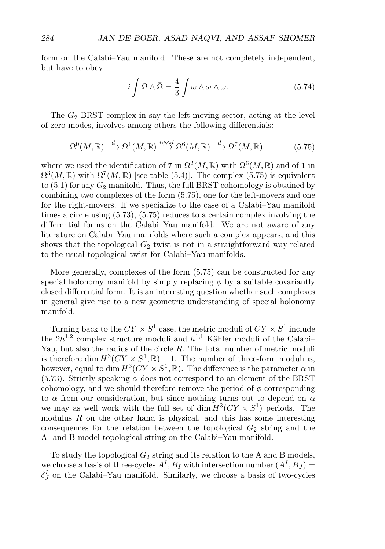form on the Calabi–Yau manifold. These are not completely independent, but have to obey

$$
i\int \Omega \wedge \bar{\Omega} = \frac{4}{3} \int \omega \wedge \omega \wedge \omega. \tag{5.74}
$$

The  $G_2$  BRST complex in say the left-moving sector, acting at the level of zero modes, involves among others the following differentials:

$$
\Omega^0(M,\mathbb{R}) \stackrel{d}{\longrightarrow} \Omega^1(M,\mathbb{R}) \stackrel{\ast\phi \wedge d}{\longrightarrow} \Omega^6(M,\mathbb{R}) \stackrel{d}{\longrightarrow} \Omega^7(M,\mathbb{R}).\tag{5.75}
$$

where we used the identification of **7** in  $\Omega^2(M,\mathbb{R})$  with  $\Omega^6(M,\mathbb{R})$  and of **1** in  $\Omega^3(M,\mathbb{R})$  with  $\Omega^7(M,\mathbb{R})$  [see table (5.4)]. The complex (5.75) is equivalent to  $(5.1)$  for any  $G_2$  manifold. Thus, the full BRST cohomology is obtained by combining two complexes of the form (5.75), one for the left-movers and one for the right-movers. If we specialize to the case of a Calabi–Yau manifold times a circle using (5.73), (5.75) reduces to a certain complex involving the differential forms on the Calabi–Yau manifold. We are not aware of any literature on Calabi–Yau manifolds where such a complex appears, and this shows that the topological  $G_2$  twist is not in a straightforward way related to the usual topological twist for Calabi–Yau manifolds.

More generally, complexes of the form (5.75) can be constructed for any special holonomy manifold by simply replacing  $\phi$  by a suitable covariantly closed differential form. It is an interesting question whether such complexes in general give rise to a new geometric understanding of special holonomy manifold.

Turning back to the  $CY \times S^1$  case, the metric moduli of  $CY \times S^1$  include the  $2h^{1,2}$  complex structure moduli and  $h^{1,1}$  Kähler moduli of the Calabi– Yau, but also the radius of the circle  $R$ . The total number of metric moduli is therefore dim  $H^3(CY \times S^1, \mathbb{R}) - 1$ . The number of three-form moduli is, however, equal to dim  $H^3(CY \times S^1, \mathbb{R})$ . The difference is the parameter  $\alpha$  in (5.73). Strictly speaking  $\alpha$  does not correspond to an element of the BRST cohomology, and we should therefore remove the period of  $\phi$  corresponding to  $\alpha$  from our consideration, but since nothing turns out to depend on  $\alpha$ we may as well work with the full set of dim  $H^3(CY \times S^1)$  periods. The modulus  $R$  on the other hand is physical, and this has some interesting consequences for the relation between the topological  $G_2$  string and the A- and B-model topological string on the Calabi–Yau manifold.

To study the topological  $G_2$  string and its relation to the A and B models, we choose a basis of three-cycles  $A^I$ ,  $B_I$  with intersection number  $(A^I, B_J)$  =  $\delta_J^I$  on the Calabi–Yau manifold. Similarly, we choose a basis of two-cycles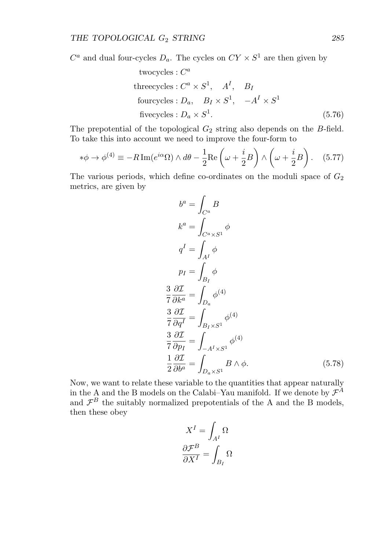$C^a$  and dual four-cycles  $D_a$ . The cycles on  $CY \times S^1$  are then given by

twocycles : 
$$
C^a
$$
  
\nthreecycles :  $C^a \times S^1$ ,  $A^I$ ,  $B_I$   
\nfourcycles :  $D_a$ ,  $B_I \times S^1$ ,  $-A^I \times S^1$   
\nfivecycles :  $D_a \times S^1$ . (5.76)

The prepotential of the topological  $G_2$  string also depends on the B-field. To take this into account we need to improve the four-form to

$$
*\phi \to \phi^{(4)} \equiv -R\operatorname{Im}(e^{i\alpha}\Omega) \wedge d\theta - \frac{1}{2}\operatorname{Re}\left(\omega + \frac{i}{2}B\right) \wedge \left(\omega + \frac{i}{2}B\right). \tag{5.77}
$$

The various periods, which define co-ordinates on the moduli space of  $G_2$ metrics, are given by

$$
b^{a} = \int_{C^{a}} B
$$
  
\n
$$
k^{a} = \int_{C^{a} \times S^{1}} \phi
$$
  
\n
$$
q^{I} = \int_{A^{I}} \phi
$$
  
\n
$$
p_{I} = \int_{B_{I}} \phi
$$
  
\n
$$
\frac{3}{7} \frac{\partial \mathcal{I}}{\partial k^{a}} = \int_{D_{a}} \phi^{(4)}
$$
  
\n
$$
\frac{3}{7} \frac{\partial \mathcal{I}}{\partial q^{I}} = \int_{B_{I} \times S^{1}} \phi^{(4)}
$$
  
\n
$$
\frac{3}{7} \frac{\partial \mathcal{I}}{\partial p_{I}} = \int_{-A^{I} \times S^{1}} \phi^{(4)}
$$
  
\n
$$
\frac{1}{2} \frac{\partial \mathcal{I}}{\partial b^{a}} = \int_{D_{a} \times S^{1}} B \wedge \phi.
$$
\n(5.78)

Now, we want to relate these variable to the quantities that appear naturally in the A and the B models on the Calabi–Yau manifold. If we denote by  $\mathcal{F}^A$ and  $\mathcal{F}^B$  the suitably normalized prepotentials of the A and the B models, then these obey

$$
X^{I} = \int_{A^{I}} \Omega
$$

$$
\frac{\partial \mathcal{F}^{B}}{\partial X^{I}} = \int_{B_{I}} \Omega
$$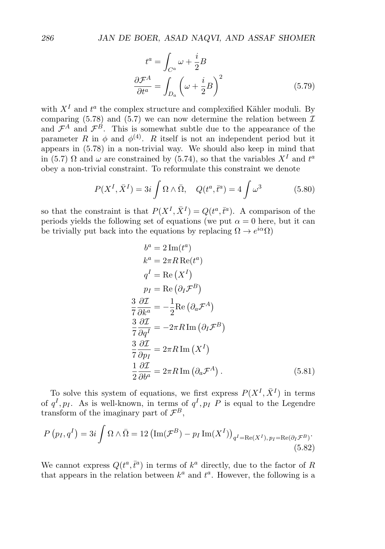$$
t^{a} = \int_{C^{a}} \omega + \frac{i}{2}B
$$

$$
\frac{\partial \mathcal{F}^{A}}{\partial t^{a}} = \int_{D_{a}} \left(\omega + \frac{i}{2}B\right)^{2}
$$
(5.79)

with  $X<sup>I</sup>$  and  $t<sup>a</sup>$  the complex structure and complexified Kähler moduli. By comparing (5.78) and (5.7) we can now determine the relation between  $\mathcal{I}$ and  $\mathcal{F}^A$  and  $\mathcal{F}^B$ . This is somewhat subtle due to the appearance of the parameter R in  $\phi$  and  $\phi^{(4)}$ . R itself is not an independent period but it appears in (5.78) in a non-trivial way. We should also keep in mind that in (5.7)  $\Omega$  and  $\omega$  are constrained by (5.74), so that the variables  $X<sup>I</sup>$  and  $t<sup>a</sup>$ obey a non-trivial constraint. To reformulate this constraint we denote

$$
P(X^I, \bar{X}^I) = 3i \int \Omega \wedge \bar{\Omega}, \quad Q(t^a, \bar{t}^a) = 4 \int \omega^3 \tag{5.80}
$$

so that the constraint is that  $P(X^I, \bar{X}^I) = Q(t^a, \bar{t}^a)$ . A comparison of the periods yields the following set of equations (we put  $\alpha = 0$  here, but it can be trivially put back into the equations by replacing  $\Omega \to e^{i\alpha}\Omega$ )

$$
b^{a} = 2 \operatorname{Im}(t^{a})
$$
  
\n
$$
k^{a} = 2\pi R \operatorname{Re}(t^{a})
$$
  
\n
$$
q^{I} = \operatorname{Re}(X^{I})
$$
  
\n
$$
p_{I} = \operatorname{Re}(\partial_{I} \mathcal{F}^{B})
$$
  
\n
$$
\frac{3}{7} \frac{\partial \mathcal{I}}{\partial k^{a}} = -\frac{1}{2} \operatorname{Re}(\partial_{a} \mathcal{F}^{A})
$$
  
\n
$$
\frac{3}{7} \frac{\partial \mathcal{I}}{\partial q^{I}} = -2\pi R \operatorname{Im}(\partial_{I} \mathcal{F}^{B})
$$
  
\n
$$
\frac{3}{7} \frac{\partial \mathcal{I}}{\partial p_{I}} = 2\pi R \operatorname{Im}(X^{I})
$$
  
\n
$$
\frac{1}{2} \frac{\partial \mathcal{I}}{\partial b^{a}} = 2\pi R \operatorname{Im}(\partial_{a} \mathcal{F}^{A}).
$$
  
\n(5.81)

To solve this system of equations, we first express  $P(X^I, \overline{X}^I)$  in terms of  $q^I, p_I$ . As is well-known, in terms of  $q^I, p_I$   $\overline{P}$  is equal to the Legendre transform of the imaginary part of  $\mathcal{F}^B$ ,

$$
P(p_I, q^I) = 3i \int \Omega \wedge \bar{\Omega} = 12 \left( \text{Im}(\mathcal{F}^B) - p_I \text{Im}(X^I) \right)_{q^I = \text{Re}(X^I), p_I = \text{Re}(\partial_I \mathcal{F}^B)}.
$$
\n(5.82)

 $\overline{a}$ 

We cannot express  $Q(t^a, \bar{t}^a)$  in terms of  $k^a$  directly, due to the factor of R that appears in the relation between  $k^a$  and  $t^a$ . However, the following is a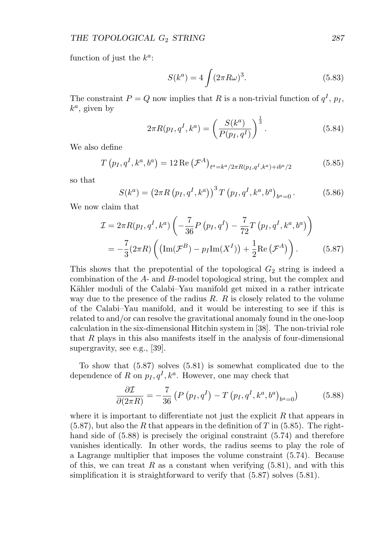function of just the  $k^a$ :

$$
S(ka) = 4 \int (2\pi R\omega)^3.
$$
 (5.83)

The constraint  $P = Q$  now implies that R is a non-trivial function of  $q<sup>I</sup>$ ,  $p<sub>I</sub>$ ,  $k^a$ , given by

$$
2\pi R(p_I, q^I, k^a) = \left(\frac{S(k^a)}{P(p_I, q^I)}\right)^{\frac{1}{3}}.
$$
\n(5.84)

We also define

$$
T(p_I, q^I, k^a, b^a) = 12 \operatorname{Re} (\mathcal{F}^A)_{t^a = k^a/2\pi R(p_I, q^I, k^a) + ib^a/2}
$$
 (5.85)

so that

 $S(k^{a}) = (2 \pi R (p_{I}, q^{I}, k^{a}))^{3} T (p_{I}, q^{I}, k^{a}, b^{a})$  $(5.86)$ 

We now claim that

$$
\mathcal{I} = 2\pi R(p_I, q^I, k^a) \left( -\frac{7}{36} P(p_I, q^I) - \frac{7}{72} T(p_I, q^I, k^a, b^a) \right)
$$
  
=  $-\frac{7}{3} (2\pi R) \left( (\text{Im}(\mathcal{F}^B) - p_I \text{Im}(X^I)) + \frac{1}{2} \text{Re}(\mathcal{F}^A) \right).$  (5.87)

This shows that the prepotential of the topological  $G_2$  string is indeed a combination of the A- and B-model topological string, but the complex and Kähler moduli of the Calabi–Yau manifold get mixed in a rather intricate way due to the presence of the radius  $R$ .  $R$  is closely related to the volume of the Calabi–Yau manifold, and it would be interesting to see if this is related to and/or can resolve the gravitational anomaly found in the one-loop calculation in the six-dimensional Hitchin system in [38]. The non-trivial role that R plays in this also manifests itself in the analysis of four-dimensional supergravity, see e.g., [39].

To show that (5.87) solves (5.81) is somewhat complicated due to the dependence of R on  $p_I, q^I, k^a$ . However, one may check that

$$
\frac{\partial \mathcal{I}}{\partial (2\pi R)} = -\frac{7}{36} \left( P \left( p_I, q^I \right) - T \left( p_I, q^I, k^a, b^a \right)_{b^a = 0} \right) \tag{5.88}
$$

where it is important to differentiate not just the explicit  $R$  that appears in  $(5.87)$ , but also the R that appears in the definition of T in  $(5.85)$ . The righthand side of (5.88) is precisely the original constraint (5.74) and therefore vanishes identically. In other words, the radius seems to play the role of a Lagrange multiplier that imposes the volume constraint (5.74). Because of this, we can treat R as a constant when verifying  $(5.81)$ , and with this simplification it is straightforward to verify that  $(5.87)$  solves  $(5.81)$ .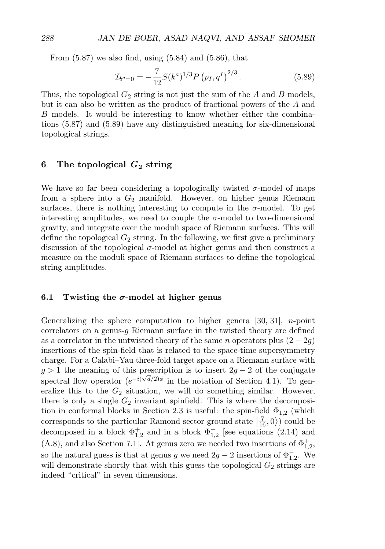From  $(5.87)$  we also find, using  $(5.84)$  and  $(5.86)$ , that

$$
\mathcal{I}_{b^a=0} = -\frac{7}{12} S(k^a)^{1/3} P(p_I, q^I)^{2/3}.
$$
\n(5.89)

Thus, the topological  $G_2$  string is not just the sum of the A and B models, but it can also be written as the product of fractional powers of the A and B models. It would be interesting to know whether either the combinations (5.87) and (5.89) have any distinguished meaning for six-dimensional topological strings.

# **6 The topological** *G***<sup>2</sup> string**

We have so far been considering a topologically twisted  $\sigma$ -model of maps from a sphere into a  $G_2$  manifold. However, on higher genus Riemann surfaces, there is nothing interesting to compute in the  $\sigma$ -model. To get interesting amplitudes, we need to couple the  $\sigma$ -model to two-dimensional gravity, and integrate over the moduli space of Riemann surfaces. This will define the topological  $G_2$  string. In the following, we first give a preliminary discussion of the topological  $\sigma$ -model at higher genus and then construct a measure on the moduli space of Riemann surfaces to define the topological string amplitudes.

#### **6.1 Twisting the** *σ***-model at higher genus**

Generalizing the sphere computation to higher genera  $[30, 31]$ , *n*-point correlators on a genus-q Riemann surface in the twisted theory are defined as a correlator in the untwisted theory of the same n operators plus  $(2 - 2q)$ insertions of the spin-field that is related to the space-time supersymmetry charge. For a Calabi–Yau three-fold target space on a Riemann surface with  $g > 1$  the meaning of this prescription is to insert  $2g - 2$  of the conjugate spectral flow operator  $(e^{-i(\sqrt{d}/2)\phi})$  in the notation of Section 4.1). To generalize this to the  $G_2$  situation, we will do something similar. However, there is only a single  $G_2$  invariant spinfield. This is where the decomposition in conformal blocks in Section 2.3 is useful: the spin-field  $\Phi_{1,2}$  (which corresponds to the particular Ramond sector ground state  $\left(\frac{7}{16}, 0\right)$  could be decomposed in a block  $\Phi_{1,2}^+$  and in a block  $\Phi_{1,2}^-$  [see equations (2.14) and (A.8), and also Section 7.1]. At genus zero we needed two insertions of  $\Phi_{1,2}^+$ , so the natural guess is that at genus g we need  $2g - 2$  insertions of  $\Phi_{1,2}^-$ . We will demonstrate shortly that with this guess the topological  $G_2$  strings are indeed "critical" in seven dimensions.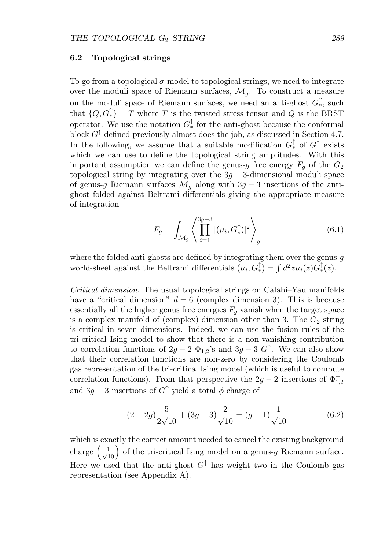#### **6.2 Topological strings**

To go from a topological  $\sigma$ -model to topological strings, we need to integrate over the moduli space of Riemann surfaces,  $\mathcal{M}_q$ . To construct a measure on the moduli space of Riemann surfaces, we need an anti-ghost  $G_*^{\uparrow}$ , such that  $\{Q, G^{\uparrow}_{*}\} = T$  where T is the twisted stress tensor and Q is the BRST operator. We use the notation  $G^{\uparrow}_{*}$  for the anti-ghost because the conformal block  $G^{\uparrow}$  defined previously almost does the job, as discussed in Section 4.7. In the following, we assume that a suitable modification  $G^{\uparrow}_{*}$  of  $G^{\uparrow}$  exists which we can use to define the topological string amplitudes. With this important assumption we can define the genus-g free energy  $F_q$  of the  $G_2$ topological string by integrating over the  $3g - 3$ -dimensional moduli space of genus-g Riemann surfaces  $\mathcal{M}_g$  along with 3g − 3 insertions of the antighost folded against Beltrami differentials giving the appropriate measure of integration

$$
F_g = \int_{\mathcal{M}_g} \left\langle \prod_{i=1}^{3g-3} |(\mu_i, G_*^{\uparrow})|^2 \right\rangle_g \tag{6.1}
$$

where the folded anti-ghosts are defined by integrating them over the genus- $q$ world-sheet against the Beltrami differentials  $(\mu_i, G^{\uparrow}_*) = \int d^2z \mu_i(z)G^{\uparrow}_*(z)$ .

Critical dimension. The usual topological strings on Calabi–Yau manifolds have a "critical dimension"  $d = 6$  (complex dimension 3). This is because essentially all the higher genus free energies  $F_g$  vanish when the target space is a complex manifold of (complex) dimension other than 3. The  $G_2$  string is critical in seven dimensions. Indeed, we can use the fusion rules of the tri-critical Ising model to show that there is a non-vanishing contribution to correlation functions of  $2g - 2 \Phi_{1,2}$ 's and  $3g - 3 G^{\uparrow}$ . We can also show that their correlation functions are non-zero by considering the Coulomb gas representation of the tri-critical Ising model (which is useful to compute correlation functions). From that perspective the  $2g - 2$  insertions of  $\Phi_{1,2}^$ and 3g − 3 insertions of  $G^{\uparrow}$  yield a total  $\phi$  charge of

$$
(2-2g)\frac{5}{2\sqrt{10}} + (3g-3)\frac{2}{\sqrt{10}} = (g-1)\frac{1}{\sqrt{10}}
$$
(6.2)

which is exactly the correct amount needed to cancel the existing background charge  $\left(\frac{1}{\sqrt{10}}\right)$  of the tri-critical Ising model on a genus-g Riemann surface. Here we used that the anti-ghost  $G^{\uparrow}$  has weight two in the Coulomb gas representation (see Appendix A).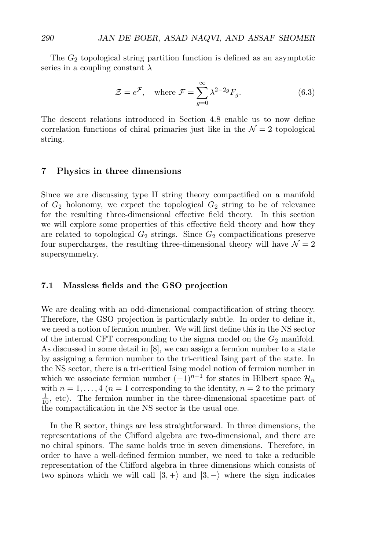The  $G_2$  topological string partition function is defined as an asymptotic series in a coupling constant  $\lambda$ 

$$
\mathcal{Z} = e^{\mathcal{F}}, \quad \text{where } \mathcal{F} = \sum_{g=0}^{\infty} \lambda^{2-2g} F_g.
$$
 (6.3)

The descent relations introduced in Section 4.8 enable us to now define correlation functions of chiral primaries just like in the  $\mathcal{N}=2$  topological string.

## **7 Physics in three dimensions**

Since we are discussing type II string theory compactified on a manifold of  $G_2$  holonomy, we expect the topological  $G_2$  string to be of relevance for the resulting three-dimensional effective field theory. In this section we will explore some properties of this effective field theory and how they are related to topological  $G_2$  strings. Since  $G_2$  compactifications preserve four supercharges, the resulting three-dimensional theory will have  $\mathcal{N}=2$ supersymmetry.

#### **7.1 Massless fields and the GSO projection**

We are dealing with an odd-dimensional compactification of string theory. Therefore, the GSO projection is particularly subtle. In order to define it, we need a notion of fermion number. We will first define this in the NS sector of the internal CFT corresponding to the sigma model on the  $G_2$  manifold. As discussed in some detail in [8], we can assign a fermion number to a state by assigning a fermion number to the tri-critical Ising part of the state. In the NS sector, there is a tri-critical Ising model notion of fermion number in which we associate fermion number  $(-1)^{n+1}$  for states in Hilbert space  $\mathcal{H}_n$ with  $n = 1, \ldots, 4$  ( $n = 1$  corresponding to the identity,  $n = 2$  to the primary  $\frac{1}{10}$ , etc). The fermion number in the three-dimensional spacetime part of the compactification in the NS sector is the usual one.

In the R sector, things are less straightforward. In three dimensions, the representations of the Clifford algebra are two-dimensional, and there are no chiral spinors. The same holds true in seven dimensions. Therefore, in order to have a well-defined fermion number, we need to take a reducible representation of the Clifford algebra in three dimensions which consists of two spinors which we will call  $|3, +\rangle$  and  $|3, -\rangle$  where the sign indicates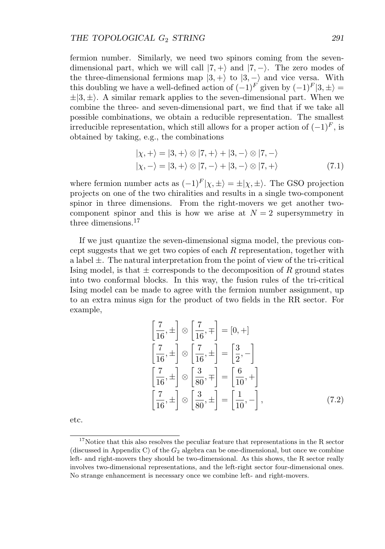fermion number. Similarly, we need two spinors coming from the sevendimensional part, which we will call  $|7, +\rangle$  and  $|7, -\rangle$ . The zero modes of the three-dimensional fermions map  $|3,+\rangle$  to  $|3,-\rangle$  and vice versa. With this doubling we have a well-defined action of  $(-1)^F$  given by  $(-1)^F |3, \pm \rangle =$  $\pm |3, \pm \rangle$ . A similar remark applies to the seven-dimensional part. When we combine the three- and seven-dimensional part, we find that if we take all possible combinations, we obtain a reducible representation. The smallest irreducible representation, which still allows for a proper action of  $(-1)^F$ , is obtained by taking, e.g., the combinations

$$
|\chi, +\rangle = |3, +\rangle \otimes |7, +\rangle + |3, -\rangle \otimes |7, -\rangle
$$
  

$$
|\chi, -\rangle = |3, +\rangle \otimes |7, -\rangle + |3, -\rangle \otimes |7, +\rangle
$$
 (7.1)

where fermion number acts as  $(-1)^F |\chi, \pm\rangle = \pm |\chi, \pm\rangle$ . The GSO projection projects on one of the two chiralities and results in a single two-component spinor in three dimensions. From the right-movers we get another twocomponent spinor and this is how we arise at  $N = 2$  supersymmetry in three dimensions.<sup>17</sup>

If we just quantize the seven-dimensional sigma model, the previous concept suggests that we get two copies of each R representation, together with a label  $\pm$ . The natural interpretation from the point of view of the tri-critical Ising model, is that  $\pm$  corresponds to the decomposition of R ground states into two conformal blocks. In this way, the fusion rules of the tri-critical Ising model can be made to agree with the fermion number assignment, up to an extra minus sign for the product of two fields in the RR sector. For example,

$$
\begin{aligned}\n\left[\frac{7}{16}, \pm\right] \otimes \left[\frac{7}{16}, \mp\right] &= [0, +] \\
\left[\frac{7}{16}, \pm\right] \otimes \left[\frac{7}{16}, \pm\right] &= \left[\frac{3}{2}, -\right] \\
\left[\frac{7}{16}, \pm\right] \otimes \left[\frac{3}{80}, \mp\right] &= \left[\frac{6}{10}, +\right] \\
\left[\frac{7}{16}, \pm\right] \otimes \left[\frac{3}{80}, \pm\right] &= \left[\frac{1}{10}, -\right],\n\end{aligned} \tag{7.2}
$$

etc.

 $17$ Notice that this also resolves the peculiar feature that representations in the R sector (discussed in Appendix C) of the  $G_2$  algebra can be one-dimensional, but once we combine left- and right-movers they should be two-dimensional. As this shows, the R sector really involves two-dimensional representations, and the left-right sector four-dimensional ones. No strange enhancement is necessary once we combine left- and right-movers.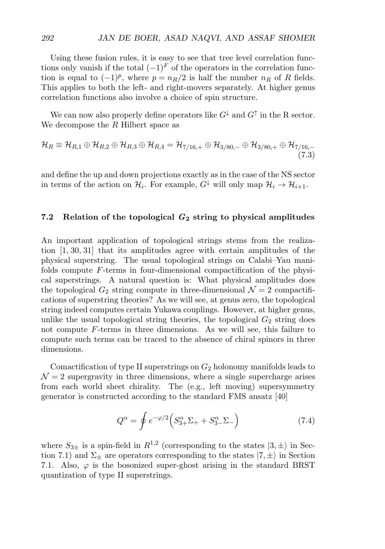Using these fusion rules, it is easy to see that tree level correlation functions only vanish if the total  $(-1)^F$  of the operators in the correlation function is equal to  $(-1)^p$ , where  $p = n_R/2$  is half the number  $n_R$  of R fields. This applies to both the left- and right-movers separately. At higher genus correlation functions also involve a choice of spin structure.

We can now also properly define operators like  $G^{\downarrow}$  and  $G^{\uparrow}$  in the R sector. We decompose the  $R$  Hilbert space as

$$
\mathcal{H}_R \equiv \mathcal{H}_{R,1} \oplus \mathcal{H}_{R,2} \oplus \mathcal{H}_{R,3} \oplus \mathcal{H}_{R,4} = \mathcal{H}_{7/16,+} \oplus \mathcal{H}_{3/80,-} \oplus \mathcal{H}_{3/80,+} \oplus \mathcal{H}_{7/16,-}
$$
\n(7.3)

and define the up and down projections exactly as in the case of the NS sector in terms of the action on  $\mathcal{H}_i$ . For example,  $G^{\downarrow}$  will only map  $\mathcal{H}_i \to \mathcal{H}_{i+1}$ .

# **7.2 Relation of the topological** *G***<sup>2</sup> string to physical amplitudes**

An important application of topological strings stems from the realization [1, 30, 31] that its amplitudes agree with certain amplitudes of the physical superstring. The usual topological strings on Calabi–Yau manifolds compute F-terms in four-dimensional compactification of the physical superstrings. A natural question is: What physical amplitudes does the topological  $G_2$  string compute in three-dimensional  $\mathcal{N}=2$  compactifications of superstring theories? As we will see, at genus zero, the topological string indeed computes certain Yukawa couplings. However, at higher genus, unlike the usual topological string theories, the topological  $G_2$  string does not compute F-terms in three dimensions. As we will see, this failure to compute such terms can be traced to the absence of chiral spinors in three dimensions.

Comactification of type II superstrings on  $G_2$  holonomy manifolds leads to  $\mathcal{N}=2$  supergravity in three dimensions, where a single supercharge arises from each world sheet chirality. The (e.g., left moving) supersymmetry generator is constructed according to the standard FMS ansatz [40]

$$
Q^{\alpha} = \oint e^{-\varphi/2} \left( S^{\alpha}_{3+} \Sigma_+ + S^{\alpha}_{3-} \Sigma_- \right) \tag{7.4}
$$

where  $S_{3\pm}$  is a spin-field in  $R^{1,2}$  (corresponding to the states  $|3,\pm\rangle$  in Section 7.1) and  $\Sigma_{\pm}$  are operators corresponding to the states  $|7,\pm\rangle$  in Section 7.1. Also,  $\varphi$  is the bosonized super-ghost arising in the standard BRST quantization of type II superstrings.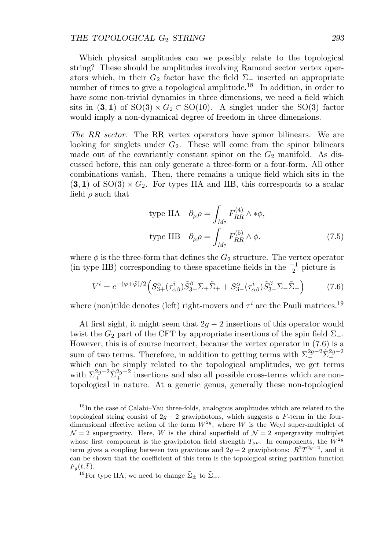#### THE TOPOLOGICAL  $G_2$  *STRING* 293

Which physical amplitudes can we possibly relate to the topological string? These should be amplitudes involving Ramond sector vertex operators which, in their  $G_2$  factor have the field  $\Sigma_-\$  inserted an appropriate number of times to give a topological amplitude.<sup>18</sup> In addition, in order to have some non-trivial dynamics in three dimensions, we need a field which sits in  $(3,1)$  of  $SO(3) \times G_2 \subset SO(10)$ . A singlet under the  $SO(3)$  factor would imply a non-dynamical degree of freedom in three dimensions.

The RR sector. The RR vertex operators have spinor bilinears. We are looking for singlets under  $G_2$ . These will come from the spinor bilinears made out of the covariantly constant spinor on the  $G_2$  manifold. As discussed before, this can only generate a three-form or a four-form. All other combinations vanish. Then, there remains a unique field which sits in the  $(3, 1)$  of  $SO(3) \times G_2$ . For types IIA and IIB, this corresponds to a scalar field  $\rho$  such that

type IIA 
$$
\partial_{\mu}\rho = \int_{M_7} F_{RR}^{(4)} \wedge * \phi,
$$
  
type IIB  $\partial_{\mu}\rho = \int_{M_7} F_{RR}^{(5)} \wedge \phi.$  (7.5)

where  $\phi$  is the three-form that defines the  $G_2$  structure. The vertex operator (in type IIB) corresponding to these spacetime fields in the  $\frac{-1}{2}$  picture is

$$
V^i = e^{-(\varphi + \tilde{\varphi})/2} \left( S^{\alpha}_{3+}(\tau^i_{\alpha\beta}) \tilde{S}^{\beta}_{3+} \Sigma_+ \tilde{\Sigma}_+ + S^{\alpha}_{3-}(\tau^i_{\alpha\beta}) \tilde{S}^{\beta}_{3-} \Sigma_- \tilde{\Sigma}_- \right) \tag{7.6}
$$

where (non)tilde denotes (left) right-movers and  $\tau^{i}$  are the Pauli matrices.<sup>19</sup>

At first sight, it might seem that  $2q - 2$  insertions of this operator would twist the  $G_2$  part of the CFT by appropriate insertions of the spin field  $\Sigma_-$ . However, this is of course incorrect, because the vertex operator in (7.6) is a sum of two terms. Therefore, in addition to getting terms with  $\Sigma^{2g-2}_{-} \tilde{\Sigma}^{2g-2}_{-}$ which can be simply related to the topological amplitudes, we get terms with  $\Sigma_{+}^{2g-2}\tilde{\Sigma}_{+}^{2g-2}$  insertions and also all possible cross-terms which are nontopological in nature. At a generic genus, generally these non-topological

<sup>&</sup>lt;sup>18</sup>In the case of Calabi–Yau three-folds, analogous amplitudes which are related to the topological string consist of  $2g - 2$  graviphotons, which suggests a F-term in the fourdimensional effective action of the form  $W^{2g}$ , where W is the Weyl super-multiplet of  $\mathcal{N}=2$  supergravity. Here, W is the chiral superfield of  $\mathcal{N}=2$  supergravity multiplet whose first component is the graviphoton field strength  $T_{\mu\nu}$ . In components, the  $W^{2g}$ term gives a coupling between two gravitons and  $2g - 2$  graviphotons:  $R^2T^{2g-2}$ , and it can be shown that the coefficient of this term is the topological string partition function  $F_g(t,\bar{t})$ .

<sup>&</sup>lt;sup>19</sup>For type IIA, we need to change  $\tilde{\Sigma}_{\pm}$  to  $\tilde{\Sigma}_{\mp}$ .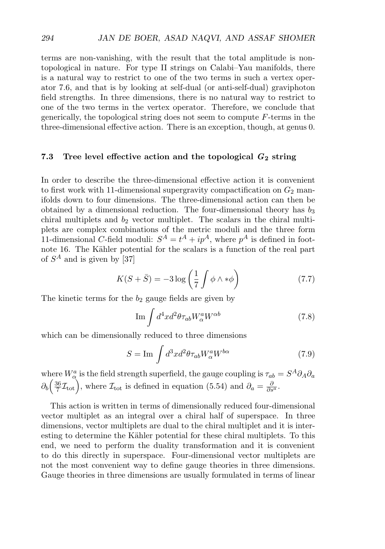terms are non-vanishing, with the result that the total amplitude is nontopological in nature. For type II strings on Calabi–Yau manifolds, there is a natural way to restrict to one of the two terms in such a vertex operator 7.6, and that is by looking at self-dual (or anti-self-dual) graviphoton field strengths. In three dimensions, there is no natural way to restrict to one of the two terms in the vertex operator. Therefore, we conclude that generically, the topological string does not seem to compute F-terms in the three-dimensional effective action. There is an exception, though, at genus 0.

# **7.3 Tree level effective action and the topological** *G***<sup>2</sup> string**

In order to describe the three-dimensional effective action it is convenient to first work with 11-dimensional supergravity compactification on  $G_2$  manifolds down to four dimensions. The three-dimensional action can then be obtained by a dimensional reduction. The four-dimensional theory has  $b_3$ chiral multiplets and  $b_2$  vector multiplet. The scalars in the chiral multiplets are complex combinations of the metric moduli and the three form 11-dimensional C-field moduli:  $S^A = t^A + ip^A$ , where  $p^A$  is defined in footnote 16. The Kähler potential for the scalars is a function of the real part of  $S^A$  and is given by [37]

$$
K(S + \bar{S}) = -3\log\left(\frac{1}{7}\int \phi \wedge * \phi\right) \tag{7.7}
$$

The kinetic terms for the  $b_2$  gauge fields are given by

$$
\operatorname{Im} \int d^4x d^2\theta \tau_{ab} W^a_\alpha W^{\alpha b} \tag{7.8}
$$

which can be dimensionally reduced to three dimensions

$$
S = \operatorname{Im} \int d^3x d^2\theta \tau_{ab} W^a_\alpha W^{b\alpha} \tag{7.9}
$$

where  $W^a_\alpha$  is the field strength superfield, the gauge coupling is  $\tau_{ab} = S^A \partial_A \partial_a$  $\partial_b\left(\frac{36}{7}\mathcal{I}_{\text{tot}}\right)$ , where  $\mathcal{I}_{\text{tot}}$  is defined in equation (5.54) and  $\partial_a = \frac{\partial}{\partial s^a}$ .

This action is written in terms of dimensionally reduced four-dimensional vector multiplet as an integral over a chiral half of superspace. In three dimensions, vector multiplets are dual to the chiral multiplet and it is interesting to determine the Kähler potential for these chiral multiplets. To this end, we need to perform the duality transformation and it is convenient to do this directly in superspace. Four-dimensional vector multiplets are not the most convenient way to define gauge theories in three dimensions. Gauge theories in three dimensions are usually formulated in terms of linear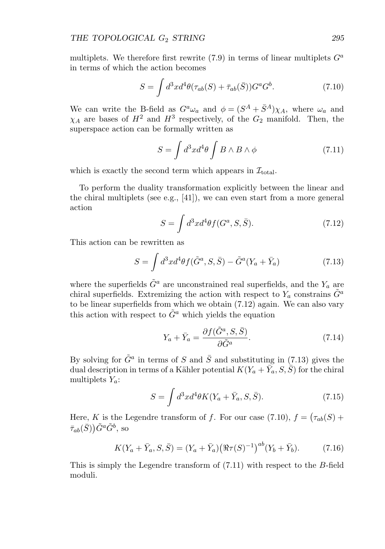multiplets. We therefore first rewrite  $(7.9)$  in terms of linear multiplets  $G^a$ in terms of which the action becomes

$$
S = \int d^3x d^4\theta (\tau_{ab}(S) + \bar{\tau}_{ab}(\bar{S})) G^a G^b. \tag{7.10}
$$

We can write the B-field as  $G^a \omega_a$  and  $\phi = (S^A + \bar{S}^A) \chi_A$ , where  $\omega_a$  and  $\chi_A$  are bases of  $H^2$  and  $H^3$  respectively, of the  $G_2$  manifold. Then, the superspace action can be formally written as

$$
S = \int d^3x d^4\theta \int B \wedge B \wedge \phi \tag{7.11}
$$

which is exactly the second term which appears in  $\mathcal{I}_{total}$ .

To perform the duality transformation explicitly between the linear and the chiral multiplets (see e.g., [41]), we can even start from a more general action

$$
S = \int d^3x d^4\theta f(G^a, S, \bar{S}).\tag{7.12}
$$

This action can be rewritten as

$$
S = \int d^3x d^4\theta f(\tilde{G}^a, S, \bar{S}) - \tilde{G}^a (Y_a + \bar{Y}_a)
$$
\n(7.13)

where the superfields  $\tilde{G}^a$  are unconstrained real superfields, and the  $Y_a$  are chiral superfields. Extremizing the action with respect to  $Y_a$  constrains  $\tilde{G}^a$ to be linear superfields from which we obtain (7.12) again. We can also vary this action with respect to  $\tilde{G}^a$  which yields the equation

$$
Y_a + \bar{Y}_a = \frac{\partial f(\tilde{G}^a, S, \bar{S})}{\partial \tilde{G}^a}.
$$
\n(7.14)

By solving for  $\tilde{G}^a$  in terms of S and  $\bar{S}$  and substituting in (7.13) gives the dual description in terms of a Kähler potential  $K(Y_a + \overline{Y}_a, S, \overline{S})$  for the chiral multiplets  $Y_a$ :

$$
S = \int d^3x d^4\theta K(Y_a + \bar{Y}_a, S, \bar{S}).\tag{7.15}
$$

Here, K is the Legendre transform of f. For our case  $(7.10)$ ,  $f = (\tau_{ab}(S) +$  $(\bar{s}_{ab}(\bar{S}))\tilde{G}^a\tilde{G}^b,$  so

$$
K(Y_a + \bar{Y}_a, S, \bar{S}) = (Y_a + \bar{Y}_a) \left( \Re \tau(S)^{-1} \right)^{ab} (Y_b + \bar{Y}_b). \tag{7.16}
$$

This is simply the Legendre transform of (7.11) with respect to the B-field moduli.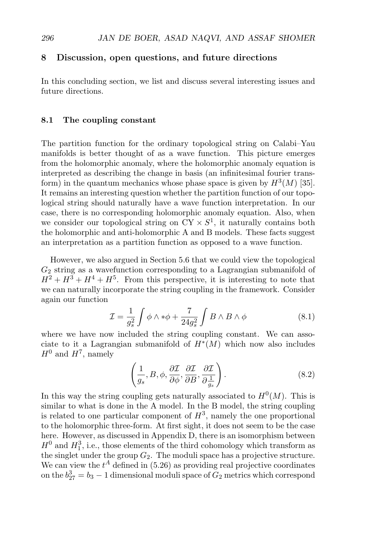# **8 Discussion, open questions, and future directions**

In this concluding section, we list and discuss several interesting issues and future directions.

## **8.1 The coupling constant**

The partition function for the ordinary topological string on Calabi–Yau manifolds is better thought of as a wave function. This picture emerges from the holomorphic anomaly, where the holomorphic anomaly equation is interpreted as describing the change in basis (an infinitesimal fourier transform) in the quantum mechanics whose phase space is given by  $H^3(M)$  [35]. It remains an interesting question whether the partition function of our topological string should naturally have a wave function interpretation. In our case, there is no corresponding holomorphic anomaly equation. Also, when we consider our topological string on  $CY \times S^1$ , it naturally contains both the holomorphic and anti-holomorphic A and B models. These facts suggest an interpretation as a partition function as opposed to a wave function.

However, we also argued in Section 5.6 that we could view the topological  $G_2$  string as a wavefunction corresponding to a Lagrangian submanifold of  $H^2 + H^3 + H^4 + H^5$ . From this perspective, it is interesting to note that we can naturally incorporate the string coupling in the framework. Consider again our function

$$
\mathcal{I} = \frac{1}{g_s^2} \int \phi \wedge * \phi + \frac{7}{24g_s^2} \int B \wedge B \wedge \phi \tag{8.1}
$$

where we have now included the string coupling constant. We can associate to it a Lagrangian submanifold of  $H^*(M)$  which now also includes  $H^0$  and  $H^7$ , namely

$$
\left(\frac{1}{g_s}, B, \phi, \frac{\partial \mathcal{I}}{\partial \phi}, \frac{\partial \mathcal{I}}{\partial B}, \frac{\partial \mathcal{I}}{\partial \frac{1}{g_s}}\right).
$$
\n(8.2)

In this way the string coupling gets naturally associated to  $H^0(M)$ . This is similar to what is done in the A model. In the B model, the string coupling is related to one particular component of  $H^3$ , namely the one proportional to the holomorphic three-form. At first sight, it does not seem to be the case here. However, as discussed in Appendix D, there is an isomorphism between  $H^0$  and  $H_1^3$ , i.e., those elements of the third cohomology which transform as the singlet under the group  $G_2$ . The moduli space has a projective structure. We can view the  $t^A$  defined in (5.26) as providing real projective coordinates on the  $b_{27}^3 = b_3 - 1$  dimensional moduli space of  $G_2$  metrics which correspond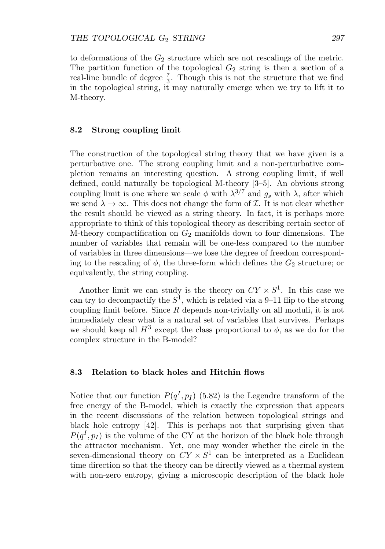to deformations of the  $G_2$  structure which are not rescalings of the metric. The partition function of the topological  $G_2$  string is then a section of a real-line bundle of degree  $\frac{7}{3}$ . Though this is not the structure that we find in the topological string, it may naturally emerge when we try to lift it to M-theory.

## **8.2 Strong coupling limit**

The construction of the topological string theory that we have given is a perturbative one. The strong coupling limit and a non-perturbative completion remains an interesting question. A strong coupling limit, if well defined, could naturally be topological M-theory [3–5]. An obvious strong coupling limit is one where we scale  $\phi$  with  $\lambda^{3/7}$  and  $g_s$  with  $\lambda$ , after which we send  $\lambda \to \infty$ . This does not change the form of *I*. It is not clear whether the result should be viewed as a string theory. In fact, it is perhaps more appropriate to think of this topological theory as describing certain sector of M-theory compactification on  $G_2$  manifolds down to four dimensions. The number of variables that remain will be one-less compared to the number of variables in three dimensions—we lose the degree of freedom corresponding to the rescaling of  $\phi$ , the three-form which defines the  $G_2$  structure; or equivalently, the string coupling.

Another limit we can study is the theory on  $CY \times S^1$ . In this case we can try to decompactify the  $S^1$ , which is related via a 9–11 flip to the strong coupling limit before. Since  $R$  depends non-trivially on all moduli, it is not immediately clear what is a natural set of variables that survives. Perhaps we should keep all  $H^3$  except the class proportional to  $\phi$ , as we do for the complex structure in the B-model?

#### **8.3 Relation to black holes and Hitchin flows**

Notice that our function  $P(q^I, p_I)$  (5.82) is the Legendre transform of the free energy of the B-model, which is exactly the expression that appears in the recent discussions of the relation between topological strings and black hole entropy [42]. This is perhaps not that surprising given that  $P(q^I, p_I)$  is the volume of the CY at the horizon of the black hole through the attractor mechanism. Yet, one may wonder whether the circle in the seven-dimensional theory on  $CY \times S^1$  can be interpreted as a Euclidean time direction so that the theory can be directly viewed as a thermal system with non-zero entropy, giving a microscopic description of the black hole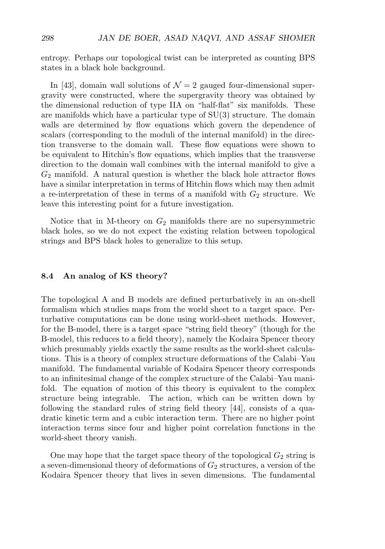entropy. Perhaps our topological twist can be interpreted as counting BPS states in a black hole background.

In [43], domain wall solutions of  $\mathcal{N}=2$  gauged four-dimensional supergravity were constructed, where the supergravity theory was obtained by the dimensional reduction of type IIA on "half-flat" six manifolds. These are manifolds which have a particular type of SU(3) structure. The domain walls are determined by flow equations which govern the dependence of scalars (corresponding to the moduli of the internal manifold) in the direction transverse to the domain wall. These flow equations were shown to be equivalent to Hitchin's flow equations, which implies that the transverse direction to the domain wall combines with the internal manifold to give a  $G_2$  manifold. A natural question is whether the black hole attractor flows have a similar interpretation in terms of Hitchin flows which may then admit a re-interpretation of these in terms of a manifold with  $G_2$  structure. We leave this interesting point for a future investigation.

Notice that in M-theory on  $G_2$  manifolds there are no supersymmetric black holes, so we do not expect the existing relation between topological strings and BPS black holes to generalize to this setup.

#### **8.4 An analog of KS theory?**

The topological A and B models are defined perturbatively in an on-shell formalism which studies maps from the world sheet to a target space. Perturbative computations can be done using world-sheet methods. However, for the B-model, there is a target space "string field theory" (though for the B-model, this reduces to a field theory), namely the Kodaira Spencer theory which presumably yields exactly the same results as the world-sheet calculations. This is a theory of complex structure deformations of the Calabi–Yau manifold. The fundamental variable of Kodaira Spencer theory corresponds to an infinitesimal change of the complex structure of the Calabi–Yau manifold. The equation of motion of this theory is equivalent to the complex structure being integrable. The action, which can be written down by following the standard rules of string field theory [44], consists of a quadratic kinetic term and a cubic interaction term. There are no higher point interaction terms since four and higher point correlation functions in the world-sheet theory vanish.

One may hope that the target space theory of the topological  $G_2$  string is a seven-dimensional theory of deformations of  $G_2$  structures, a version of the Kodaira Spencer theory that lives in seven dimensions. The fundamental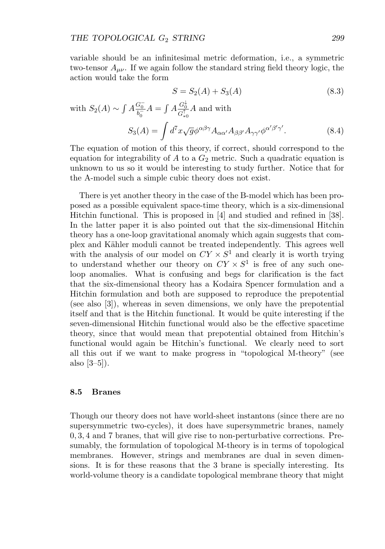variable should be an infinitesimal metric deformation, i.e., a symmetric two-tensor  $A_{\mu\nu}$ . If we again follow the standard string field theory logic, the action would take the form

$$
S = S_2(A) + S_3(A) \tag{8.3}
$$

with 
$$
S_2(A) \sim \int A \frac{G_0^-}{b_0^-} A = \int A \frac{G_0^{\downarrow}}{G_{*0}^{\uparrow}} A
$$
 and with  
\n
$$
S_3(A) = \int d^7 x \sqrt{g} \phi^{\alpha\beta\gamma} A_{\alpha\alpha'} A_{\beta\beta'} A_{\gamma\gamma'} \phi^{\alpha'\beta'\gamma'}.
$$
\n(8.4)

The equation of motion of this theory, if correct, should correspond to the equation for integrability of  $A$  to a  $G_2$  metric. Such a quadratic equation is unknown to us so it would be interesting to study further. Notice that for the A-model such a simple cubic theory does not exist.

There is yet another theory in the case of the B-model which has been proposed as a possible equivalent space-time theory, which is a six-dimensional Hitchin functional. This is proposed in [4] and studied and refined in [38]. In the latter paper it is also pointed out that the six-dimensional Hitchin theory has a one-loop gravitational anomaly which again suggests that complex and Kähler moduli cannot be treated independently. This agrees well with the analysis of our model on  $CY \times S^1$  and clearly it is worth trying to understand whether our theory on  $CY \times S^1$  is free of any such oneloop anomalies. What is confusing and begs for clarification is the fact that the six-dimensional theory has a Kodaira Spencer formulation and a Hitchin formulation and both are supposed to reproduce the prepotential (see also [3]), whereas in seven dimensions, we only have the prepotential itself and that is the Hitchin functional. It would be quite interesting if the seven-dimensional Hitchin functional would also be the effective spacetime theory, since that would mean that prepotential obtained from Hitchin's functional would again be Hitchin's functional. We clearly need to sort all this out if we want to make progress in "topological M-theory" (see also [3–5]).

### **8.5 Branes**

Though our theory does not have world-sheet instantons (since there are no supersymmetric two-cycles), it does have supersymmetric branes, namely 0, 3, 4 and 7 branes, that will give rise to non-perturbative corrections. Presumably, the formulation of topological M-theory is in terms of topological membranes. However, strings and membranes are dual in seven dimensions. It is for these reasons that the 3 brane is specially interesting. Its world-volume theory is a candidate topological membrane theory that might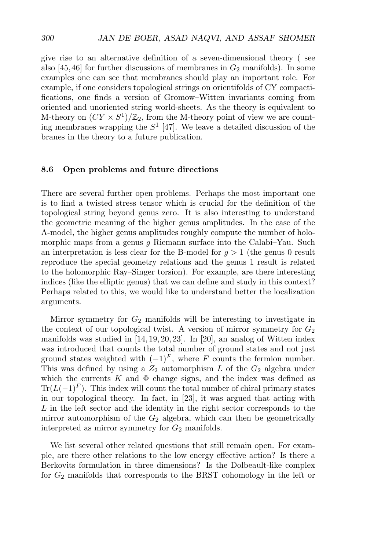give rise to an alternative definition of a seven-dimensional theory ( see also [45,46] for further discussions of membranes in  $G_2$  manifolds). In some examples one can see that membranes should play an important role. For example, if one considers topological strings on orientifolds of CY compactifications, one finds a version of Gromow–Witten invariants coming from oriented and unoriented string world-sheets. As the theory is equivalent to M-theory on  $(CY \times S^1)/\mathbb{Z}_2$ , from the M-theory point of view we are counting membranes wrapping the  $S<sup>1</sup>$  [47]. We leave a detailed discussion of the branes in the theory to a future publication.

#### **8.6 Open problems and future directions**

There are several further open problems. Perhaps the most important one is to find a twisted stress tensor which is crucial for the definition of the topological string beyond genus zero. It is also interesting to understand the geometric meaning of the higher genus amplitudes. In the case of the A-model, the higher genus amplitudes roughly compute the number of holomorphic maps from a genus g Riemann surface into the Calabi–Yau. Such an interpretation is less clear for the B-model for  $g > 1$  (the genus 0 result reproduce the special geometry relations and the genus 1 result is related to the holomorphic Ray–Singer torsion). For example, are there interesting indices (like the elliptic genus) that we can define and study in this context? Perhaps related to this, we would like to understand better the localization arguments.

Mirror symmetry for  $G_2$  manifolds will be interesting to investigate in the context of our topological twist. A version of mirror symmetry for  $G_2$ manifolds was studied in [14,19,20,23]. In [20], an analog of Witten index was introduced that counts the total number of ground states and not just ground states weighted with  $(-1)^F$ , where F counts the fermion number. This was defined by using a  $Z_2$  automorphism L of the  $G_2$  algebra under which the currents K and  $\Phi$  change signs, and the index was defined as  $Tr(L(-1)<sup>F</sup>)$ . This index will count the total number of chiral primary states in our topological theory. In fact, in [23], it was argued that acting with L in the left sector and the identity in the right sector corresponds to the mirror automorphism of the  $G_2$  algebra, which can then be geometrically interpreted as mirror symmetry for  $G_2$  manifolds.

We list several other related questions that still remain open. For example, are there other relations to the low energy effective action? Is there a Berkovits formulation in three dimensions? Is the Dolbeault-like complex for  $G_2$  manifolds that corresponds to the BRST cohomology in the left or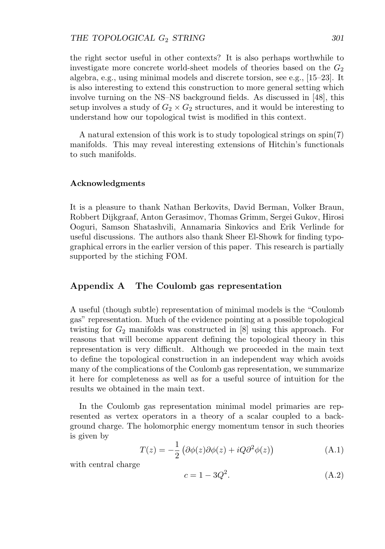the right sector useful in other contexts? It is also perhaps worthwhile to investigate more concrete world-sheet models of theories based on the  $G_2$ algebra, e.g., using minimal models and discrete torsion, see e.g., [15–23]. It is also interesting to extend this construction to more general setting which involve turning on the NS–NS background fields. As discussed in [48], this setup involves a study of  $G_2 \times G_2$  structures, and it would be interesting to understand how our topological twist is modified in this context.

A natural extension of this work is to study topological strings on spin(7) manifolds. This may reveal interesting extensions of Hitchin's functionals to such manifolds.

#### **Acknowledgments**

It is a pleasure to thank Nathan Berkovits, David Berman, Volker Braun, Robbert Dijkgraaf, Anton Gerasimov, Thomas Grimm, Sergei Gukov, Hirosi Ooguri, Samson Shatashvili, Annamaria Sinkovics and Erik Verlinde for useful discussions. The authors also thank Sheer El-Showk for finding typographical errors in the earlier version of this paper. This research is partially supported by the stiching FOM.

## **Appendix A The Coulomb gas representation**

A useful (though subtle) representation of minimal models is the "Coulomb gas" representation. Much of the evidence pointing at a possible topological twisting for  $G_2$  manifolds was constructed in  $[8]$  using this approach. For reasons that will become apparent defining the topological theory in this representation is very difficult. Although we proceeded in the main text to define the topological construction in an independent way which avoids many of the complications of the Coulomb gas representation, we summarize it here for completeness as well as for a useful source of intuition for the results we obtained in the main text.

In the Coulomb gas representation minimal model primaries are represented as vertex operators in a theory of a scalar coupled to a background charge. The holomorphic energy momentum tensor in such theories is given by

$$
T(z) = -\frac{1}{2} \left( \partial \phi(z) \partial \phi(z) + i Q \partial^2 \phi(z) \right)
$$
 (A.1)

with central charge

$$
c = 1 - 3Q^2. \tag{A.2}
$$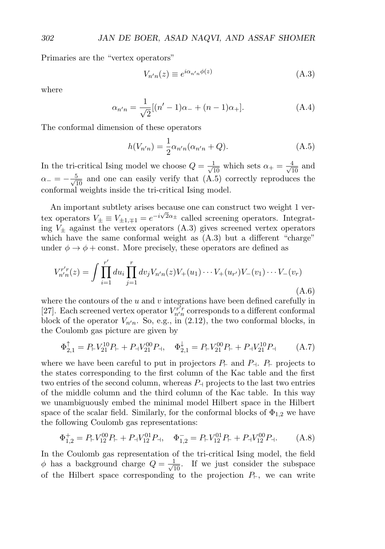Primaries are the "vertex operators"

$$
V_{n'n}(z) \equiv e^{i\alpha_{n'n}\phi(z)}\tag{A.3}
$$

where

$$
\alpha_{n'n} = \frac{1}{\sqrt{2}} [(n'-1)\alpha_{-} + (n-1)\alpha_{+}].
$$
\n(A.4)

The conformal dimension of these operators

$$
h(V_{n'n}) = \frac{1}{2}\alpha_{n'n}(\alpha_{n'n} + Q).
$$
 (A.5)

In the tri-critical Ising model we choose  $Q = \frac{1}{\sqrt{10}}$  which sets  $\alpha_+ = \frac{4}{\sqrt{10}}$  and  $\alpha_-= -\frac{5}{\sqrt{10}}$  and one can easily verify that  $(A.5)$  correctly reproduces the conformal weights inside the tri-critical Ising model.

An important subtlety arises because one can construct two weight 1 vertex operators  $V_{\pm} \equiv V_{\pm 1, \mp 1} = e^{-i\sqrt{2}\alpha_{\pm}}$  called screening operators. Integrating  $V_{\pm}$  against the vertex operators (A.3) gives screened vertex operators which have the same conformal weight as  $(A.3)$  but a different "charge" under  $\phi \rightarrow \phi + \text{const.}$  More precisely, these operators are defined as

$$
V_{n'n}^{r'r}(z) = \int \prod_{i=1}^{r'} du_i \prod_{j=1}^r dv_j V_{n'n}(z) V_+(u_1) \cdots V_+(u_{r'}) V_-(v_1) \cdots V_-(v_r)
$$
\n(A.6)

where the contours of the  $u$  and  $v$  integrations have been defined carefully in [27]. Each screened vertex operator  $V_{n'n}^{\vec{r'}r}$  corresponds to a different conformal block of the operator  $V_{n'n}$ . So, e.g., in (2.12), the two conformal blocks, in the Coulomb gas picture are given by

$$
\Phi_{2,1}^{\uparrow} = P_{+} V_{21}^{10} P_{+} + P_{+} V_{21}^{00} P_{-1}, \quad \Phi_{2,1}^{\downarrow} = P_{+} V_{21}^{00} P_{+} + P_{+} V_{21}^{10} P_{-1} \tag{A.7}
$$

where we have been careful to put in projectors  $P_{\vdash}$  and  $P_{\dashv}$ .  $P_{\vdash}$  projects to the states corresponding to the first column of the Kac table and the first two entries of the second column, whereas  $P_{\perp}$  projects to the last two entries of the middle column and the third column of the Kac table. In this way we unambiguously embed the minimal model Hilbert space in the Hilbert space of the scalar field. Similarly, for the conformal blocks of  $\Phi_{1,2}$  we have the following Coulomb gas representations:

$$
\Phi_{1,2}^{+} = P_{+} V_{12}^{00} P_{+} + P_{+} V_{12}^{01} P_{+}, \quad \Phi_{1,2}^{-} = P_{+} V_{12}^{01} P_{+} + P_{+} V_{12}^{00} P_{+}.
$$
 (A.8)

In the Coulomb gas representation of the tri-critical Ising model, the field  $\phi$  has a background charge  $Q = \frac{1}{\sqrt{10}}$ . If we just consider the subspace of the Hilbert space corresponding to the projection  $P_{\vdash}$ , we can write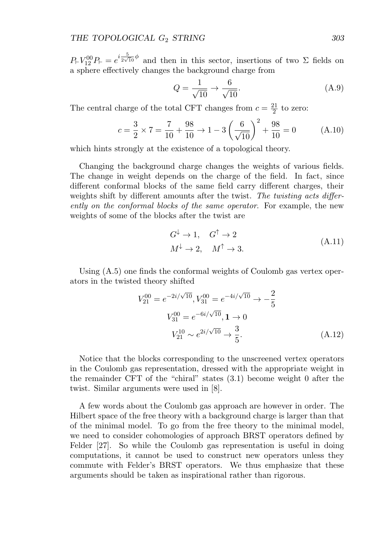$P_{\vdash}V_{12}^{00}P_{\vdash} = e^{i\frac{5}{2\sqrt{10}}\phi}$  and then in this sector, insertions of two  $\Sigma$  fields on a sphere effectively changes the background charge from

$$
Q = \frac{1}{\sqrt{10}} \to \frac{6}{\sqrt{10}}.\tag{A.9}
$$

The central charge of the total CFT changes from  $c = \frac{21}{2}$  to zero:

$$
c = \frac{3}{2} \times 7 = \frac{7}{10} + \frac{98}{10} \to 1 - 3\left(\frac{6}{\sqrt{10}}\right)^2 + \frac{98}{10} = 0
$$
 (A.10)

which hints strongly at the existence of a topological theory.

Changing the background charge changes the weights of various fields. The change in weight depends on the charge of the field. In fact, since different conformal blocks of the same field carry different charges, their weights shift by different amounts after the twist. The twisting acts differently on the conformal blocks of the same operator. For example, the new weights of some of the blocks after the twist are

$$
G^{\downarrow} \to 1, \quad G^{\uparrow} \to 2
$$
  
\n
$$
M^{\downarrow} \to 2, \quad M^{\uparrow} \to 3.
$$
\n(A.11)

Using (A.5) one finds the conformal weights of Coulomb gas vertex operators in the twisted theory shifted

$$
V_{21}^{00} = e^{-2i/\sqrt{10}}, V_{31}^{00} = e^{-4i/\sqrt{10}} \to -\frac{2}{5}
$$
  

$$
V_{31}^{00} = e^{-6i/\sqrt{10}}, \mathbf{1} \to 0
$$
  

$$
V_{21}^{10} \sim e^{2i/\sqrt{10}} \to \frac{3}{5}.
$$
 (A.12)

Notice that the blocks corresponding to the unscreened vertex operators in the Coulomb gas representation, dressed with the appropriate weight in the remainder CFT of the "chiral" states (3.1) become weight 0 after the twist. Similar arguments were used in [8].

A few words about the Coulomb gas approach are however in order. The Hilbert space of the free theory with a background charge is larger than that of the minimal model. To go from the free theory to the minimal model, we need to consider cohomologies of approach BRST operators defined by Felder [27]. So while the Coulomb gas representation is useful in doing computations, it cannot be used to construct new operators unless they commute with Felder's BRST operators. We thus emphasize that these arguments should be taken as inspirational rather than rigorous.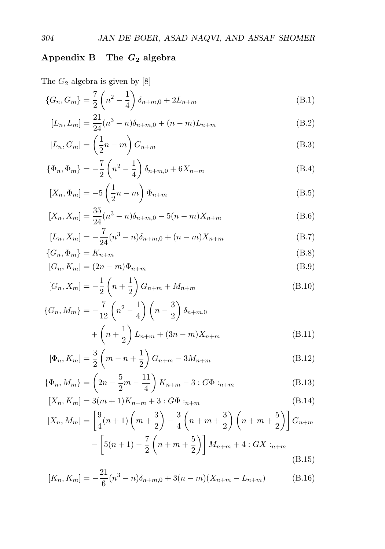# **Appendix B The** *G***<sup>2</sup> algebra**

# The  $G_2$  algebra is given by  $[8]$

$$
\{G_n, G_m\} = \frac{7}{2} \left( n^2 - \frac{1}{4} \right) \delta_{n+m,0} + 2L_{n+m}
$$
\n(B.1)

$$
[L_n, L_m] = \frac{21}{24}(n^3 - n)\delta_{n+m,0} + (n-m)L_{n+m}
$$
 (B.2)

$$
[L_n, G_m] = \left(\frac{1}{2}n - m\right)G_{n+m} \tag{B.3}
$$

$$
\{\Phi_n, \Phi_m\} = -\frac{7}{2} \left( n^2 - \frac{1}{4} \right) \delta_{n+m,0} + 6X_{n+m}
$$
\n(B.4)

$$
[X_n, \Phi_m] = -5\left(\frac{1}{2}n - m\right)\Phi_{n+m} \tag{B.5}
$$

$$
[X_n, X_m] = \frac{35}{24}(n^3 - n)\delta_{n+m,0} - 5(n-m)X_{n+m}
$$
\n(B.6)

$$
[L_n, X_m] = -\frac{7}{24}(n^3 - n)\delta_{n+m,0} + (n-m)X_{n+m}
$$
 (B.7)

$$
\{G_n, \Phi_m\} = K_{n+m} \tag{B.8}
$$

$$
[G_n, K_m] = (2n - m)\Phi_{n+m} \tag{B.9}
$$

$$
[G_n, X_m] = -\frac{1}{2} \left( n + \frac{1}{2} \right) G_{n+m} + M_{n+m}
$$
 (B.10)

$$
\{G_n, M_m\} = -\frac{7}{12} \left(n^2 - \frac{1}{4}\right) \left(n - \frac{3}{2}\right) \delta_{n+m,0} + \left(n + \frac{1}{2}\right) L_{n+m} + (3n - m) X_{n+m}
$$
\n(B.11)

$$
[\Phi_n, K_m] = \frac{3}{2} \left( m - n + \frac{1}{2} \right) G_{n+m} - 3M_{n+m}
$$
 (B.12)

$$
\{\Phi_n, M_m\} = \left(2n - \frac{5}{2}m - \frac{11}{4}\right)K_{n+m} - 3: G\Phi :_{n+m}
$$
\n(B.13)

$$
[X_n, K_m] = 3(m+1)K_{n+m} + 3: G\Phi :_{n+m}
$$
\n(B.14)

$$
[X_n, M_m] = \left[\frac{9}{4}(n+1)\left(m+\frac{3}{2}\right) - \frac{3}{4}\left(n+m+\frac{3}{2}\right)\left(n+m+\frac{5}{2}\right)\right]G_{n+m}
$$

$$
-\left[5(n+1) - \frac{7}{2}\left(n+m+\frac{5}{2}\right)\right]M_{n+m} + 4:GX:_{n+m}
$$
(B.15)

$$
[K_n, K_m] = -\frac{21}{6}(n^3 - n)\delta_{n+m,0} + 3(n-m)(X_{n+m} - L_{n+m})
$$
 (B.16)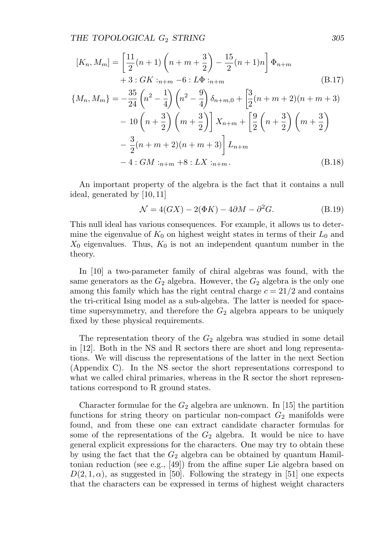$$
[K_n, M_m] = \left[\frac{11}{2}(n+1)\left(n+m+\frac{3}{2}\right) - \frac{15}{2}(n+1)n\right] \Phi_{n+m}
$$
  
+3: GK:  $i_{n+m} - 6 : L\Phi_{n+m}$  (B.17)

$$
\{M_n, M_m\} = -\frac{35}{24} \left( n^2 - \frac{1}{4} \right) \left( n^2 - \frac{9}{4} \right) \delta_{n+m,0} + \left[ \frac{3}{2} (n+m+2)(n+m+3) - 10 \left( n + \frac{3}{2} \right) \left( m + \frac{3}{2} \right) \right] X_{n+m} + \left[ \frac{9}{2} \left( n + \frac{3}{2} \right) \left( m + \frac{3}{2} \right) - \frac{3}{2} (n+m+2)(n+m+3) \right] L_{n+m}
$$
  
- 4 : *GM* : *n+m* + 8 : *LX* : *n+m*. (B.18)

An important property of the algebra is the fact that it contains a null ideal, generated by [10,11]

$$
\mathcal{N} = 4(GX) - 2(\Phi K) - 4\partial M - \partial^2 G.
$$
 (B.19)

This null ideal has various consequences. For example, it allows us to determine the eigenvalue of  $K_0$  on highest weight states in terms of their  $L_0$  and  $X_0$  eigenvalues. Thus,  $K_0$  is not an independent quantum number in the theory.

In [10] a two-parameter family of chiral algebras was found, with the same generators as the  $G_2$  algebra. However, the  $G_2$  algebra is the only one among this family which has the right central charge  $c = 21/2$  and contains the tri-critical Ising model as a sub-algebra. The latter is needed for spacetime supersymmetry, and therefore the  $G_2$  algebra appears to be uniquely fixed by these physical requirements.

The representation theory of the  $G_2$  algebra was studied in some detail in [12]. Both in the NS and R sectors there are short and long representations. We will discuss the representations of the latter in the next Section (Appendix C). In the NS sector the short representations correspond to what we called chiral primaries, whereas in the R sector the short representations correspond to R ground states.

Character formulae for the  $G_2$  algebra are unknown. In [15] the partition functions for string theory on particular non-compact  $G_2$  manifolds were found, and from these one can extract candidate character formulas for some of the representations of the  $G_2$  algebra. It would be nice to have general explicit expressions for the characters. One may try to obtain these by using the fact that the  $G_2$  algebra can be obtained by quantum Hamiltonian reduction (see e.g., [49]) from the affine super Lie algebra based on  $D(2, 1, \alpha)$ , as suggested in [50]. Following the strategy in [51] one expects that the characters can be expressed in terms of highest weight characters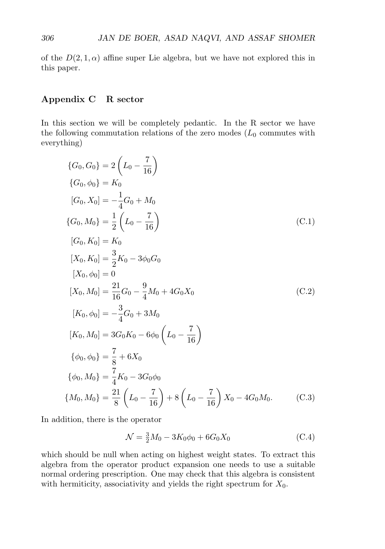of the  $D(2, 1, \alpha)$  affine super Lie algebra, but we have not explored this in this paper.

## **Appendix C R sector**

In this section we will be completely pedantic. In the R sector we have the following commutation relations of the zero modes  $(L_0$  commutes with everything)

$$
\{G_0, G_0\} = 2\left(L_0 - \frac{7}{16}\right)
$$
  
\n
$$
\{G_0, \phi_0\} = K_0
$$
  
\n
$$
[G_0, X_0] = -\frac{1}{4}G_0 + M_0
$$
  
\n
$$
\{G_0, M_0\} = \frac{1}{2}\left(L_0 - \frac{7}{16}\right)
$$
  
\n
$$
[G_0, K_0] = K_0
$$
  
\n
$$
[X_0, K_0] = \frac{3}{2}K_0 - 3\phi_0G_0
$$
  
\n
$$
[X_0, \phi_0] = 0
$$
  
\n
$$
[X_0, M_0] = \frac{21}{16}G_0 - \frac{9}{4}M_0 + 4G_0X_0
$$
  
\n
$$
[K_0, \phi_0] = -\frac{3}{4}G_0 + 3M_0
$$
  
\n
$$
[K_0, M_0] = 3G_0K_0 - 6\phi_0\left(L_0 - \frac{7}{16}\right)
$$
  
\n
$$
\{\phi_0, \phi_0\} = \frac{7}{8} + 6X_0
$$
  
\n
$$
\{\phi_0, M_0\} = \frac{7}{4}K_0 - 3G_0\phi_0
$$
  
\n
$$
\{M_0, M_0\} = \frac{21}{8}\left(L_0 - \frac{7}{16}\right) + 8\left(L_0 - \frac{7}{16}\right)X_0 - 4G_0M_0.
$$
 (C.3)

In addition, there is the operator

$$
\mathcal{N} = \frac{3}{2}M_0 - 3K_0\phi_0 + 6G_0X_0
$$
 (C.4)

which should be null when acting on highest weight states. To extract this algebra from the operator product expansion one needs to use a suitable normal ordering prescription. One may check that this algebra is consistent with hermiticity, associativity and yields the right spectrum for  $X_0$ .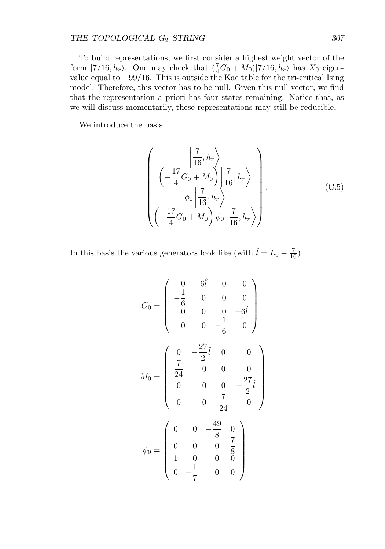# THE TOPOLOGICAL  $G_2$  *STRING* 307

To build representations, we first consider a highest weight vector of the form  $|7/16, h_r\rangle$ . One may check that  $(\frac{7}{4}G_0 + M_0)|7/16, h_r\rangle$  has  $X_0$  eigenvalue equal to  $-99/16$ . This is outside the Kac table for the tri-critical Ising model. Therefore, this vector has to be null. Given this null vector, we find that the representation a priori has four states remaining. Notice that, as we will discuss momentarily, these representations may still be reducible.

We introduce the basis

$$
\left(\begin{array}{c} \left|\frac{7}{16}, h_r\right\rangle \\ \left(-\frac{17}{4}G_0 + M_0\right) \left|\frac{7}{16}, h_r\right\rangle \\ \phi_0 \left|\frac{7}{16}, h_r\right\rangle \\ \left(-\frac{17}{4}G_0 + M_0\right) \phi_0 \left|\frac{7}{16}, h_r\right\rangle \end{array}\right).
$$
(C.5)

In this basis the various generators look like (with  $\hat{l} = L_0 - \frac{7}{16}$ )

$$
G_0 = \begin{pmatrix} 0 & -6\hat{l} & 0 & 0 \\ -\frac{1}{6} & 0 & 0 & 0 \\ 0 & 0 & 0 & -6\hat{l} \\ 0 & 0 & -\frac{1}{6} & 0 \end{pmatrix}
$$

$$
M_0 = \begin{pmatrix} 0 & -\frac{27}{2}\hat{l} & 0 & 0 \\ \frac{7}{24} & 0 & 0 & 0 \\ 0 & 0 & 0 & -\frac{27}{2}\hat{l} \\ 0 & 0 & \frac{7}{24} & 0 \end{pmatrix}
$$

$$
\phi_0 = \begin{pmatrix} 0 & 0 & -\frac{49}{8} & 0 \\ 0 & 0 & 0 & \frac{7}{8} \\ 1 & 0 & 0 & 0 \\ 0 & -\frac{1}{7} & 0 & 0 \end{pmatrix}
$$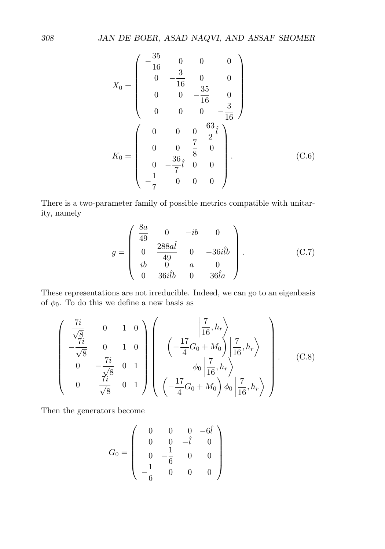$$
X_0 = \begin{pmatrix} -\frac{35}{16} & 0 & 0 & 0 \\ 0 & -\frac{3}{16} & 0 & 0 \\ 0 & 0 & -\frac{35}{16} & 0 \\ 0 & 0 & 0 & -\frac{3}{16} \end{pmatrix}
$$

$$
K_0 = \begin{pmatrix} 0 & 0 & 0 & \frac{63}{2}\hat{i} \\ 0 & 0 & \frac{7}{8} & 0 \\ 0 & -\frac{36}{7}\hat{i} & 0 & 0 \\ -\frac{1}{7} & 0 & 0 & 0 \end{pmatrix}.
$$
(C.6)

There is a two-parameter family of possible metrics compatible with unitarity, namely

$$
g = \begin{pmatrix} \frac{8a}{49} & 0 & -ib & 0 \\ 0 & \frac{288a\hat{l}}{49} & 0 & -36i\hat{l}b \\ ib & 0 & a & 0 \\ 0 & 36i\hat{l}b & 0 & 36\hat{l}a \end{pmatrix}.
$$
 (C.7)

These representations are not irreducible. Indeed, we can go to an eigenbasis of  $\phi_0$ . To do this we define a new basis as

$$
\begin{pmatrix}\n\frac{7i}{\sqrt{8}} & 0 & 1 & 0 \\
-\frac{7i}{\sqrt{8}} & 0 & 1 & 0 \\
0 & -\frac{7i}{\sqrt{8}} & 0 & 1 \\
0 & \frac{7i}{\sqrt{8}} & 0 & 1\n\end{pmatrix}\n\begin{pmatrix}\n\frac{7}{16}, h_r \\
-\frac{17}{4}G_0 + M_0\n\end{pmatrix}\n\begin{pmatrix}\n\frac{7}{16}, h_r \\
\frac{7}{16}, h_r\n\end{pmatrix}
$$
\n(C.8)\n
$$
\begin{pmatrix}\n\frac{7i}{16}, h_r \\
0 & \frac{7i}{\sqrt{8}} & 0 & 1\n\end{pmatrix}\n\begin{pmatrix}\n-\frac{17}{4}G_0 + M_0 \\
-\frac{17}{4}G_0 + M_0\n\end{pmatrix}\n\phi_0\n\begin{pmatrix}\n\frac{7}{16}, h_r \\
\frac{7}{16}, h_r\n\end{pmatrix}
$$

Then the generators become

$$
G_0 = \left(\begin{array}{cccc} 0 & 0 & 0 & -6\hat{l} \\ 0 & 0 & -\hat{l} & 0 \\ 0 & -\frac{1}{6} & 0 & 0 \\ -\frac{1}{6} & 0 & 0 & 0 \end{array}\right)
$$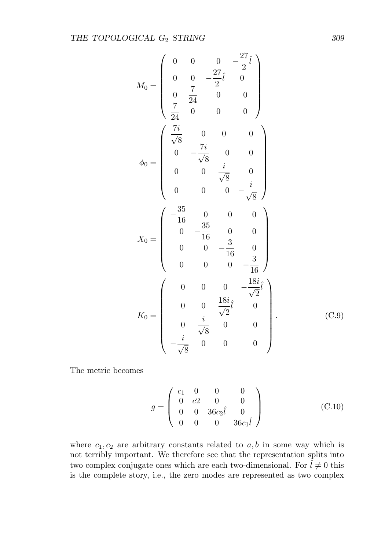$$
M_0 = \begin{pmatrix} 0 & 0 & 0 & -\frac{27}{2}\hat{i} \\ 0 & 0 & -\frac{27}{2}\hat{i} & 0 \\ 0 & \frac{7}{24} & 0 & 0 \\ \frac{7}{24} & 0 & 0 & 0 \end{pmatrix}
$$
  
\n
$$
\phi_0 = \begin{pmatrix} \frac{7i}{\sqrt{8}} & 0 & 0 & 0 \\ 0 & -\frac{7i}{\sqrt{8}} & 0 & 0 \\ 0 & 0 & \frac{i}{\sqrt{8}} & 0 \\ 0 & 0 & 0 & -\frac{i}{\sqrt{8}} \end{pmatrix}
$$
  
\n
$$
X_0 = \begin{pmatrix} -\frac{35}{16} & 0 & 0 & 0 \\ 0 & -\frac{35}{16} & 0 & 0 \\ 0 & 0 & -\frac{3}{16} & 0 \\ 0 & 0 & 0 & -\frac{18i}{16} \end{pmatrix}
$$
  
\n
$$
K_0 = \begin{pmatrix} 0 & 0 & 0 & -\frac{18i}{\sqrt{2}}\hat{i} \\ 0 & 0 & \frac{18i}{\sqrt{2}}\hat{i} & 0 \\ 0 & \frac{i}{\sqrt{8}} & 0 & 0 \\ -\frac{i}{\sqrt{8}} & 0 & 0 & 0 \end{pmatrix}.
$$
 (C.9)

The metric becomes

$$
g = \begin{pmatrix} c_1 & 0 & 0 & 0 \\ 0 & c_2 & 0 & 0 \\ 0 & 0 & 36c_2\hat{l} & 0 \\ 0 & 0 & 0 & 36c_1\hat{l} \end{pmatrix}
$$
 (C.10)

where  $c_1, c_2$  are arbitrary constants related to  $a, b$  in some way which is not terribly important. We therefore see that the representation splits into two complex conjugate ones which are each two-dimensional. For  $\hat{l} \neq 0$  this is the complete story, i.e., the zero modes are represented as two complex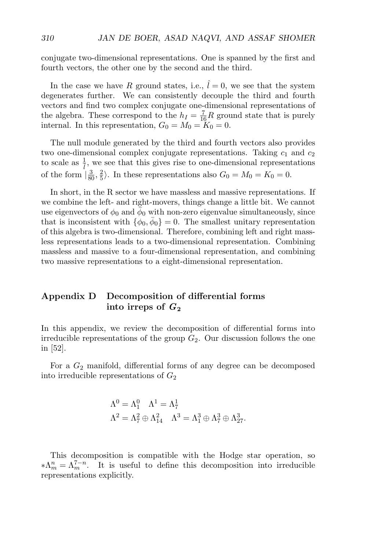conjugate two-dimensional representations. One is spanned by the first and fourth vectors, the other one by the second and the third.

In the case we have R ground states, i.e.,  $\hat{l} = 0$ , we see that the system degenerates further. We can consistently decouple the third and fourth vectors and find two complex conjugate one-dimensional representations of the algebra. These correspond to the  $h_I = \frac{7}{16}R$  ground state that is purely internal. In this representation,  $G_0 = M_0 = \tilde{K}_0 = 0$ .

The null module generated by the third and fourth vectors also provides two one-dimensional complex conjugate representations. Taking  $c_1$  and  $c_2$ to scale as  $\frac{1}{l}$ , we see that this gives rise to one-dimensional representations of the form  $\left(\frac{3}{80}, \frac{2}{5}\right)$ . In these representations also  $G_0 = M_0 = K_0 = 0$ .

In short, in the R sector we have massless and massive representations. If we combine the left- and right-movers, things change a little bit. We cannot use eigenvectors of  $\phi_0$  and  $\bar{\phi}_0$  with non-zero eigenvalue simultaneously, since that is inconsistent with  $\{\phi_0, \bar{\phi}_0\} = 0$ . The smallest unitary representation of this algebra is two-dimensional. Therefore, combining left and right massless representations leads to a two-dimensional representation. Combining massless and massive to a four-dimensional representation, and combining two massive representations to a eight-dimensional representation.

# **Appendix D Decomposition of differential forms into irreps of** *G***<sup>2</sup>**

In this appendix, we review the decomposition of differential forms into irreducible representations of the group  $G_2$ . Our discussion follows the one in [52].

For a  $G_2$  manifold, differential forms of any degree can be decomposed into irreducible representations of  $G_2$ 

$$
\begin{aligned} \Lambda^0&=\Lambda_1^0 \quad \Lambda^1=\Lambda_7^1\\ \Lambda^2&=\Lambda_7^2\oplus\Lambda_{14}^2 \quad \Lambda^3=\Lambda_1^3\oplus\Lambda_7^3\oplus\Lambda_{27}^3. \end{aligned}
$$

This decomposition is compatible with the Hodge star operation, so  $*\Lambda_m^n = \Lambda_m^{7-n}$ . It is useful to define this decomposition into irreducible representations explicitly.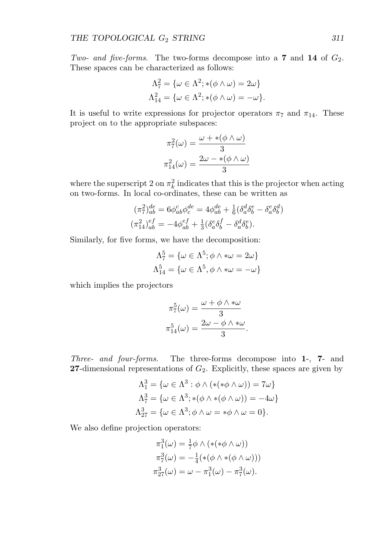Two- and five-forms. The two-forms decompose into a **7** and **14** of  $G_2$ . These spaces can be characterized as follows:

$$
\Lambda_7^2 = \{ \omega \in \Lambda^2; *(\phi \wedge \omega) = 2\omega \}
$$
  

$$
\Lambda_{14}^2 = \{ \omega \in \Lambda^2; *(\phi \wedge \omega) = -\omega \}.
$$

It is useful to write expressions for projector operators  $\pi_7$  and  $\pi_{14}$ . These project on to the appropriate subspaces:

$$
\pi_7^2(\omega) = \frac{\omega + *(\phi \wedge \omega)}{3}
$$

$$
\pi_{14}^2(\omega) = \frac{2\omega - *(\phi \wedge \omega)}{3}
$$

where the superscript 2 on  $\pi_k^2$  indicates that this is the projector when acting on two-forms. In local co-ordinates, these can be written as

$$
(\pi_7^2)_{ab}^{de} = 6\phi_{ab}^c \phi_c^{de} = 4\phi_{ab}^{de} + \frac{1}{6}(\delta_a^d \delta_b^e - \delta_a^e \delta_b^d)
$$

$$
(\pi_{14}^2)_{ab}^{ef} = -4\phi_{ab}^{ef} + \frac{1}{3}(\delta_a^e \delta_b^f - \delta_a^d \delta_b^e).
$$

Similarly, for five forms, we have the decomposition:

$$
\Lambda_7^5 = \{ \omega \in \Lambda^5; \phi \wedge * \omega = 2\omega \}
$$

$$
\Lambda_{14}^5 = \{ \omega \in \Lambda^5, \phi \wedge * \omega = -\omega \}
$$

which implies the projectors

$$
\pi_7^5(\omega) = \frac{\omega + \phi \wedge \ast \omega}{3}
$$

$$
\pi_{14}^5(\omega) = \frac{2\omega - \phi \wedge \ast \omega}{3}.
$$

Three- and four-forms. The three-forms decompose into **1**-, **7**- and **27**-dimensional representations of  $G_2$ . Explicitly, these spaces are given by

$$
\Lambda_1^3 = \{ \omega \in \Lambda^3 : \phi \wedge (*(*\phi \wedge \omega)) = 7\omega \}
$$
  

$$
\Lambda_7^3 = \{ \omega \in \Lambda^3 : *(\phi \wedge *(\phi \wedge \omega)) = -4\omega \}
$$
  

$$
\Lambda_{27}^3 = \{ \omega \in \Lambda^3 : \phi \wedge \omega = *\phi \wedge \omega = 0 \}.
$$

We also define projection operators:

$$
\pi_1^3(\omega) = \frac{1}{7}\phi \wedge (*(*\phi \wedge \omega))
$$
  

$$
\pi_7^3(\omega) = -\frac{1}{4}(*(\phi \wedge *(\phi \wedge \omega)))
$$
  

$$
\pi_{27}^3(\omega) = \omega - \pi_1^3(\omega) - \pi_7^3(\omega).
$$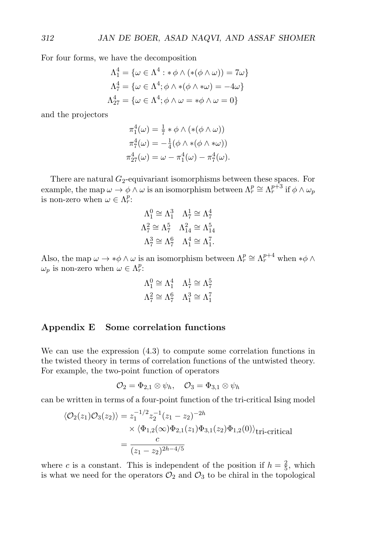For four forms, we have the decomposition

$$
\Lambda_1^4 = \{ \omega \in \Lambda^4 : * \phi \wedge (*(\phi \wedge \omega)) = 7\omega \}
$$
  

$$
\Lambda_7^4 = \{ \omega \in \Lambda^4 : \phi \wedge * (\phi \wedge * \omega) = -4\omega \}
$$
  

$$
\Lambda_{27}^4 = \{ \omega \in \Lambda^4 : \phi \wedge \omega = * \phi \wedge \omega = 0 \}
$$

and the projectors

$$
\pi_1^4(\omega) = \frac{1}{7} * \phi \wedge (*(\phi \wedge \omega))
$$

$$
\pi_7^4(\omega) = -\frac{1}{4}(\phi \wedge *(\phi \wedge * \omega))
$$

$$
\pi_{27}^4(\omega) = \omega - \pi_1^4(\omega) - \pi_7^4(\omega).
$$

There are natural  $G_2$ -equivariant isomorphisms between these spaces. For example, the map  $\omega \to \phi \wedge \omega$  is an isomorphism between  $\Lambda_r^p \cong \Lambda_r^{p+3}$  if  $\phi \wedge \omega_p$ is non-zero when  $\omega \in \Lambda_r^p$ :

$$
\begin{aligned}\n\Lambda_1^0 &\cong \Lambda_1^3 & \Lambda_7^1 &\cong \Lambda_7^4 \\
\Lambda_7^2 &\cong \Lambda_7^5 & \Lambda_{14}^2 &\cong \Lambda_{14}^5 \\
\Lambda_7^3 &\cong \Lambda_7^6 & \Lambda_1^4 &\cong \Lambda_1^7.\n\end{aligned}
$$

Also, the map  $\omega \to * \phi \wedge \omega$  is an isomorphism between  $\Lambda_r^p \cong \Lambda_r^{p+4}$  when  $*\phi \wedge \phi$  $\omega_p$  is non-zero when  $\omega \in \Lambda_r^p$ :

$$
\begin{aligned}\n\Lambda_1^0 &\cong \Lambda_1^4 & \Lambda_7^1 &\cong \Lambda_7^5 \\
\Lambda_7^2 &\cong \Lambda_7^6 & \Lambda_1^3 &\cong \Lambda_1^7\n\end{aligned}
$$

# **Appendix E Some correlation functions**

We can use the expression (4.3) to compute some correlation functions in the twisted theory in terms of correlation functions of the untwisted theory. For example, the two-point function of operators

$$
\mathcal{O}_2 = \Phi_{2,1} \otimes \psi_h, \quad \mathcal{O}_3 = \Phi_{3,1} \otimes \psi_h
$$

can be written in terms of a four-point function of the tri-critical Ising model

$$
\langle \mathcal{O}_2(z_1)\mathcal{O}_3(z_2)\rangle = z_1^{-1/2} z_2^{-1} (z_1 - z_2)^{-2h}
$$
  
 
$$
\times \langle \Phi_{1,2}(\infty)\Phi_{2,1}(z_1)\Phi_{3,1}(z_2)\Phi_{1,2}(0)\rangle_{\text{tri-critical}}
$$
  
= 
$$
\frac{c}{(z_1 - z_2)^{2h - 4/5}}
$$

where c is a constant. This is independent of the position if  $h = \frac{2}{5}$ , which is what we need for the operators  $\mathcal{O}_2$  and  $\mathcal{O}_3$  to be chiral in the topological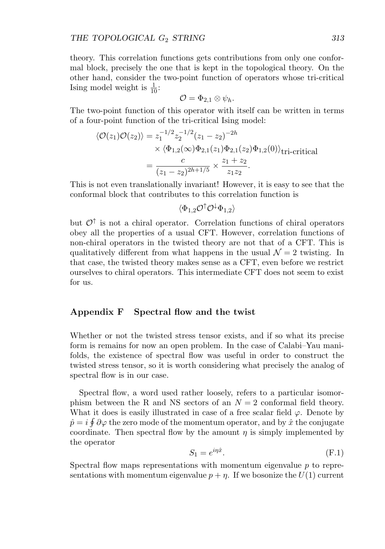theory. This correlation functions gets contributions from only one conformal block, precisely the one that is kept in the topological theory. On the other hand, consider the two-point function of operators whose tri-critical Ising model weight is  $\frac{1}{10}$ :

$$
\mathcal{O}=\Phi_{2,1}\otimes\psi_h.
$$

The two-point function of this operator with itself can be written in terms of a four-point function of the tri-critical Ising model:

$$
\langle \mathcal{O}(z_1)\mathcal{O}(z_2)\rangle = z_1^{-1/2} z_2^{-1/2} (z_1 - z_2)^{-2h}
$$
  
 
$$
\times \langle \Phi_{1,2}(\infty)\Phi_{2,1}(z_1)\Phi_{2,1}(z_2)\Phi_{1,2}(0)\rangle_{\text{tri-critical}}
$$
  
= 
$$
\frac{c}{(z_1 - z_2)^{2h+1/5}} \times \frac{z_1 + z_2}{z_1 z_2}.
$$

This is not even translationally invariant! However, it is easy to see that the conformal block that contributes to this correlation function is

 $\langle \Phi_1, 2\mathcal{O}^\dagger \mathcal{O}^\dagger \Phi_1, 2\rangle$ 

but  $\mathcal{O}^\uparrow$  is not a chiral operator. Correlation functions of chiral operators obey all the properties of a usual CFT. However, correlation functions of non-chiral operators in the twisted theory are not that of a CFT. This is qualitatively different from what happens in the usual  $\mathcal{N} = 2$  twisting. In that case, the twisted theory makes sense as a CFT, even before we restrict ourselves to chiral operators. This intermediate CFT does not seem to exist for us.

# **Appendix F Spectral flow and the twist**

Whether or not the twisted stress tensor exists, and if so what its precise form is remains for now an open problem. In the case of Calabi–Yau manifolds, the existence of spectral flow was useful in order to construct the twisted stress tensor, so it is worth considering what precisely the analog of spectral flow is in our case.

Spectral flow, a word used rather loosely, refers to a particular isomorphism between the R and NS sectors of an  $N = 2$  conformal field theory. What it does is easily illustrated in case of a free scalar field  $\varphi$ . Denote by  $\hat{p} = i \oint \partial \varphi$  the zero mode of the momentum operator, and by  $\hat{x}$  the conjugate coordinate. Then spectral flow by the amount  $\eta$  is simply implemented by the operator

$$
S_1 = e^{i\eta \hat{x}}.\t\t(F.1)
$$

Spectral flow maps representations with momentum eigenvalue  $p$  to representations with momentum eigenvalue  $p + \eta$ . If we bosonize the  $U(1)$  current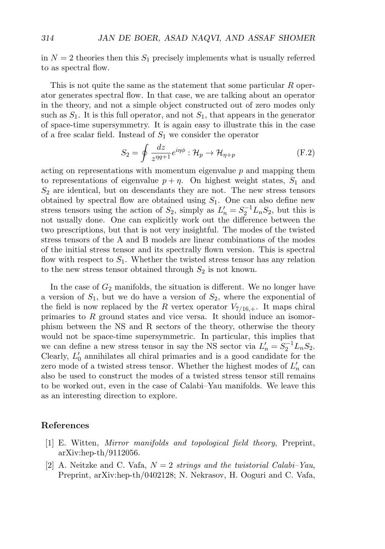in  $N = 2$  theories then this  $S_1$  precisely implements what is usually referred to as spectral flow.

This is not quite the same as the statement that some particular R operator generates spectral flow. In that case, we are talking about an operator in the theory, and not a simple object constructed out of zero modes only such as  $S_1$ . It is this full operator, and not  $S_1$ , that appears in the generator of space-time supersymmetry. It is again easy to illustrate this in the case of a free scalar field. Instead of  $S_1$  we consider the operator

$$
S_2 = \oint \frac{dz}{z^{\eta q+1}} e^{i\eta \phi} : \mathcal{H}_p \to \mathcal{H}_{\eta+p}
$$
 (F.2)

acting on representations with momentum eigenvalue  $p$  and mapping them to representations of eigenvalue  $p + \eta$ . On highest weight states,  $S_1$  and  $S<sub>2</sub>$  are identical, but on descendants they are not. The new stress tensors obtained by spectral flow are obtained using  $S_1$ . One can also define new stress tensors using the action of  $S_2$ , simply as  $L'_n = S_2^{-1} L_n S_2$ , but this is not usually done. One can explicitly work out the difference between the two prescriptions, but that is not very insightful. The modes of the twisted stress tensors of the A and B models are linear combinations of the modes of the initial stress tensor and its spectrally flown version. This is spectral flow with respect to  $S_1$ . Whether the twisted stress tensor has any relation to the new stress tensor obtained through  $S_2$  is not known.

In the case of  $G_2$  manifolds, the situation is different. We no longer have a version of  $S_1$ , but we do have a version of  $S_2$ , where the exponential of the field is now replaced by the R vertex operator  $V_{7/16,+}$ . It maps chiral primaries to R ground states and vice versa. It should induce an isomorphism between the NS and R sectors of the theory, otherwise the theory would not be space-time supersymmetric. In particular, this implies that we can define a new stress tensor in say the NS sector via  $L'_n = S_2^{-1} L_n S_2$ . Clearly,  $L'_0$  annihilates all chiral primaries and is a good candidate for the zero mode of a twisted stress tensor. Whether the highest modes of  $L'_n$  can also be used to construct the modes of a twisted stress tensor still remains to be worked out, even in the case of Calabi–Yau manifolds. We leave this as an interesting direction to explore.

## **References**

- [1] E. Witten, Mirror manifolds and topological field theory, Preprint, arXiv:hep-th/9112056.
- [2] A. Neitzke and C. Vafa,  $N = 2$  strings and the twistorial Calabi–Yau, Preprint, arXiv:hep-th/0402128; N. Nekrasov, H. Ooguri and C. Vafa,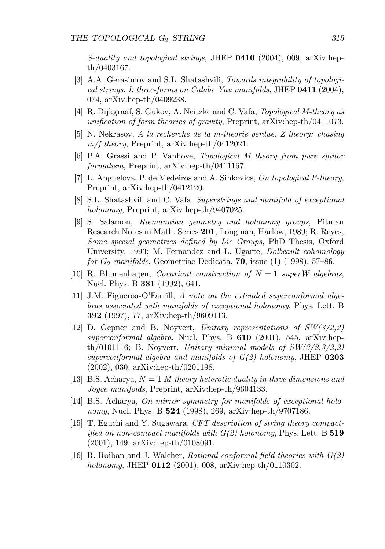S-duality and topological strings, JHEP **0410** (2004), 009, arXiv:hepth/0403167.

- [3] A.A. Gerasimov and S.L. Shatashvili, Towards integrability of topological strings. I: three-forms on Calabi–Yau manifolds, JHEP **0411** (2004), 074, arXiv:hep-th/0409238.
- [4] R. Dijkgraaf, S. Gukov, A. Neitzke and C. Vafa, Topological M-theory as unification of form theories of gravity, Preprint, arXiv:hep-th/0411073.
- [5] N. Nekrasov, A la recherche de la m-theorie perdue. Z theory: chasing  $m/f$  theory, Preprint, arXiv:hep-th/0412021.
- [6] P.A. Grassi and P. Vanhove, Topological M theory from pure spinor formalism, Preprint, arXiv:hep-th/0411167.
- [7] L. Anguelova, P. de Medeiros and A. Sinkovics, On topological F-theory, Preprint, arXiv:hep-th/0412120.
- [8] S.L. Shatashvili and C. Vafa, Superstrings and manifold of exceptional holonomy, Preprint, arXiv:hep-th/9407025.
- [9] S. Salamon, Riemannian geometry and holonomy groups, Pitman Research Notes in Math. Series **201**, Longman, Harlow, 1989; R. Reyes, Some special geometries defined by Lie Groups, PhD Thesis, Oxford University, 1993; M. Fernandez and L. Ugarte, Dolbeault cohomology for G2-manifolds, Geometriae Dedicata, **70**, issue (1) (1998), 57–86.
- [10] R. Blumenhagen, *Covariant construction of*  $N = 1$  superW algebras, Nucl. Phys. B **381** (1992), 641.
- [11] J.M. Figueroa-O'Farrill, A note on the extended superconformal algebras associated with manifolds of exceptional holonomy, Phys. Lett. B **392** (1997), 77, arXiv:hep-th/9609113.
- [12] D. Gepner and B. Noyvert, Unitary representations of  $SW(3/2,2)$ ] superconformal algebra, Nucl. Phys. B **610** (2001), 545, arXiv:hepth/0101116; B. Noyvert, Unitary minimal models of  $SW(3/2,3/2,2)$ superconformal algebra and manifolds of G(2) holonomy, JHEP **0203** (2002), 030, arXiv:hep-th/0201198.
- [13] B.S. Acharya,  $N = 1$  *M*-theory-heterotic duality in three dimensions and Joyce manifolds, Preprint, arXiv:hep-th/9604133.
- [14] B.S. Acharya, On mirror symmetry for manifolds of exceptional holonomy, Nucl. Phys. B **524** (1998), 269, arXiv:hep-th/9707186.
- [15] T. Eguchi and Y. Sugawara, CFT description of string theory compactified on non-compact manifolds with G(2) holonomy, Phys. Lett. B **519** (2001), 149, arXiv:hep-th/0108091.
- [16] R. Roiban and J. Walcher, *Rational conformal field theories with*  $G(2)$ holonomy, JHEP **0112** (2001), 008, arXiv:hep-th/0110302.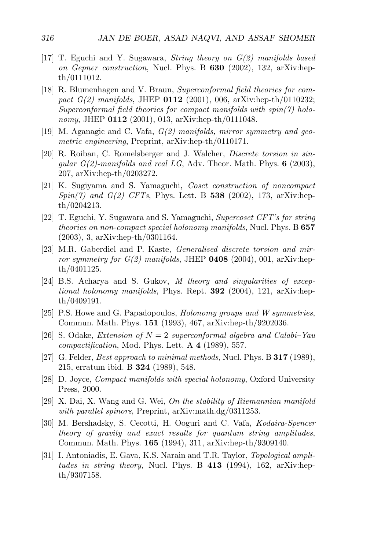- [17] T. Eguchi and Y. Sugawara, *String theory on*  $G(2)$  *manifolds based* on Gepner construction, Nucl. Phys. B **630** (2002), 132, arXiv:hepth/0111012.
- [18] R. Blumenhagen and V. Braun, Superconformal field theories for compact G(2) manifolds, JHEP **0112** (2001), 006, arXiv:hep-th/0110232; Superconformal field theories for compact manifolds with  $spin(7)$  holonomy, JHEP **0112** (2001), 013, arXiv:hep-th/0111048.
- [19] M. Aganagic and C. Vafa,  $G(2)$  manifolds, mirror symmetry and geometric engineering, Preprint, arXiv:hep-th/0110171.
- [20] R. Roiban, C. Romelsberger and J. Walcher, Discrete torsion in singular G(2)-manifolds and real LG, Adv. Theor. Math. Phys. **6** (2003), 207, arXiv:hep-th/0203272.
- [21] K. Sugiyama and S. Yamaguchi, Coset construction of noncompact Spin(7) and G(2) CFTs, Phys. Lett. B **538** (2002), 173, arXiv:hepth/0204213.
- [22] T. Eguchi, Y. Sugawara and S. Yamaguchi, Supercoset CFT's for string theories on non-compact special holonomy manifolds, Nucl. Phys. B **657** (2003), 3, arXiv:hep-th/0301164.
- [23] M.R. Gaberdiel and P. Kaste, Generalised discrete torsion and mirror symmetry for G(2) manifolds, JHEP **0408** (2004), 001, arXiv:hepth/0401125.
- [24] B.S. Acharya and S. Gukov, M theory and singularities of exceptional holonomy manifolds, Phys. Rept. **392** (2004), 121, arXiv:hepth/0409191.
- [25] P.S. Howe and G. Papadopoulos, Holonomy groups and W symmetries, Commun. Math. Phys. **151** (1993), 467, arXiv:hep-th/9202036.
- [26] S. Odake, *Extension of*  $N = 2$  superconformal algebra and Calabi–Yau compactification, Mod. Phys. Lett. A **4** (1989), 557.
- [27] G. Felder, Best approach to minimal methods, Nucl. Phys. B **317** (1989), 215, erratum ibid. B **324** (1989), 548.
- [28] D. Joyce, Compact manifolds with special holonomy, Oxford University Press, 2000.
- [29] X. Dai, X. Wang and G. Wei, On the stability of Riemannian manifold with parallel spinors, Preprint, arXiv:math.dg/0311253.
- [30] M. Bershadsky, S. Cecotti, H. Ooguri and C. Vafa, Kodaira-Spencer theory of gravity and exact results for quantum string amplitudes, Commun. Math. Phys. **165** (1994), 311, arXiv:hep-th/9309140.
- [31] I. Antoniadis, E. Gava, K.S. Narain and T.R. Taylor, Topological amplitudes in string theory, Nucl. Phys. B **413** (1994), 162, arXiv:hepth/9307158.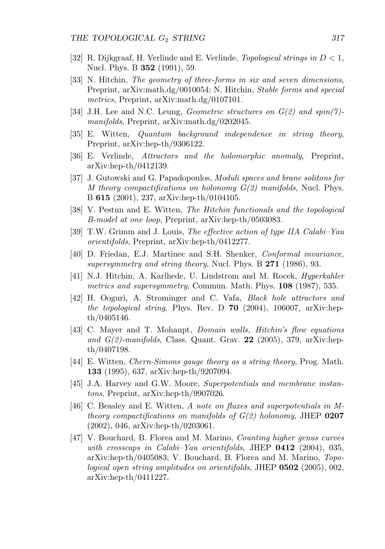- [32] R. Dijkgraaf, H. Verlinde and E. Verlinde, *Topological strings in*  $D < 1$ , Nucl. Phys. B **352** (1991), 59.
- [33] N. Hitchin, The geometry of three-forms in six and seven dimensions, Preprint, arXiv:math.dg/0010054; N. Hitchin, Stable forms and special metrics, Preprint, arXiv:math.dg/0107101.
- [34] J.H. Lee and N.C. Leung, *Geometric structures on G(2) and spin(7)*manifolds, Preprint, arXiv:math.dg/0202045.
- [35] E. Witten, Quantum background independence in string theory, Preprint, arXiv:hep-th/9306122.
- [36] E. Verlinde, Attractors and the holomorphic anomaly, Preprint, arXiv:hep-th/0412139.
- [37] J. Gutowski and G. Papadopoulos, Moduli spaces and brane solitons for M theory compactifications on holonomy  $G(2)$  manifolds, Nucl. Phys. B **615** (2001), 237, arXiv:hep-th/0104105.
- [38] V. Pestun and E. Witten, The Hitchin functionals and the topological B-model at one loop, Preprint, arXiv:hep-th/0503083.
- [39] T.W. Grimm and J. Louis, The effective action of type IIA Calabi–Yau orientifolds, Preprint, arXiv:hep-th/0412277.
- [40] D. Friedan, E.J. Martinec and S.H. Shenker, Conformal invariance, supersymmetry and string theory, Nucl. Phys. B **271** (1986), 93.
- [41] N.J. Hitchin, A. Karlhede, U. Lindstrom and M. Rocek, Hyperkahler metrics and supersymmetry, Commun. Math. Phys. **108** (1987), 535.
- [42] H. Ooguri, A. Strominger and C. Vafa, Black hole attractors and the topological string, Phys. Rev. D **70** (2004), 106007, arXiv:hepth/0405146.
- [43] C. Mayer and T. Mohaupt, Domain walls, Hitchin's flow equations and G(2)-manifolds, Class. Quant. Grav. **22** (2005), 379, arXiv:hepth/0407198.
- [44] E. Witten, Chern-Simons gauge theory as a string theory, Prog. Math. **133** (1995), 637, arXiv:hep-th/9207094.
- [45] J.A. Harvey and G.W. Moore, Superpotentials and membrane instantons, Preprint, arXiv:hep-th/9907026.
- [46] C. Beasley and E. Witten, A note on fluxes and superpotentials in Mtheory compactifications on manifolds of G(2) holonomy, JHEP **0207** (2002), 046, arXiv:hep-th/0203061.
- [47] V. Bouchard, B. Florea and M. Marino, Counting higher genus curves with crosscaps in Calabi–Yau orientifolds, JHEP **0412** (2004), 035, arXiv:hep-th/0405083; V. Bouchard, B. Florea and M. Marino, Topological open string amplitudes on orientifolds, JHEP **0502** (2005), 002, arXiv:hep-th/0411227.